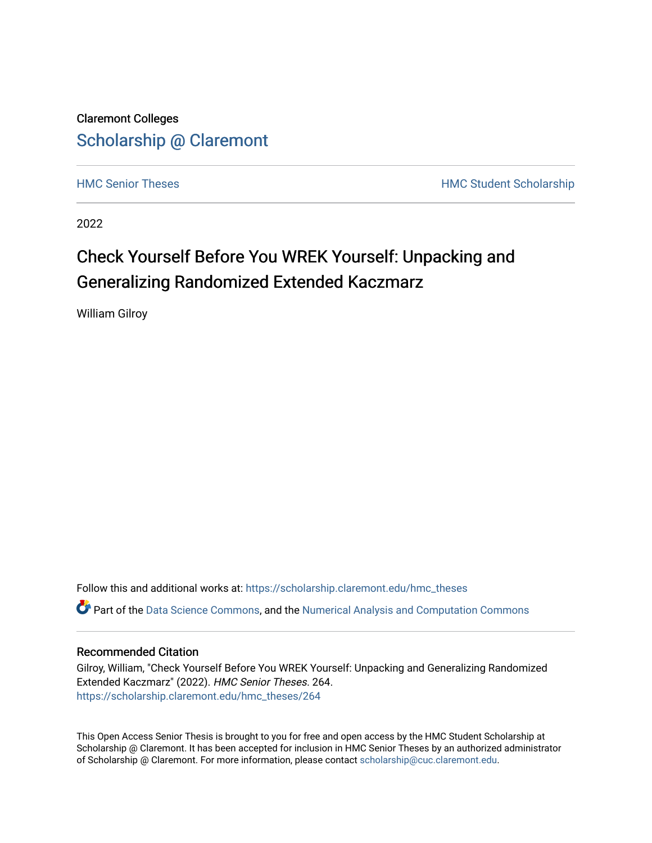Claremont Colleges [Scholarship @ Claremont](https://scholarship.claremont.edu/) 

[HMC Senior Theses](https://scholarship.claremont.edu/hmc_theses) **HMC Student Scholarship** 

2022

# Check Yourself Before You WREK Yourself: Unpacking and Generalizing Randomized Extended Kaczmarz

William Gilroy

Follow this and additional works at: [https://scholarship.claremont.edu/hmc\\_theses](https://scholarship.claremont.edu/hmc_theses?utm_source=scholarship.claremont.edu%2Fhmc_theses%2F264&utm_medium=PDF&utm_campaign=PDFCoverPages) Part of the [Data Science Commons,](https://network.bepress.com/hgg/discipline/1429?utm_source=scholarship.claremont.edu%2Fhmc_theses%2F264&utm_medium=PDF&utm_campaign=PDFCoverPages) and the [Numerical Analysis and Computation Commons](https://network.bepress.com/hgg/discipline/119?utm_source=scholarship.claremont.edu%2Fhmc_theses%2F264&utm_medium=PDF&utm_campaign=PDFCoverPages)

#### Recommended Citation

Gilroy, William, "Check Yourself Before You WREK Yourself: Unpacking and Generalizing Randomized Extended Kaczmarz" (2022). HMC Senior Theses. 264. [https://scholarship.claremont.edu/hmc\\_theses/264](https://scholarship.claremont.edu/hmc_theses/264?utm_source=scholarship.claremont.edu%2Fhmc_theses%2F264&utm_medium=PDF&utm_campaign=PDFCoverPages)

This Open Access Senior Thesis is brought to you for free and open access by the HMC Student Scholarship at Scholarship @ Claremont. It has been accepted for inclusion in HMC Senior Theses by an authorized administrator of Scholarship @ Claremont. For more information, please contact [scholarship@cuc.claremont.edu.](mailto:scholarship@cuc.claremont.edu)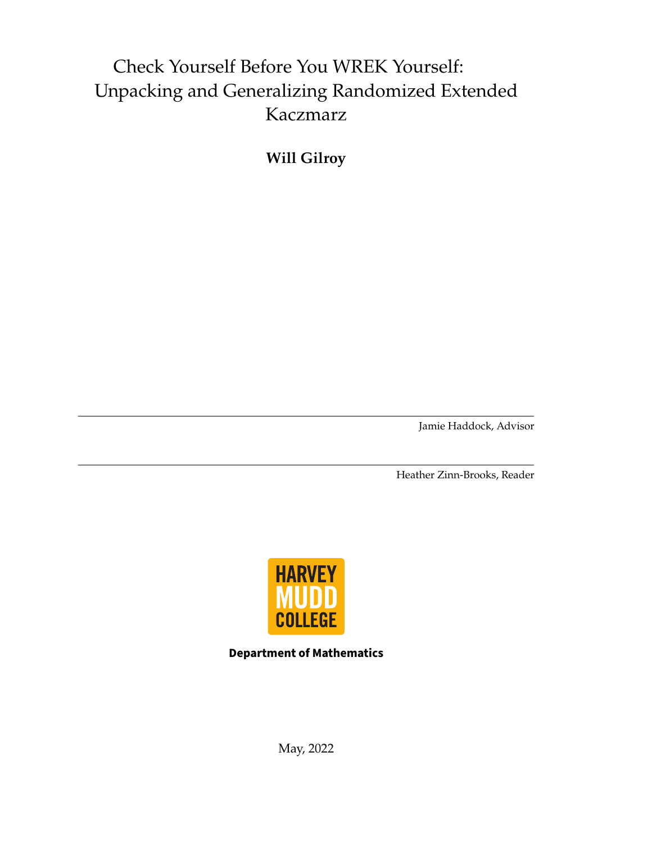# Check Yourself Before You WREK Yourself: Unpacking and Generalizing Randomized Extended Kaczmarz

**Will Gilroy**

Jamie Haddock, Advisor

Heather Zinn-Brooks, Reader



**Department of Mathematics**

May, 2022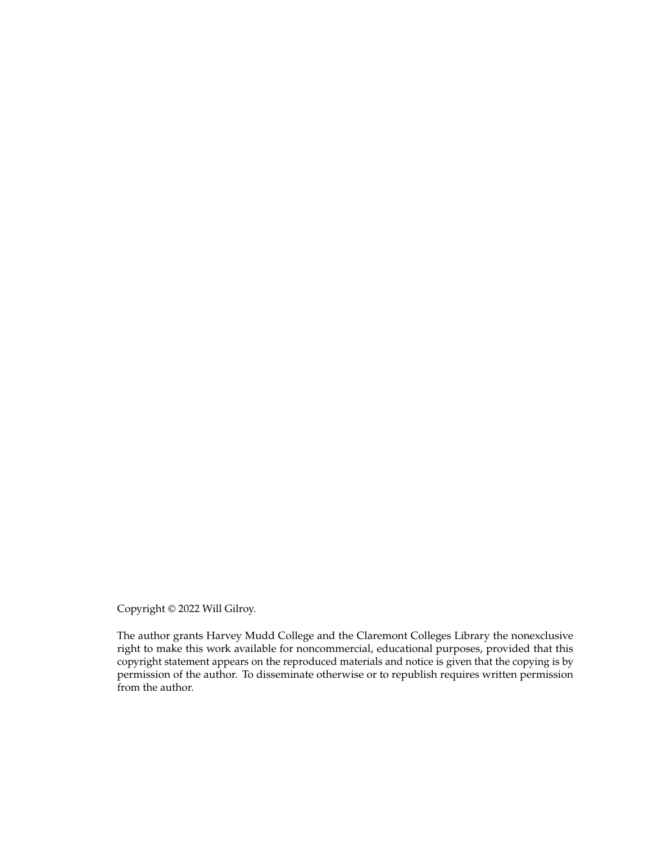Copyright © 2022 Will Gilroy.

The author grants Harvey Mudd College and the Claremont Colleges Library the nonexclusive right to make this work available for noncommercial, educational purposes, provided that this copyright statement appears on the reproduced materials and notice is given that the copying is by permission of the author. To disseminate otherwise or to republish requires written permission from the author.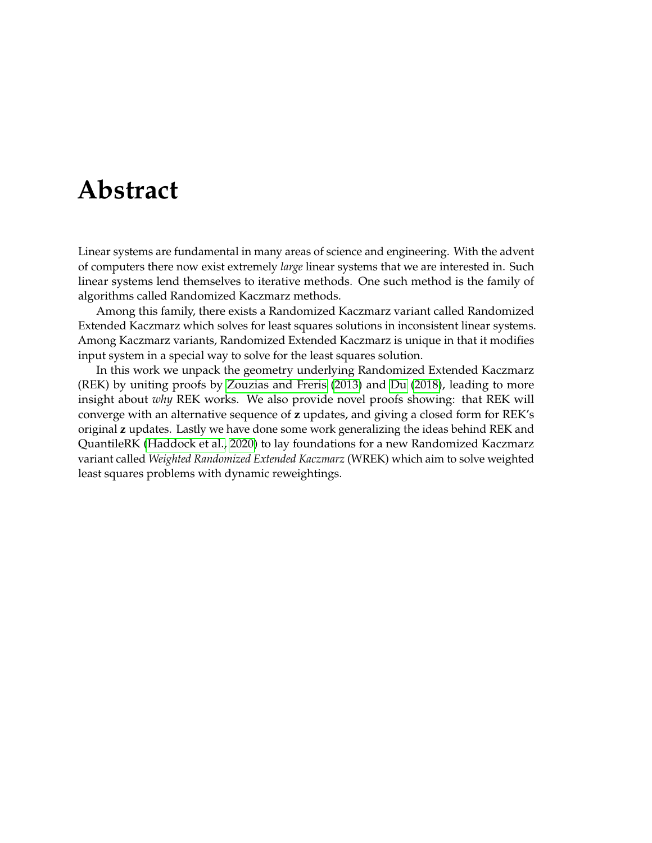# <span id="page-3-0"></span>**Abstract**

Linear systems are fundamental in many areas of science and engineering. With the advent of computers there now exist extremely *large* linear systems that we are interested in. Such linear systems lend themselves to iterative methods. One such method is the family of algorithms called Randomized Kaczmarz methods.

Among this family, there exists a Randomized Kaczmarz variant called Randomized Extended Kaczmarz which solves for least squares solutions in inconsistent linear systems. Among Kaczmarz variants, Randomized Extended Kaczmarz is unique in that it modifies input system in a special way to solve for the least squares solution.

In this work we unpack the geometry underlying Randomized Extended Kaczmarz (REK) by uniting proofs by [Zouzias and Freris](#page-69-0) [\(2013\)](#page-69-0) and [Du](#page-69-1) [\(2018\)](#page-69-1), leading to more insight about *why* REK works. We also provide novel proofs showing: that REK will converge with an alternative sequence of **z** updates, and giving a closed form for REK's original **z** updates. Lastly we have done some work generalizing the ideas behind REK and QuantileRK [\(Haddock et al., 2020\)](#page-69-2) to lay foundations for a new Randomized Kaczmarz variant called *Weighted Randomized Extended Kaczmarz* (WREK) which aim to solve weighted least squares problems with dynamic reweightings.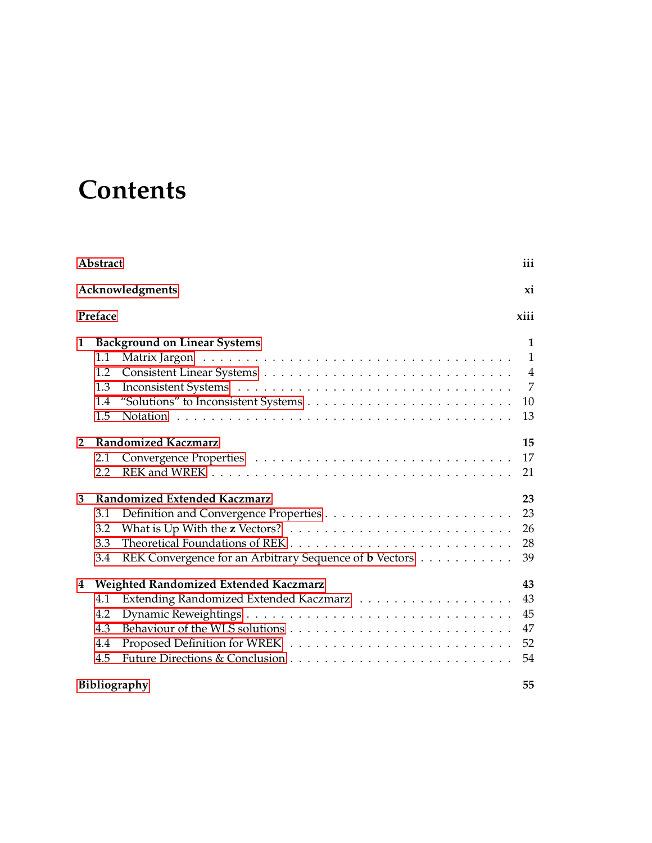# **Contents**

| Abstract                                                                                                                | iii                                 |
|-------------------------------------------------------------------------------------------------------------------------|-------------------------------------|
| Acknowledgments                                                                                                         | xi                                  |
| Preface                                                                                                                 | xiii                                |
| <b>Background on Linear Systems</b><br>1<br>1.1<br>1.2                                                                  | 1<br>$\mathbf{1}$<br>$\overline{4}$ |
| 1.3<br>"Solutions" to Inconsistent Systems $\dots \dots \dots \dots \dots \dots \dots \dots \dots \dots$<br>1.4<br>1.5  | $\overline{7}$<br>10<br>13          |
| <b>Randomized Kaczmarz</b><br>$\overline{2}$<br>2.1<br>2.2                                                              | 15<br>17<br>21                      |
| 3<br>Randomized Extended Kaczmarz<br>3.1<br>3.2<br>3.3<br>REK Convergence for an Arbitrary Sequence of b Vectors<br>3.4 | 23<br>23<br>26<br>28<br>39          |
| Weighted Randomized Extended Kaczmarz<br>4<br>4.1<br>4.2<br>4.3<br>4.4<br>4.5                                           | 43<br>43<br>45<br>47<br>52<br>54    |
| <b>Bibliography</b>                                                                                                     | 55                                  |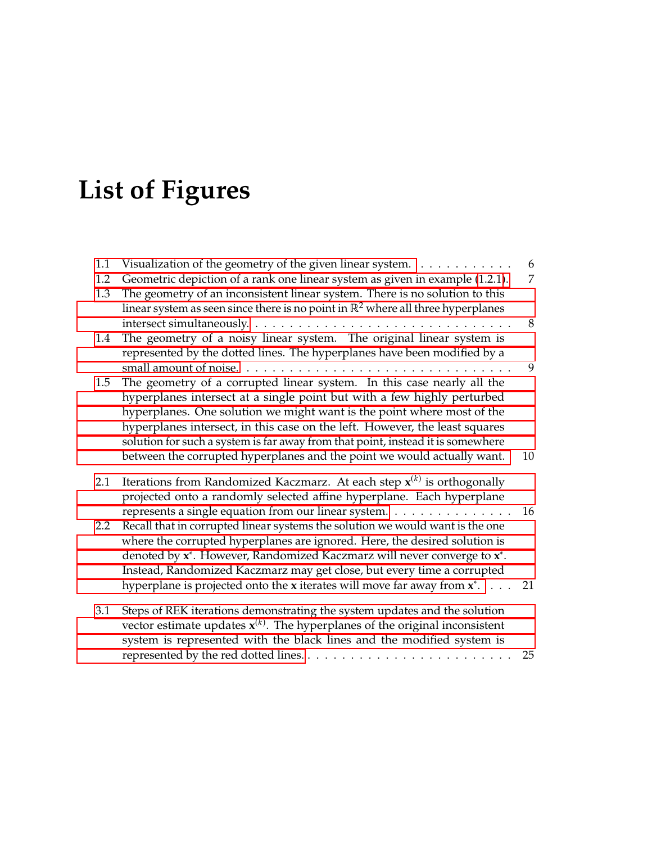# **List of Figures**

| 1.1<br>1.2<br>1.3 | Visualization of the geometry of the given linear system.<br>Geometric depiction of a rank one linear system as given in example (1.2.1).<br>The geometry of an inconsistent linear system. There is no solution to this<br>linear system as seen since there is no point in $\mathbb{R}^2$ where all three hyperplanes                                                                                                  | 6<br>7 |
|-------------------|--------------------------------------------------------------------------------------------------------------------------------------------------------------------------------------------------------------------------------------------------------------------------------------------------------------------------------------------------------------------------------------------------------------------------|--------|
| 1.4               | The geometry of a noisy linear system. The original linear system is                                                                                                                                                                                                                                                                                                                                                     | 8      |
|                   | represented by the dotted lines. The hyperplanes have been modified by a                                                                                                                                                                                                                                                                                                                                                 | 9      |
| 1.5               | The geometry of a corrupted linear system. In this case nearly all the<br>hyperplanes intersect at a single point but with a few highly perturbed<br>hyperplanes. One solution we might want is the point where most of the<br>hyperplanes intersect, in this case on the left. However, the least squares<br>solution for such a system is far away from that point, instead it is somewhere                            |        |
|                   | between the corrupted hyperplanes and the point we would actually want.                                                                                                                                                                                                                                                                                                                                                  | 10     |
| 2.1               | Iterations from Randomized Kaczmarz. At each step $x^{(k)}$ is orthogonally<br>projected onto a randomly selected affine hyperplane. Each hyperplane<br>represents a single equation from our linear system.                                                                                                                                                                                                             | 16     |
| 2.2               | Recall that in corrupted linear systems the solution we would want is the one<br>where the corrupted hyperplanes are ignored. Here, the desired solution is<br>denoted by x <sup>*</sup> . However, Randomized Kaczmarz will never converge to x <sup>*</sup> .<br>Instead, Randomized Kaczmarz may get close, but every time a corrupted<br>hyperplane is projected onto the x iterates will move far away from $x^*$ . | 21     |
| 3.1               | Steps of REK iterations demonstrating the system updates and the solution<br>vector estimate updates $x^{(k)}$ . The hyperplanes of the original inconsistent<br>system is represented with the black lines and the modified system is                                                                                                                                                                                   | 25     |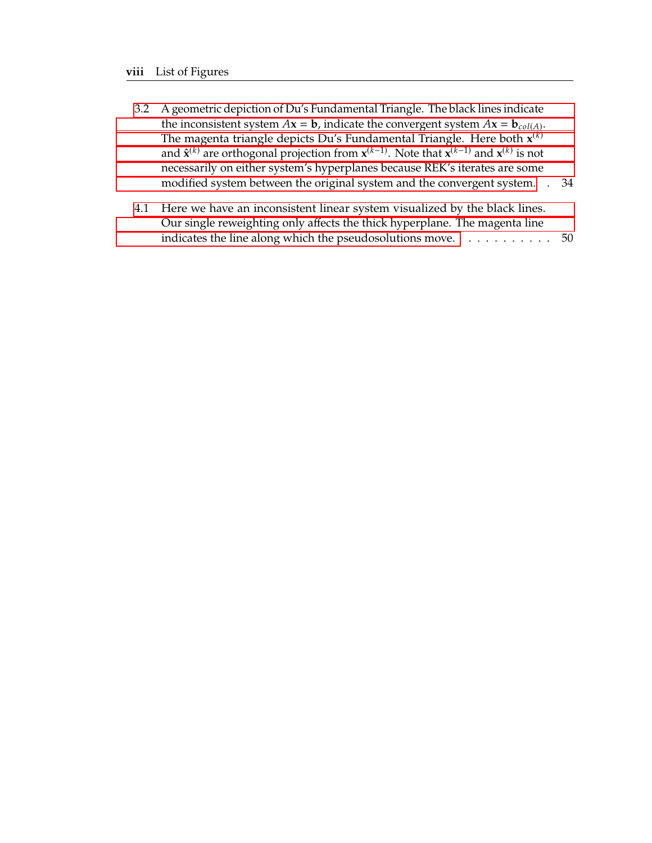- 3.2 [A geometric depiction of Du's Fundamental Triangle. The black lines indicate](#page-48-0) the inconsistent system  $A$ **x** = **b**[, indicate the convergent system](#page-48-0)  $A$ **x** = **b**<sub>col(A)</sub>.<br>The magneta triangle depicts Du's Eundemental Triangle. Here both  $\mathbf{x}^{(k)}$ [The magenta triangle depicts Du's Fundamental Triangle. Here both](#page-48-0)  $\mathbf{x}^{(k)}$ and  $\hat{\mathbf{x}}^{(k)}$  [are orthogonal projection from](#page-48-0)  $\mathbf{x}^{(k-1)}$ . Note that  $\mathbf{x}^{(k-1)}$  and  $\mathbf{x}^{(k)}$  is not [necessarily on either system's hyperplanes because REK's iterates are some](#page-48-0) [modified system between the original system and the convergent system.](#page-48-0) . 34
- 4.1 [Here we have an inconsistent linear system visualized by the black lines.](#page-64-0) [Our single reweighting only affects the thick hyperplane. The magenta line](#page-64-0) [indicates the line along which the pseudosolutions move.](#page-64-0) . . . . . . . . . . 50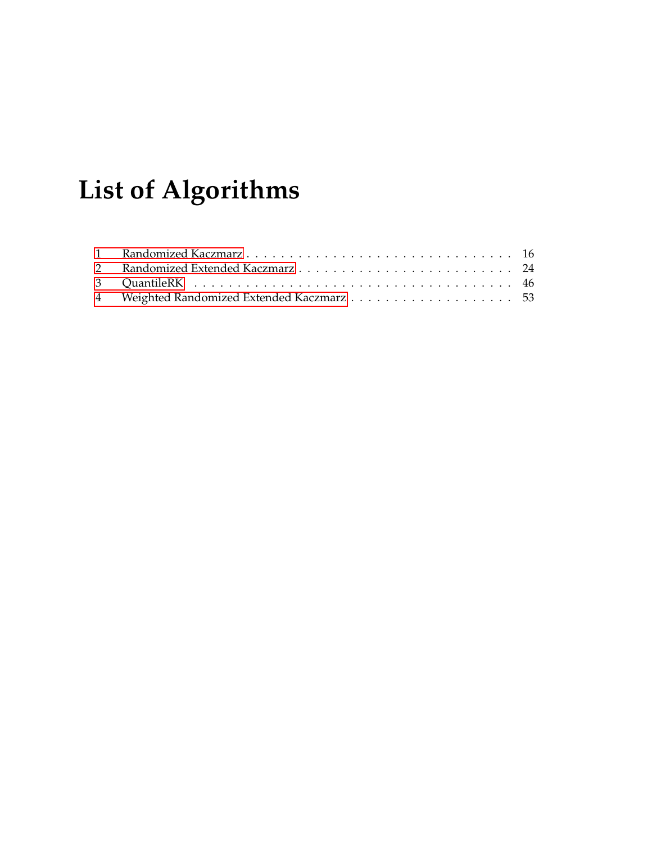# **List of Algorithms**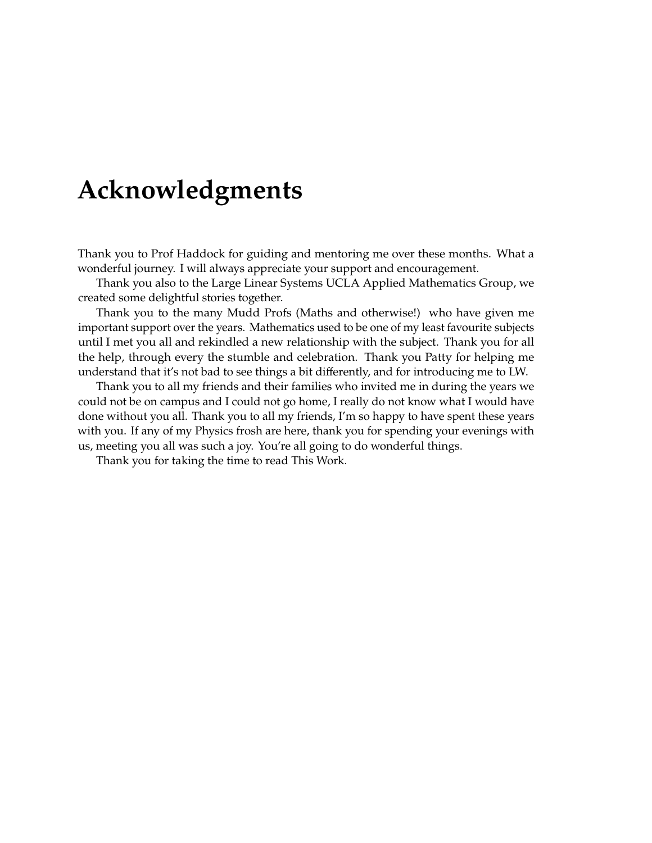# <span id="page-11-0"></span>**Acknowledgments**

Thank you to Prof Haddock for guiding and mentoring me over these months. What a wonderful journey. I will always appreciate your support and encouragement.

Thank you also to the Large Linear Systems UCLA Applied Mathematics Group, we created some delightful stories together.

Thank you to the many Mudd Profs (Maths and otherwise!) who have given me important support over the years. Mathematics used to be one of my least favourite subjects until I met you all and rekindled a new relationship with the subject. Thank you for all the help, through every the stumble and celebration. Thank you Patty for helping me understand that it's not bad to see things a bit differently, and for introducing me to LW.

Thank you to all my friends and their families who invited me in during the years we could not be on campus and I could not go home, I really do not know what I would have done without you all. Thank you to all my friends, I'm so happy to have spent these years with you. If any of my Physics frosh are here, thank you for spending your evenings with us, meeting you all was such a joy. You're all going to do wonderful things.

Thank you for taking the time to read This Work.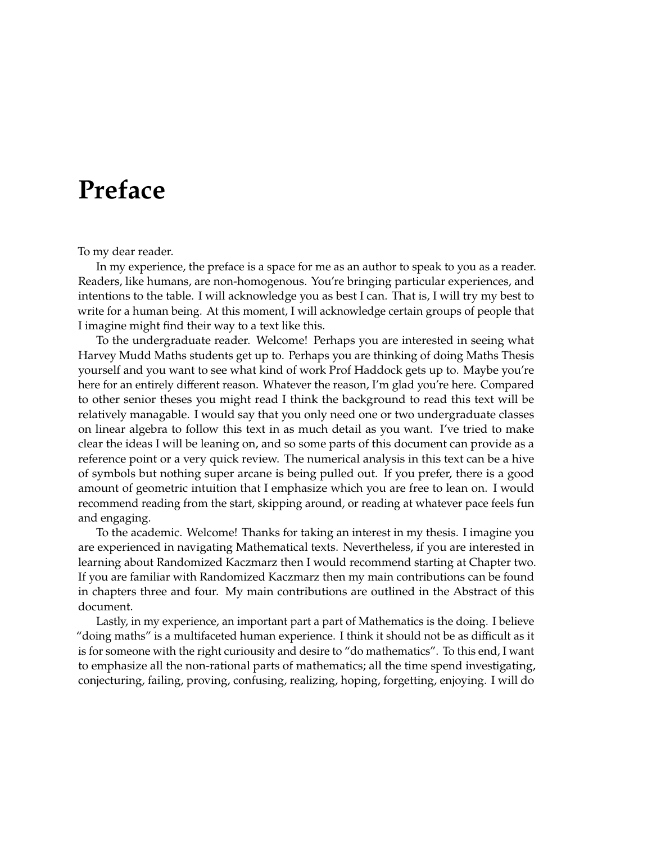# <span id="page-13-0"></span>**Preface**

To my dear reader.

In my experience, the preface is a space for me as an author to speak to you as a reader. Readers, like humans, are non-homogenous. You're bringing particular experiences, and intentions to the table. I will acknowledge you as best I can. That is, I will try my best to write for a human being. At this moment, I will acknowledge certain groups of people that I imagine might find their way to a text like this.

To the undergraduate reader. Welcome! Perhaps you are interested in seeing what Harvey Mudd Maths students get up to. Perhaps you are thinking of doing Maths Thesis yourself and you want to see what kind of work Prof Haddock gets up to. Maybe you're here for an entirely different reason. Whatever the reason, I'm glad you're here. Compared to other senior theses you might read I think the background to read this text will be relatively managable. I would say that you only need one or two undergraduate classes on linear algebra to follow this text in as much detail as you want. I've tried to make clear the ideas I will be leaning on, and so some parts of this document can provide as a reference point or a very quick review. The numerical analysis in this text can be a hive of symbols but nothing super arcane is being pulled out. If you prefer, there is a good amount of geometric intuition that I emphasize which you are free to lean on. I would recommend reading from the start, skipping around, or reading at whatever pace feels fun and engaging.

To the academic. Welcome! Thanks for taking an interest in my thesis. I imagine you are experienced in navigating Mathematical texts. Nevertheless, if you are interested in learning about Randomized Kaczmarz then I would recommend starting at Chapter two. If you are familiar with Randomized Kaczmarz then my main contributions can be found in chapters three and four. My main contributions are outlined in the Abstract of this document.

Lastly, in my experience, an important part a part of Mathematics is the doing. I believe "doing maths" is a multifaceted human experience. I think it should not be as difficult as it is for someone with the right curiousity and desire to "do mathematics". To this end, I want to emphasize all the non-rational parts of mathematics; all the time spend investigating, conjecturing, failing, proving, confusing, realizing, hoping, forgetting, enjoying. I will do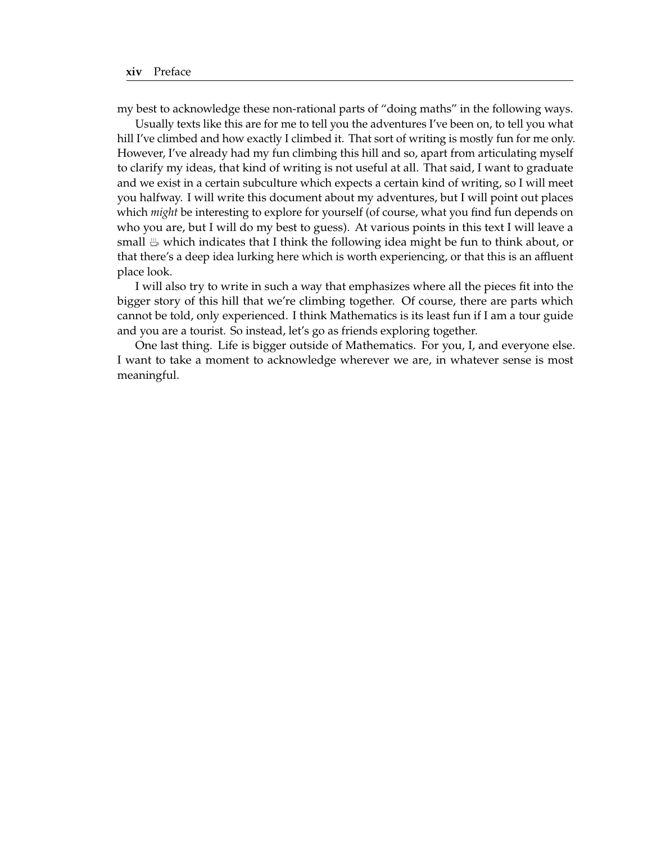my best to acknowledge these non-rational parts of "doing maths" in the following ways.

Usually texts like this are for me to tell you the adventures I've been on, to tell you what hill I've climbed and how exactly I climbed it. That sort of writing is mostly fun for me only. However, I've already had my fun climbing this hill and so, apart from articulating myself to clarify my ideas, that kind of writing is not useful at all. That said, I want to graduate and we exist in a certain subculture which expects a certain kind of writing, so I will meet you halfway. I will write this document about my adventures, but I will point out places which *might* be interesting to explore for yourself (of course, what you find fun depends on who you are, but I will do my best to guess). At various points in this text I will leave a small  $\mathfrak{B}$  which indicates that I think the following idea might be fun to think about, or that there's a deep idea lurking here which is worth experiencing, or that this is an affluent place look.

I will also try to write in such a way that emphasizes where all the pieces fit into the bigger story of this hill that we're climbing together. Of course, there are parts which cannot be told, only experienced. I think Mathematics is its least fun if I am a tour guide and you are a tourist. So instead, let's go as friends exploring together.

One last thing. Life is bigger outside of Mathematics. For you, I, and everyone else. I want to take a moment to acknowledge wherever we are, in whatever sense is most meaningful.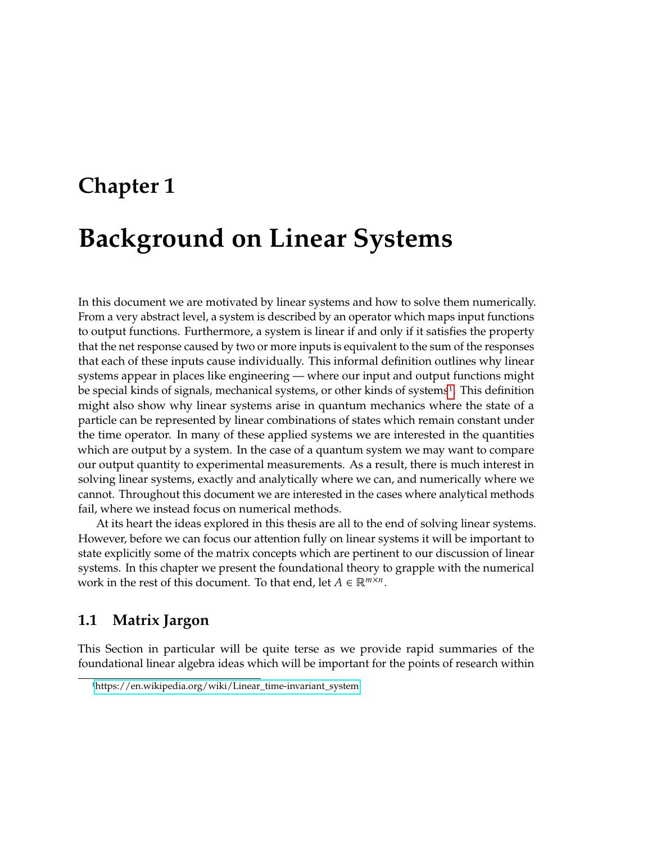# <span id="page-15-0"></span>**Chapter 1 Background on Linear Systems**

In this document we are motivated by linear systems and how to solve them numerically. From a very abstract level, a system is described by an operator which maps input functions to output functions. Furthermore, a system is linear if and only if it satisfies the property that the net response caused by two or more inputs is equivalent to the sum of the responses that each of these inputs cause individually. This informal definition outlines why linear systems appear in places like engineering — where our input and output functions might be special kinds of signals, mechanical systems, or other kinds of systems<sup>[1](#page-15-2)</sup>. This definition might also show why linear systems arise in quantum mechanics where the state of a particle can be represented by linear combinations of states which remain constant under the time operator. In many of these applied systems we are interested in the quantities which are output by a system. In the case of a quantum system we may want to compare our output quantity to experimental measurements. As a result, there is much interest in solving linear systems, exactly and analytically where we can, and numerically where we cannot. Throughout this document we are interested in the cases where analytical methods fail, where we instead focus on numerical methods.

At its heart the ideas explored in this thesis are all to the end of solving linear systems. However, before we can focus our attention fully on linear systems it will be important to state explicitly some of the matrix concepts which are pertinent to our discussion of linear systems. In this chapter we present the foundational theory to grapple with the numerical work in the rest of this document. To that end, let  $A \in \mathbb{R}^{m \times n}$ .

## <span id="page-15-1"></span>**1.1 Matrix Jargon**

This Section in particular will be quite terse as we provide rapid summaries of the foundational linear algebra ideas which will be important for the points of research within

<span id="page-15-2"></span><sup>1</sup>[https://en.wikipedia.org/wiki/Linear\\_time-invariant\\_system](https://en.wikipedia.org/wiki/Linear_time-invariant_system)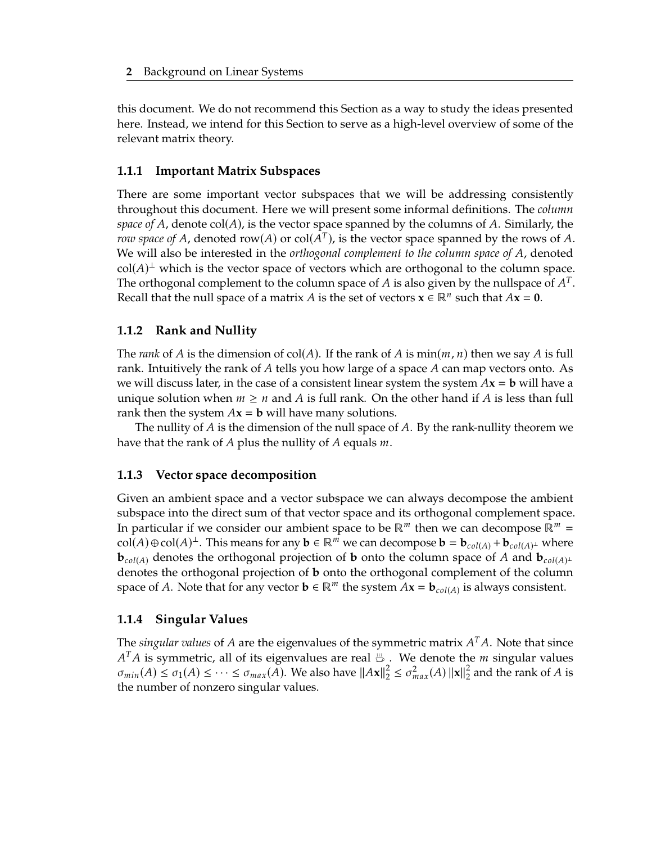this document. We do not recommend this Section as a way to study the ideas presented here. Instead, we intend for this Section to serve as a high-level overview of some of the relevant matrix theory.

#### **1.1.1 Important Matrix Subspaces**

There are some important vector subspaces that we will be addressing consistently throughout this document. Here we will present some informal definitions. The *column space of* A, denote  $col(A)$ , is the vector space spanned by the columns of A. Similarly, the *row space of A*, denoted row(*A*) or  $col(A^T)$ , is the vector space spanned by the rows of *A*.<br>We will also be interested in the extreme couplement to the column space of *A*, denoted We will also be interested in the *orthogonal complement to the column space of A*, denoted  $col(A)^{\perp}$  which is the vector space of vectors which are orthogonal to the column space.<br>The orthogonal complement to the column space of A is also given by the pullepace of  $A^T$ . The orthogonal complement to the column space of *A* is also given by the nullspace of *A<sup>T</sup>*.<br>Recall that the null grace of a matrix *A* is the set of vectors  $\mathbf{x} \in \mathbb{R}^n$  such that  $A\mathbf{x} = \mathbf{0}$ . Recall that the null space of a matrix *A* is the set of vectors  $\mathbf{x} \in \mathbb{R}^n$  such that  $A\mathbf{x} = \mathbf{0}$ .

### **1.1.2 Rank and Nullity**

The *rank* of A is the dimension of col(A). If the rank of A is min( $m, n$ ) then we say A is full rank. Intuitively the rank of  $A$  tells you how large of a space  $A$  can map vectors onto. As we will discuss later, in the case of a consistent linear system the system  $Ax = b$  will have a unique solution when  $m \geq n$  and A is full rank. On the other hand if A is less than full rank then the system  $Ax = b$  will have many solutions.

The nullity of  $A$  is the dimension of the null space of  $A$ . By the rank-nullity theorem we have that the rank of A plus the nullity of A equals  $m$ .

#### **1.1.3 Vector space decomposition**

Given an ambient space and a vector subspace we can always decompose the ambient subspace into the direct sum of that vector space and its orthogonal complement space. In particular if we consider our ambient space to be  $\mathbb{R}^m$  then we can decompose  $\mathbb{R}^m$  = col(A)  $\oplus$  col(A)<sup> $\perp$ </sup>. This means for any  $\mathbf{b} \in \mathbb{R}^m$  we can decompose  $\mathbf{b} = \mathbf{b}_{col(A)} + \mathbf{b}_{col(A)^{\perp}}$  where  $\mathbf{b}_{col(A)}$  denotes the orthogonal projection of **b** onto the column space of *A* and  $\mathbf{b}_{col(A)}$ <sup>⊥</sup> denotes the orthogonal projection of **b** onto the orthogonal complement of the column space of A. Note that for any vector  $\mathbf{b} \in \mathbb{R}^m$  the system  $A\mathbf{x} = \mathbf{b}_{col(A)}$  is always consistent.

#### **1.1.4 Singular Values**

The *singular values* of *A* are the eigenvalues of the symmetric matrix  $A<sup>T</sup>A$ . Note that since  $A<sup>T</sup>A$  is symmetric, all of its eigenvalues are real. We denote the *m* singular values  $\sigma_{min}(A) \leq \sigma_1(A) \leq \cdots \leq \sigma_{max}(A)$ . We also have  $||Ax||_2^2 \leq \sigma_{max}^2(A) ||x||_2^2$ <br>the number of ponzero singular values  $A<sup>T</sup>A$  is symmetric, all of its eigenvalues are real  $\mathfrak{B}$  . We denote the *m* singular values  $2<sub>2</sub>$  and the rank of A is the number of nonzero singular values.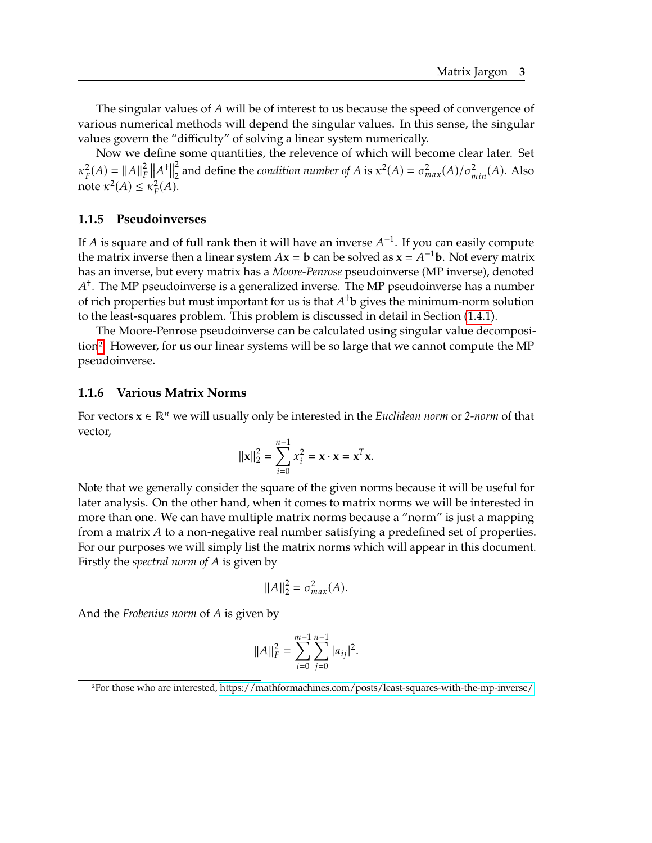The singular values of  $A$  will be of interest to us because the speed of convergence of various numerical methods will depend the singular values. In this sense, the singular values govern the "difficulty" of solving a linear system numerically.

Now we define some quantities, the relevence of which will become clear later. Set  $\kappa_F^2(A) = ||A||_F^2 ||A^+||$  $\kappa_F(A) = ||A||_F ||A||_2$ <br>note  $\kappa^2(A) \leq \kappa_F^2(A)$ . 2 <sup>2</sup> and define the *condition number of A* is  $\kappa^2(A) = \sigma_{max}^2(A)/\sigma_{min}^2(A)$ . Also

#### **1.1.5 Pseudoinverses**

If *A* is square and of full rank then it will have an inverse  $A^{-1}$ . If you can easily compute the matrix inverse then a linear system  $Ax = b$  can be solved as  $x = A^{-1}b$ . Not every matrix the matrix inverse then a linear system  $A$ **x** = **b** can be solved as **x** =  $A^{-1}$ **b**. Not every matrix has a heavy matrix has a *Moore Penroe* pequdoiny area (MP inverse) denoted has an inverse, but every matrix has a *Moore-Penrose* pseudoinverse (MP inverse), denoted of rich properties but must important for us is that  $A^{\dagger}$ **b** gives the minimum-norm solution<br>to the least-squares problem. This problem is discussed in detail in Section (1.4.1) † . The MP pseudoinverse is a generalized inverse. The MP pseudoinverse has a number to the least-squares problem. This problem is discussed in detail in Section [\(1.4.1\)](#page-24-2).

The Moore-Penrose pseudoinverse can be calculated using singular value decomposition[2](#page-17-0). However, for us our linear systems will be so large that we cannot compute the MP pseudoinverse.

#### **1.1.6 Various Matrix Norms**

For vectors **x** ∈ ℝ we will usually only be interested in the *Euclidean norm* or *2-norm* of that vector,

$$
\|\mathbf{x}\|_2^2 = \sum_{i=0}^{n-1} x_i^2 = \mathbf{x} \cdot \mathbf{x} = \mathbf{x}^T \mathbf{x}.
$$

Note that we generally consider the square of the given norms because it will be useful for later analysis. On the other hand, when it comes to matrix norms we will be interested in more than one. We can have multiple matrix norms because a "norm" is just a mapping from a matrix  $A$  to a non-negative real number satisfying a predefined set of properties. For our purposes we will simply list the matrix norms which will appear in this document. Firstly the *spectral norm of* is given by

$$
||A||_2^2 = \sigma_{max}^2(A).
$$

And the *Frobenius norm* of A is given by

$$
||A||_F^2 = \sum_{i=0}^{m-1} \sum_{j=0}^{n-1} |a_{ij}|^2.
$$

<span id="page-17-0"></span><sup>2</sup>For those who are interested,<https://mathformachines.com/posts/least-squares-with-the-mp-inverse/>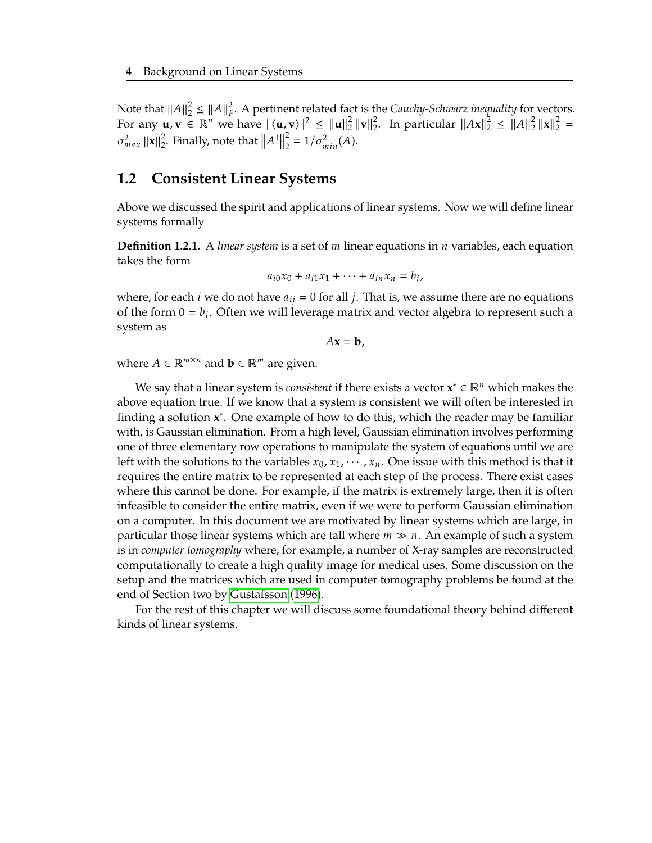Note that  $||A||_2^2 \le ||A||_F^2$ . A pertinent related fact is the *Cauchy-Schwarz inequality* for vectors.<br>For any H  $N \in \mathbb{R}^n$  we have  $|\langle \mathbf{u}, \mathbf{v} \rangle|^2 \le ||\mathbf{u}||^2 ||\mathbf{v}||^2$ . In particular  $||A\mathbf{v}||^2 \le ||A||^2 ||\mathbf{v}||$ For any  $\mathbf{u}, \mathbf{v} \in \mathbb{R}^n$  we have  $|\langle \mathbf{u}, \mathbf{v} \rangle|^2 \leq ||\mathbf{u}||_2^2$  $\frac{2}{2}$  ||**v**|| $\frac{2}{2}$ 2. In particular  $||Ax||_2^2 \le ||A||_2^2$  $\frac{2}{2}$  ||**x**|| $\frac{2}{2}$  =  $\sigma_{max}^2 ||\mathbf{x}||_2^2$  $\frac{2}{2}$ . Finally, note that  $||A||$  $^{\dagger}$ 2  $_{2}^{2} = 1/\sigma_{min}^{2}(A).$ 

#### <span id="page-18-0"></span>**1.2 Consistent Linear Systems**

Above we discussed the spirit and applications of linear systems. Now we will define linear systems formally

**Definition 1.2.1.** A *linear system* is a set of  $m$  linear equations in  $n$  variables, each equation takes the form

$$
a_{i0}x_0 + a_{i1}x_1 + \cdots + a_{in}x_n = b_i,
$$

where, for each *i* we do not have  $a_{ij} = 0$  for all *j*. That is, we assume there are no equations of the form  $0 = b_i$ . Often we will leverage matrix and vector algebra to represent such a system as system as

 $Ax = b$ ,

where  $A \in \mathbb{R}^{m \times n}$  and  $\mathbf{b} \in \mathbb{R}^m$  are given.

We say that a linear system is *consistent* if there exists a vector  $\mathbf{x}^* \in \mathbb{R}^n$  which makes the above equation true. If we know that a system is consistent we will often be interested in finding a solution **x**<sup>\*</sup>. One example of how to do this, which the reader may be familiar with, is Gaussian elimination. From a high level, Gaussian elimination involves performing one of three elementary row operations to manipulate the system of equations until we are left with the solutions to the variables  $x_0, x_1, \cdots, x_n$ . One issue with this method is that it requires the entire matrix to be represented at each step of the process. There exist cases where this cannot be done. For example, if the matrix is extremely large, then it is often infeasible to consider the entire matrix, even if we were to perform Gaussian elimination on a computer. In this document we are motivated by linear systems which are large, in particular those linear systems which are tall where  $m \gg n$ . An example of such a system is in *computer tomography* where, for example, a number of X-ray samples are reconstructed computationally to create a high quality image for medical uses. Some discussion on the setup and the matrices which are used in computer tomography problems be found at the end of Section two by [Gustafsson](#page-69-4) [\(1996\)](#page-69-4).

For the rest of this chapter we will discuss some foundational theory behind different kinds of linear systems.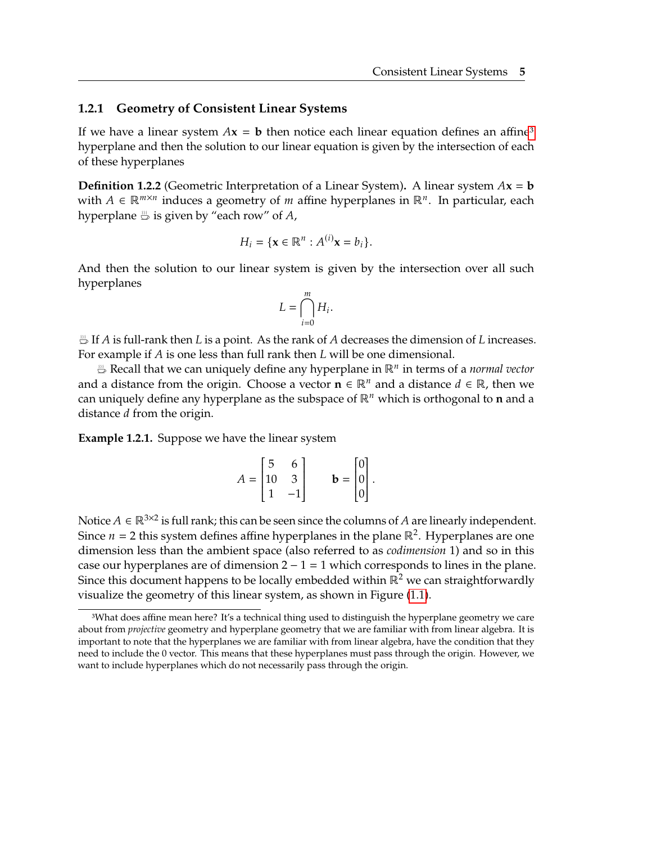#### **1.2.1 Geometry of Consistent Linear Systems**

If we have a linear system  $Ax = b$  then notice each linear equation defines an affine<sup>[3](#page-19-1)</sup> hyperplane and then the solution to our linear equation is given by the intersection of each of these hyperplanes

**Definition 1.2.2** (Geometric Interpretation of a Linear System). A linear system  $Ax = b$ with  $A \in \mathbb{R}^{m \times n}$  induces a geometry of *m* affine hyperplanes in  $\mathbb{R}^n$ . In particular, each hyperplanes in  $\mathbb{R}^n$ . hyperplane  $\stackrel{m}{\hookrightarrow}$  is given by "each row" of A,

$$
H_i = \{ \mathbf{x} \in \mathbb{R}^n : A^{(i)} \mathbf{x} = b_i \}.
$$

And then the solution to our linear system is given by the intersection over all such hyperplanes

$$
L=\bigcap_{i=0}^m H_i.
$$

 $\bigoplus$  If A is full-rank then L is a point. As the rank of A decreases the dimension of L increases. For example if  $A$  is one less than full rank then  $L$  will be one dimensional.

Recall that we can uniquely define any hyperplane in ℝ in terms of a *normal vector* and a distance from the origin. Choose a vector  $\mathbf{n} \in \mathbb{R}^n$  and a distance  $d \in \mathbb{R}$ , then we can uniquely define any hyperplane as the subspace of  $\mathbb{R}^n$  which is orthogonal to **n** and a distance *d* from the origin.

<span id="page-19-0"></span>**Example 1.2.1.** Suppose we have the linear system

$$
A = \begin{bmatrix} 5 & 6 \\ 10 & 3 \\ 1 & -1 \end{bmatrix} \qquad \mathbf{b} = \begin{bmatrix} 0 \\ 0 \\ 0 \end{bmatrix}.
$$

Notice  $A \in \mathbb{R}^{3\times 2}$  is full rank; this can be seen since the columns of  $A$  are linearly independent.<br>Since  $n = 2$  this system defines affine hyperplanes in the plane  $\mathbb{R}^2$ . Hyperplanes are one. Since  $n = 2$  this system defines affine hyperplanes in the plane ℝ<sup>2</sup>. Hyperplanes are one dimension loss than the ambient space (also referred to as *codimension* 1) and so in this dimension less than the ambient space (also referred to as *codimension* 1) and so in this case our hyperplanes are of dimension  $2 - 1 = 1$  which corresponds to lines in the plane. Since this document happens to be locally embedded within  $\mathbb{R}^2$  we can straightforwardly visualize the geometry of this linear system, as shown in Figure [\(1.1\)](#page-20-0).

<span id="page-19-1"></span><sup>3</sup>What does affine mean here? It's a technical thing used to distinguish the hyperplane geometry we care about from *projective* geometry and hyperplane geometry that we are familiar with from linear algebra. It is important to note that the hyperplanes we are familiar with from linear algebra, have the condition that they need to include the 0 vector. This means that these hyperplanes must pass through the origin. However, we want to include hyperplanes which do not necessarily pass through the origin.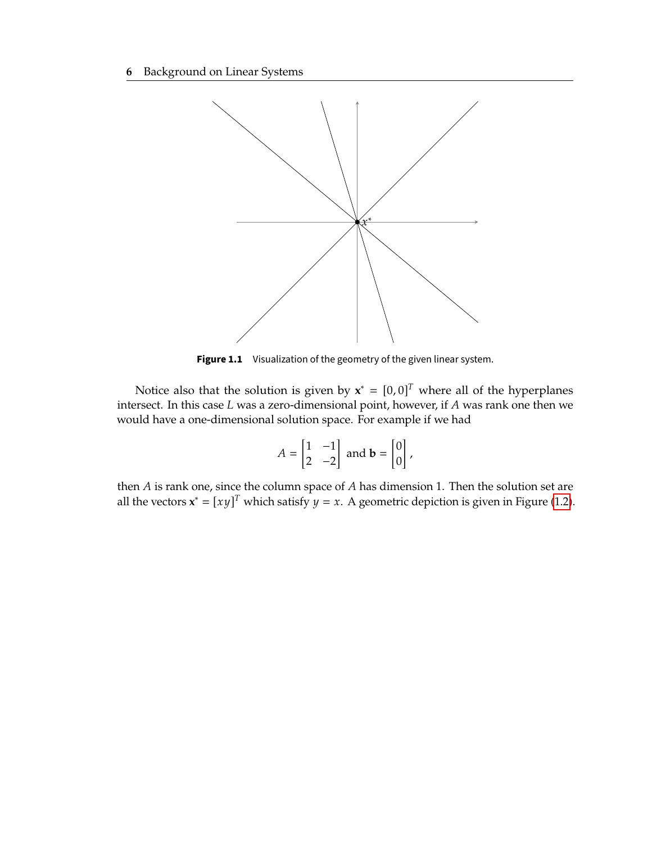<span id="page-20-0"></span>

**Figure 1.1** Visualization of the geometry of the given linear system.

Notice also that the solution is given by  $\mathbf{x}^* = [0,0]^T$  where all of the hyperplanes are the hyperplanes of the hyperplanes of the street. In this case I was a zero-dimensional point bowover if 4 was rank one then we intersect. In this case  $L$  was a zero-dimensional point, however, if  $A$  was rank one then we would have a one-dimensional solution space. For example if we had

$$
A = \begin{bmatrix} 1 & -1 \\ 2 & -2 \end{bmatrix}
$$
 and  $\mathbf{b} = \begin{bmatrix} 0 \\ 0 \end{bmatrix}$ ,

then  $A$  is rank one, since the column space of  $A$  has dimension 1. Then the solution set are all the vectors  $\mathbf{x}^* = [xy]^T$  which satisfy  $y = x$ . A geometric depiction is given in Figure [\(1.2\)](#page-21-1).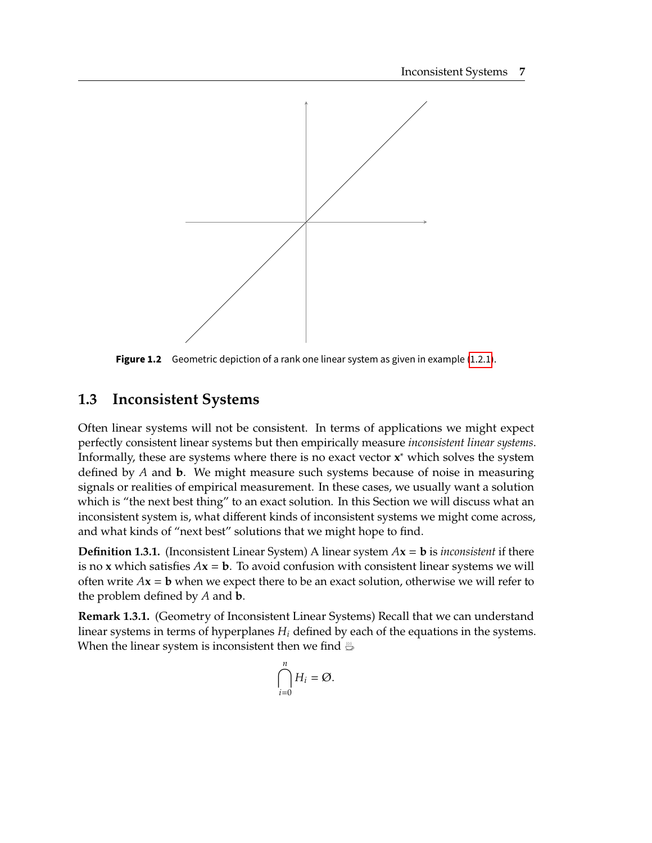<span id="page-21-1"></span>

**Figure 1.2** Geometric depiction of a rank one linear system as given in example [\(1.2.1\)](#page-19-0).

## <span id="page-21-0"></span>**1.3 Inconsistent Systems**

Often linear systems will not be consistent. In terms of applications we might expect perfectly consistent linear systems but then empirically measure *inconsistent linear systems*. Informally, these are systems where there is no exact vector **x** <sup>∗</sup> which solves the system defined by *A* and **b**. We might measure such systems because of noise in measuring signals or realities of empirical measurement. In these cases, we usually want a solution which is "the next best thing" to an exact solution. In this Section we will discuss what an inconsistent system is, what different kinds of inconsistent systems we might come across, and what kinds of "next best" solutions that we might hope to find.

**Definition 1.3.1.** (Inconsistent Linear System) A linear system  $Ax = b$  is *inconsistent* if there is no **x** which satisfies  $Ax = b$ . To avoid confusion with consistent linear systems we will often write  $Ax = b$  when we expect there to be an exact solution, otherwise we will refer to the problem defined by  $A$  and  $b$ .

**Remark 1.3.1.** (Geometry of Inconsistent Linear Systems) Recall that we can understand linear systems in terms of hyperplanes  $H_i$  defined by each of the equations in the systems. When the linear system is inconsistent then we find  $\frac{m}{\omega}$ 

$$
\bigcap_{i=0}^n H_i = \emptyset.
$$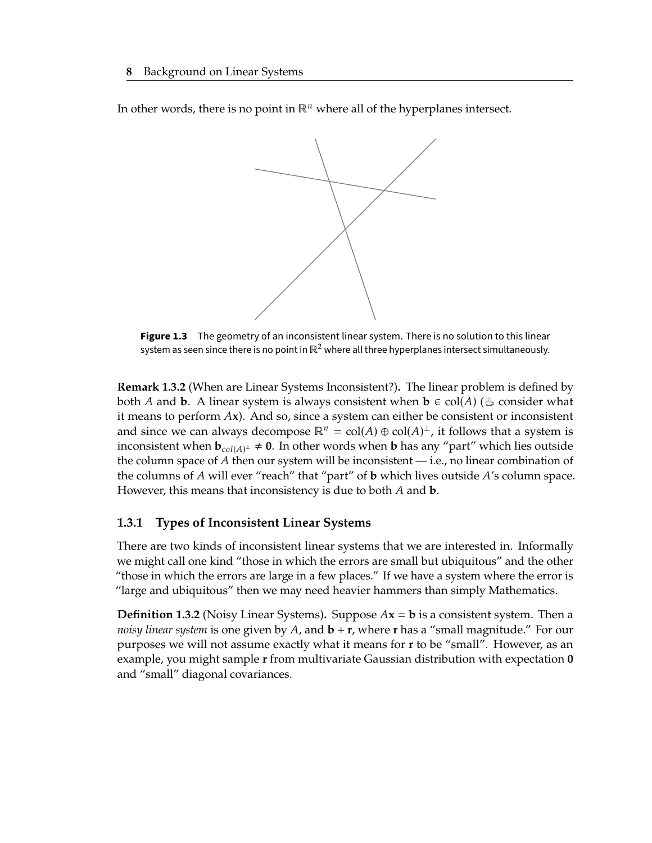<span id="page-22-0"></span>In other words, there is no point in  $\mathbb{R}^n$  where all of the hyperplanes intersect.



**Figure 1.3** The geometry of an inconsistent linear system. There is no solution to this linear system as seen since there is no point in  $\mathbb{R}^2$  where all three hyperplanes intersect simultaneously.

**Remark 1.3.2** (When are Linear Systems Inconsistent?)**.** The linear problem is defined by both A and **b**. A linear system is always consistent when  $\mathbf{b} \in \text{col}(A)$  ( $\stackrel{m}{\Rightarrow}$  consider what it means to perform **x**). And so, since a system can either be consistent or inconsistent and since we can always decompose  $\mathbb{R}^n = \text{col}(A) \oplus \text{col}(A)^\perp$ , it follows that a system is<br>inconsistent when **h**,  $\text{cov} \neq 0$ . In other words when **h** has any "part" which lies outside inconsistent when  $\mathbf{b}_{col(A)} \neq \mathbf{0}$ . In other words when **b** has any "part" which lies outside the column gnase of A then our system will be inconsistent i.e. no linear combination of the column space of  $A$  then our system will be inconsistent — i.e., no linear combination of the columns of  $A$  will ever "reach" that "part" of **b** which lives outside  $A$ 's column space. However, this means that inconsistency is due to both  $A$  and  $b$ .

### **1.3.1 Types of Inconsistent Linear Systems**

There are two kinds of inconsistent linear systems that we are interested in. Informally we might call one kind "those in which the errors are small but ubiquitous" and the other "those in which the errors are large in a few places." If we have a system where the error is "large and ubiquitous" then we may need heavier hammers than simply Mathematics.

**Definition 1.3.2** (Noisy Linear Systems). Suppose  $Ax = b$  is a consistent system. Then a *noisy linear system* is one given by A, and **b** + **r**, where **r** has a "small magnitude." For our purposes we will not assume exactly what it means for **r** to be "small". However, as an example, you might sample **r** from multivariate Gaussian distribution with expectation **0** and "small" diagonal covariances.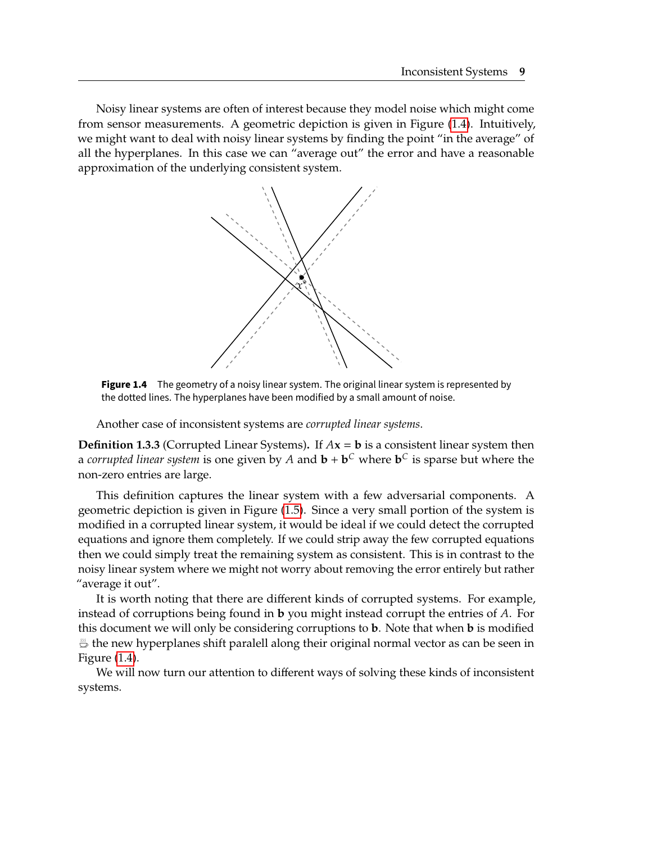<span id="page-23-0"></span>Noisy linear systems are often of interest because they model noise which might come from sensor measurements. A geometric depiction is given in Figure [\(1.4\)](#page-23-0). Intuitively, we might want to deal with noisy linear systems by finding the point "in the average" of all the hyperplanes. In this case we can "average out" the error and have a reasonable approximation of the underlying consistent system.



**Figure 1.4** The geometry of a noisy linear system. The original linear system is represented by the dotted lines. The hyperplanes have been modified by a small amount of noise.

Another case of inconsistent systems are *corrupted linear systems*.

**Definition 1.3.3** (Corrupted Linear Systems). If  $Ax = b$  is a consistent linear system then a *corrupted linear system* is one given by *A* and  $\mathbf{b} + \mathbf{b}^C$  where  $\mathbf{b}^C$  is sparse but where the non-zero entries are large.

This definition captures the linear system with a few adversarial components. A geometric depiction is given in Figure [\(1.5\)](#page-24-1). Since a very small portion of the system is modified in a corrupted linear system, it would be ideal if we could detect the corrupted equations and ignore them completely. If we could strip away the few corrupted equations then we could simply treat the remaining system as consistent. This is in contrast to the noisy linear system where we might not worry about removing the error entirely but rather "average it out".

It is worth noting that there are different kinds of corrupted systems. For example, instead of corruptions being found in **b** you might instead corrupt the entries of A. For this document we will only be considering corruptions to **b**. Note that when **b** is modified  $\mathbb{B}$  the new hyperplanes shift paralell along their original normal vector as can be seen in Figure [\(1.4\)](#page-23-0).

We will now turn our attention to different ways of solving these kinds of inconsistent systems.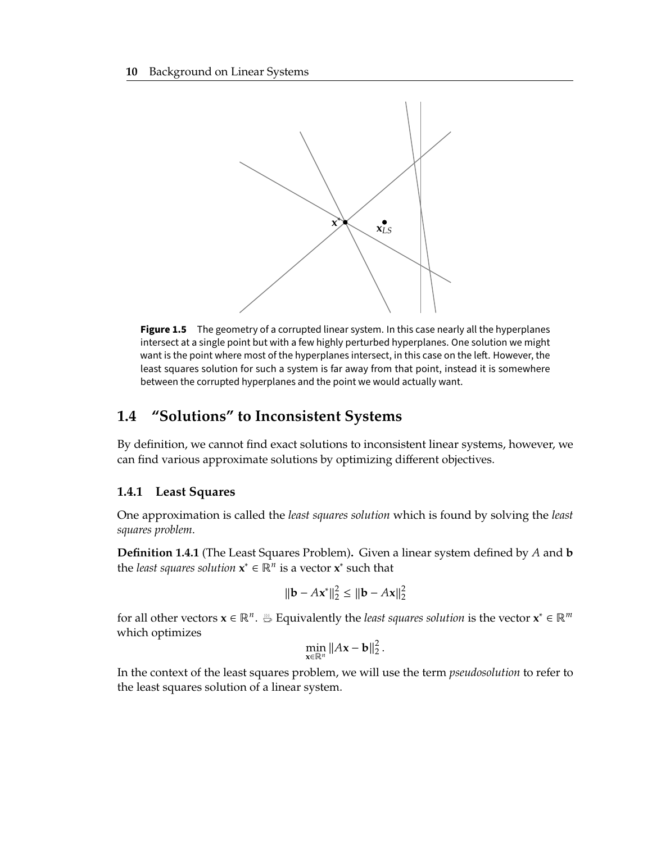<span id="page-24-1"></span>

**Figure 1.5** The geometry of a corrupted linear system. In this case nearly all the hyperplanes intersect at a single point but with a few highly perturbed hyperplanes. One solution we might want is the point where most of the hyperplanes intersect, in this case on the left. However, the least squares solution for such a system is far away from that point, instead it is somewhere between the corrupted hyperplanes and the point we would actually want.

## <span id="page-24-0"></span>**1.4 "Solutions" to Inconsistent Systems**

By definition, we cannot find exact solutions to inconsistent linear systems, however, we can find various approximate solutions by optimizing different objectives.

#### <span id="page-24-2"></span>**1.4.1 Least Squares**

One approximation is called the *least squares solution* which is found by solving the *least squares problem*.

**Definition 1.4.1** (The Least Squares Problem). Given a linear system defined by A and **b** the *least squares solution*  $\mathbf{x}^* \in \mathbb{R}^n$  is a vector  $\mathbf{x}^*$  such that

$$
\|\mathbf{b} - A\mathbf{x}^*\|_2^2 \le \|\mathbf{b} - A\mathbf{x}\|_2^2
$$

for all other vectors  $\mathbf{x} \in \mathbb{R}^n$ .  $\stackrel{m}{\Rightarrow}$  Equivalently the *least squares solution* is the vector  $\mathbf{x}^* \in \mathbb{R}^m$ which optimizes

$$
\min_{\mathbf{x}\in\mathbb{R}^n}||A\mathbf{x}-\mathbf{b}||_2^2.
$$

In the context of the least squares problem, we will use the term *pseudosolution* to refer to the least squares solution of a linear system.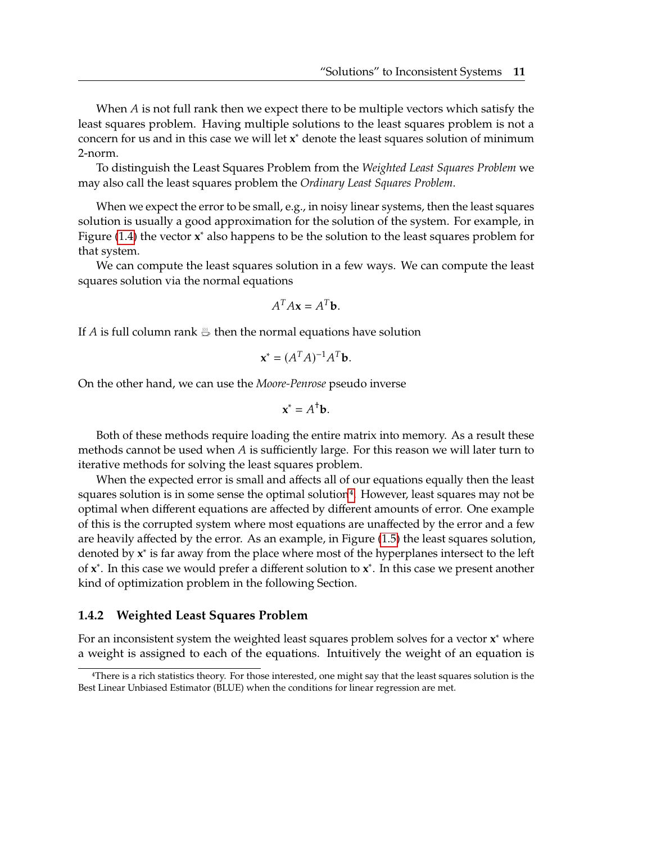When  $A$  is not full rank then we expect there to be multiple vectors which satisfy the least squares problem. Having multiple solutions to the least squares problem is not a concern for us and in this case we will let **x** <sup>∗</sup> denote the least squares solution of minimum 2-norm.

To distinguish the Least Squares Problem from the *Weighted Least Squares Problem* we may also call the least squares problem the *Ordinary Least Squares Problem*.

When we expect the error to be small, e.g., in noisy linear systems, then the least squares solution is usually a good approximation for the solution of the system. For example, in Figure [\(1.4\)](#page-23-0) the vector **x** <sup>∗</sup> also happens to be the solution to the least squares problem for that system.

We can compute the least squares solution in a few ways. We can compute the least squares solution via the normal equations

$$
A^T A \mathbf{x} = A^T \mathbf{b}.
$$

If A is full column rank  $\frac{10}{10}$  then the normal equations have solution

$$
\mathbf{x}^* = (A^T A)^{-1} A^T \mathbf{b}.
$$

On the other hand, we can use the *Moore-Penrose* pseudo inverse

$$
\mathbf{x}^* = A^{\dagger} \mathbf{b}.
$$

Both of these methods require loading the entire matrix into memory. As a result these methods cannot be used when  $A$  is sufficiently large. For this reason we will later turn to iterative methods for solving the least squares problem.

When the expected error is small and affects all of our equations equally then the least squares solution is in some sense the optimal solution<sup>[4](#page-25-0)</sup>. However, least squares may not be optimal when different equations are affected by different amounts of error. One example of this is the corrupted system where most equations are unaffected by the error and a few are heavily affected by the error. As an example, in Figure [\(1.5\)](#page-24-1) the least squares solution, denoted by **x**<sup>\*</sup> is far away from the place where most of the hyperplanes intersect to the left of **x** ∗ . In this case we would prefer a different solution to **x** ∗ . In this case we present another kind of optimization problem in the following Section.

#### <span id="page-25-1"></span>**1.4.2 Weighted Least Squares Problem**

For an inconsistent system the weighted least squares problem solves for a vector **x** <sup>∗</sup> where a weight is assigned to each of the equations. Intuitively the weight of an equation is

<span id="page-25-0"></span><sup>4</sup>There is a rich statistics theory. For those interested, one might say that the least squares solution is the Best Linear Unbiased Estimator (BLUE) when the conditions for linear regression are met.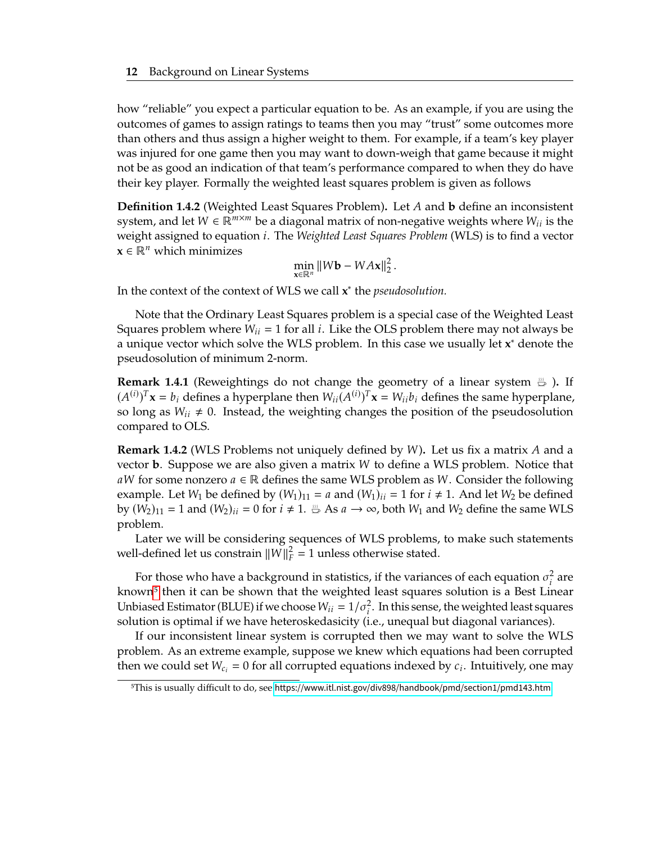how "reliable" you expect a particular equation to be. As an example, if you are using the outcomes of games to assign ratings to teams then you may "trust" some outcomes more than others and thus assign a higher weight to them. For example, if a team's key player was injured for one game then you may want to down-weigh that game because it might not be as good an indication of that team's performance compared to when they do have their key player. Formally the weighted least squares problem is given as follows

**Definition 1.4.2** (Weighted Least Squares Problem). Let A and **b** define an inconsistent system, and let  $W \in \mathbb{R}^{m \times m}$  be a diagonal matrix of non-negative weights where  $W_{ii}$  is the weight assigned to equation *i*. The *Weighted Least Squares Problem* (WLS) is to find a vector  $\mathbf{x} \in \mathbb{R}^n$  which minimizes

$$
\min_{\mathbf{x}\in\mathbb{R}^n}||W\mathbf{b} - W A\mathbf{x}||_2^2.
$$

In the context of the context of WLS we call **x** ∗ the *pseudosolution.*

Note that the Ordinary Least Squares problem is a special case of the Weighted Least Squares problem where  $W_{ii} = 1$  for all *i*. Like the OLS problem there may not always be a unique vector which solve the WLS problem. In this case we usually let **x** <sup>∗</sup> denote the pseudosolution of minimum 2-norm.

**Remark 1.4.1** (Reweightings do not change the geometry of a linear system )**.** If  $(A^{(i)})^T$ **x** =  $b_i$  defines a hyperplane then  $W_{ii}(A^{(i)})^T$ **x** =  $W_{ii}b_i$  defines the same hyperplane, so long as  $W_{ii} \neq 0$ . Instead, the weighting changes the position of the pseudosolution compared to OLS.

**Remark 1.4.2** (WLS Problems not uniquely defined by  $W$ ). Let us fix a matrix  $A$  and a vector **b**. Suppose we are also given a matrix W to define a WLS problem. Notice that aW for some nonzero  $a \in \mathbb{R}$  defines the same WLS problem as W. Consider the following example. Let  $W_1$  be defined by  $(W_1)_{11} = a$  and  $(W_1)_{ii} = 1$  for  $i \neq 1$ . And let  $W_2$  be defined by  $(W_2)_{11} = 1$  and  $(W_2)_{ii} = 0$  for  $i \neq 1$ .  $\overset{iv}{\Rightarrow}$  As  $a \rightarrow \infty$ , both  $W_1$  and  $W_2$  define the same WLS problem.

Later we will be considering sequences of WLS problems, to make such statements well-defined let us constrain  $||W||_F^2 = 1$  unless otherwise stated.

For those who have a background in statistics, if the variances of each equation  $\sigma_i^2$  are known<sup>[5](#page-26-0)</sup> then it can be shown that the weighted least squares solution is a Best Linear Unbiased Estimator (BLUE) if we choose  $W_{ii} = 1/\sigma_i^2$ . In this sense, the weighted least squares<br>solution is optimal if we have heteroskedasicity (i.e., unoqual but diagonal variances) solution is optimal if we have heteroskedasicity (i.e., unequal but diagonal variances).

If our inconsistent linear system is corrupted then we may want to solve the WLS problem. As an extreme example, suppose we knew which equations had been corrupted then we could set  $W_{c_i} = 0$  for all corrupted equations indexed by  $c_i$ . Intuitively, one may

<span id="page-26-0"></span><sup>5</sup>This is usually difficult to do, see <https://www.itl.nist.gov/div898/handbook/pmd/section1/pmd143.htm>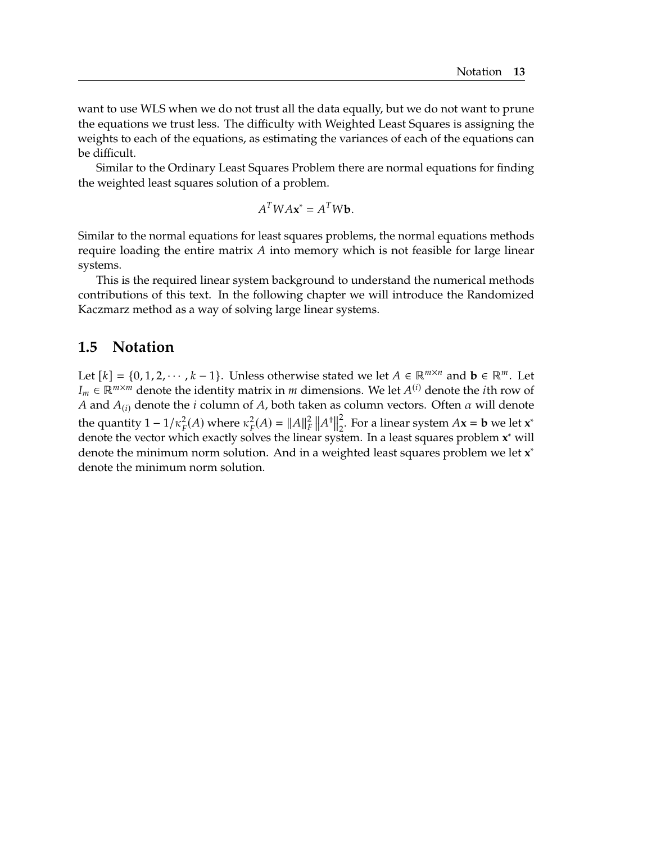want to use WLS when we do not trust all the data equally, but we do not want to prune the equations we trust less. The difficulty with Weighted Least Squares is assigning the weights to each of the equations, as estimating the variances of each of the equations can be difficult.

Similar to the Ordinary Least Squares Problem there are normal equations for finding the weighted least squares solution of a problem.

$$
A^T W A \mathbf{x}^* = A^T W \mathbf{b}.
$$

Similar to the normal equations for least squares problems, the normal equations methods require loading the entire matrix  $A$  into memory which is not feasible for large linear systems.

This is the required linear system background to understand the numerical methods contributions of this text. In the following chapter we will introduce the Randomized Kaczmarz method as a way of solving large linear systems.

### <span id="page-27-0"></span>**1.5 Notation**

Let  $[k] = \{0, 1, 2, \dots, k - 1\}$ . Unless otherwise stated we let  $A \in \mathbb{R}^{m \times n}$  and  $\mathbf{b} \in \mathbb{R}^m$ . Let  $I_m \in \mathbb{R}^{m \times m}$  denote the identity matrix in *m* dimensions. We let  $A^{(i)}$  denote the *i*th row of  $A$  and  $A_{(i)}$  denote the *i* column of  $A$  both taken as solumn vectors. Often a will denote A and  $A_{(i)}$  denote the *i* column of A, both taken as column vectors. Often  $\alpha$  will denote the quantity  $1 - 1/\kappa_F^2(A)$  where  $\kappa_F^2(A) = ||A||_F^2 ||A^+||_F^2$ the quantity  $1 - 1/k_F(A)$  where  $k_F(A) = ||A||_F ||A||_2$ . For a linear system  $A\mathbf{x} = \mathbf{b}$  we let  $\mathbf{x}$  denote the vector which exactly solves the linear system. In a least squares problem  $\mathbf{x}^*$  will 2 <sup>2</sup><br><sub>2</sub>. For a linear system  $A$ **x** = **b** we let **x**<sup>\*</sup><br><sup>\*</sup> denote the minimum norm solution. And in a weighted least squares problem we let **x** ∗ denote the minimum norm solution.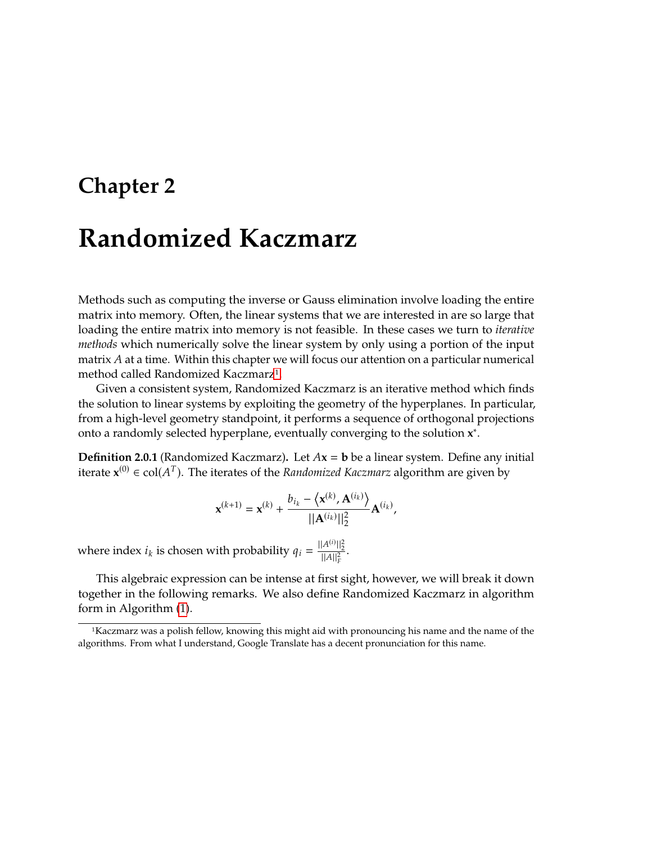# <span id="page-29-0"></span>**Chapter 2**

# **Randomized Kaczmarz**

Methods such as computing the inverse or Gauss elimination involve loading the entire matrix into memory. Often, the linear systems that we are interested in are so large that loading the entire matrix into memory is not feasible. In these cases we turn to *iterative methods* which numerically solve the linear system by only using a portion of the input matrix  $A$  at a time. Within this chapter we will focus our attention on a particular numerical method called Randomized Kaczmarz<sup>[1](#page-29-1)</sup>.

Given a consistent system, Randomized Kaczmarz is an iterative method which finds the solution to linear systems by exploiting the geometry of the hyperplanes. In particular, from a high-level geometry standpoint, it performs a sequence of orthogonal projections onto a randomly selected hyperplane, eventually converging to the solution **x** ∗ .

**Definition 2.0.1** (Randomized Kaczmarz). Let  $Ax = b$  be a linear system. Define any initial iterate  $$ 

$$
\mathbf{x}^{(k+1)} = \mathbf{x}^{(k)} + \frac{b_{i_k} - \langle \mathbf{x}^{(k)}, \mathbf{A}^{(i_k)} \rangle}{||\mathbf{A}^{(i_k)}||_2^2} \mathbf{A}^{(i_k)},
$$

where index  $i_k$  is chosen with probability  $q_i = \frac{||A^{(i)}||_2^2}{||A||_F^2}$ .

This algebraic expression can be intense at first sight, however, we will break it down together in the following remarks. We also define Randomized Kaczmarz in algorithm form in Algorithm [\(1\)](#page-30-2).

<span id="page-29-1"></span><sup>1</sup>Kaczmarz was a polish fellow, knowing this might aid with pronouncing his name and the name of the algorithms. From what I understand, Google Translate has a decent pronunciation for this name.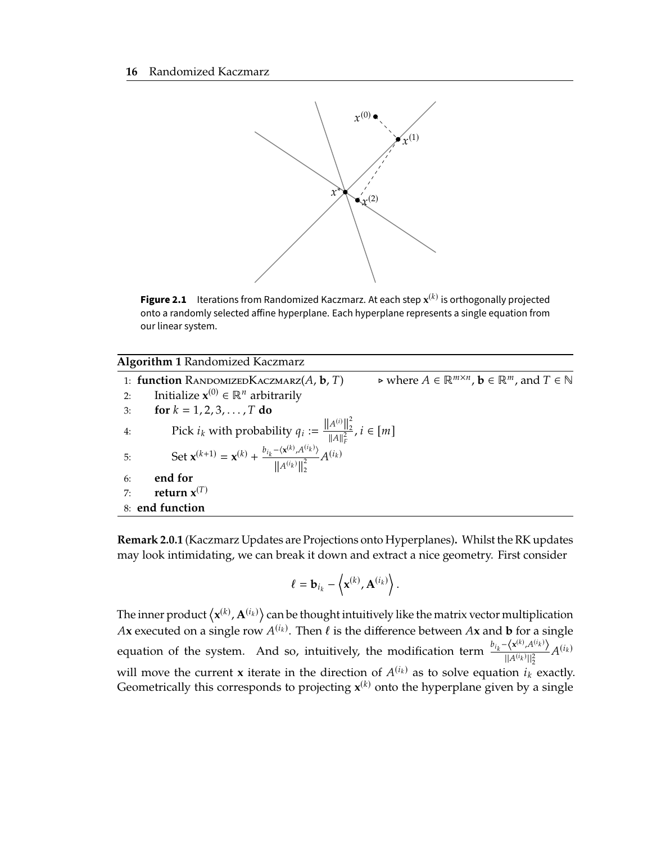<span id="page-30-0"></span>

**Figure 2.1** Iterations from Randomized Kaczmarz. At each step  $\mathbf{x}^{(k)}$  is orthogonally projected onto a randomly selected affine hyperplane. Each hyperplane represents a single equation from our linear system.

<span id="page-30-1"></span>

| <b>Algorithm 1 Randomized Kaczmarz</b>                                                                                                                                                                                             |
|------------------------------------------------------------------------------------------------------------------------------------------------------------------------------------------------------------------------------------|
| $\triangleright$ where $A \in \mathbb{R}^{m \times n}$ , $\mathbf{b} \in \mathbb{R}^m$ , and $T \in \mathbb{N}$<br>1: <b>function</b> RANDOMIZEDKACZMARZ $(A, \mathbf{b}, T)$                                                      |
| Initialize $\mathbf{x}^{(0)} \in \mathbb{R}^n$ arbitrarily<br>2:                                                                                                                                                                   |
| for $k = 1, 2, 3, , T$ do<br>3:                                                                                                                                                                                                    |
| 4:                                                                                                                                                                                                                                 |
| Pick $i_k$ with probability $q_i := \frac{\ A^{(i)}\ _2^2}{\ A\ _F^2}, i \in [m]$<br>Set $\mathbf{x}^{(k+1)} = \mathbf{x}^{(k)} + \frac{b_{i_k} - \langle \mathbf{x}^{(k)}, A^{(i_k)} \rangle}{\ A^{(i_k)}\ _2^2} A^{(i_k)}$<br>5: |
| end for<br>6:                                                                                                                                                                                                                      |
| return $x^{(T)}$<br>7:                                                                                                                                                                                                             |
| 8: end function                                                                                                                                                                                                                    |

<span id="page-30-2"></span>**Remark 2.0.1** (Kaczmarz Updates are Projections onto Hyperplanes)**.** Whilst the RK updates may look intimidating, we can break it down and extract a nice geometry. First consider

$$
\ell = \mathbf{b}_{i_k} - \left\langle \mathbf{x}^{(k)}, \mathbf{A}^{(i_k)} \right\rangle.
$$

The inner product  $\langle \mathbf{x}^{(k)}, \mathbf{A}^{(i_k)} \rangle$  can be thought intuitively like the matrix vector multiplication  $A$ <sup>x</sup> overvised on a single xexx  $A^{(i_k)}$ . Then  $\ell$  is the difference hatusen  $A$ **x** and **h** for a single *Ax* executed on a single row  $A^{(i_k)}$ . Then  $\ell$  is the difference between  $A$ **x** and **b** for a single equation of the system. And so, intuitively, the modification term  $\frac{b_{i_k} - \langle \mathbf{x}^{(k)}, A^{(i_k)} \rangle}{\| \mathbf{x}^{(i_k)} \|^2}$ ) ⟩  $||A^{(i)}||$  $\frac{A^{(i_k)}}{||l_2^2}A^{(i_k)}$ will move the current **x** iterate in the direction of  $A^{(i_k)}$  as to solve equation  $i_k$  exactly.<br>Connectically this corresponds to projecting  $\mathbf{x}^{(k)}$  onto the hyperplane given by a single Geometrically this corresponds to projecting  $x^{(k)}$  onto the hyperplane given by a single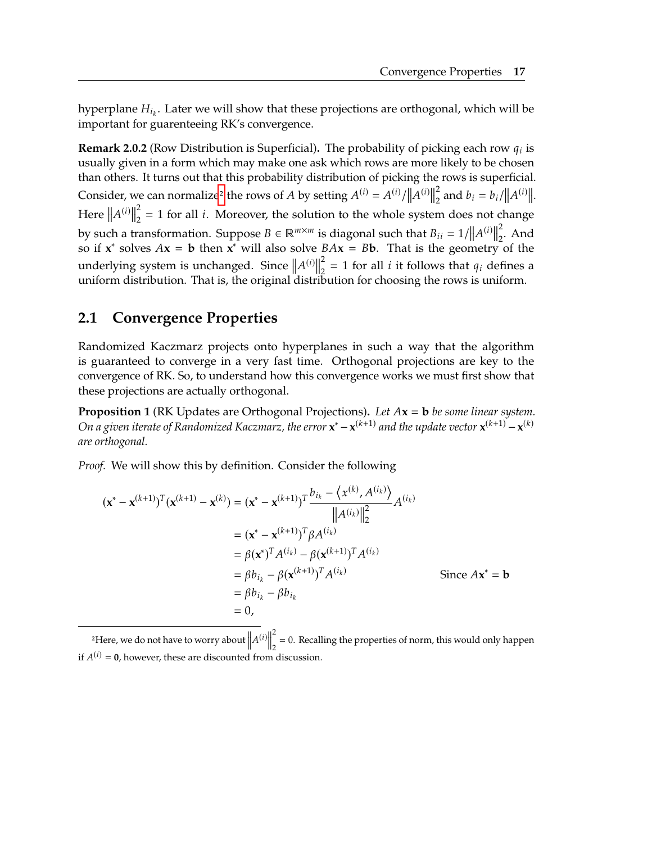hyperplane  $H_{i_k}$ . Later we will show that these projections are orthogonal, which will be important for quarentosing  $P K'$  convergence. important for guarenteeing RK's convergence.

**Remark 2.0.2** (Row Distribution is Superficial). The probability of picking each row  $q_i$  is usually given in a form which may make one ask which rows are more likely to be chosen usually given in a form which may make one ask which rows are more likely to be chosen than others. It turns out that this probability distribution of picking the rows is superficial. Consider, we can normalize<sup>[2](#page-31-1)</sup> the rows of *A* by setting  $A^{(i)} = A^{(i)}/||A^{(i)}||$ Consider, we can normalize the rows of A by setting  $A^{\vee} = A^{\vee}/\|A^{\vee}\|_2$  and  $v_i = v_i/\|A\|_2$ <br>
Here  $\|A^{(i)}\|_2^2 = 1$  for all *i*. Moreover, the solution to the whole system does not chan 2  $\int_{2}^{2}$  and  $b_i = b_i / ||A^{(i)}||$ . 2  $\frac{2}{2}$  = 1 for all *i*. Moreover, the solution to the whole system does not change by such a transformation. Suppose  $B \in \mathbb{R}^{m \times m}$  is diagonal such that  $B_{ii} = 1/||A^{(i)}||_2^2$ <br>so if  $x^*$  solves  $Ax = b$  then  $x^*$  will also solve  $BAx = Bb$ . That is the geometry so if  $\mathbf{x}^*$  solves  $A\mathbf{x} = \mathbf{b}$  then  $\mathbf{x}^*$  will also solve  $BA\mathbf{x} = B\mathbf{b}$ . That is the geometry of the  $\frac{2}{2}$ . And underlying system is unchanged. Since  $||A^{(i)}||$ <br>uniform distribution. That is, the original distri 2 underlying system is unchanged. Since  $||A^{(i)}||_2^2 = 1$  for all *i* it follows that  $q_i$  defines a uniform distribution. That is, the original distribution for choosing the rows is uniform.

### <span id="page-31-0"></span>**2.1 Convergence Properties**

Randomized Kaczmarz projects onto hyperplanes in such a way that the algorithm is guaranteed to converge in a very fast time. Orthogonal projections are key to the convergence of RK. So, to understand how this convergence works we must first show that these projections are actually orthogonal.

<span id="page-31-2"></span>**Proposition 1** (RK Updates are Orthogonal Projections)**.** *Let* **<sup>x</sup>** <sup>=</sup> **<sup>b</sup>** *be some linear system. On a given iterate of Randomized Kaczmarz, the error*  $\mathbf{x}^* - \mathbf{x}^{(k+1)}$  and the update vector  $\mathbf{x}^{(k+1)} - \mathbf{x}^{(k)}$ *are orthogonal.*

*Proof.* We will show this by definition. Consider the following

$$
(\mathbf{x}^* - \mathbf{x}^{(k+1)})^T (\mathbf{x}^{(k+1)} - \mathbf{x}^{(k)}) = (\mathbf{x}^* - \mathbf{x}^{(k+1)})^T \frac{b_{i_k} - \langle \mathbf{x}^{(k)}, A^{(i_k)} \rangle}{\|A^{(i_k)}\|_2^2}
$$
  
\n
$$
= (\mathbf{x}^* - \mathbf{x}^{(k+1)})^T \beta A^{(i_k)}
$$
  
\n
$$
= \beta (\mathbf{x}^*)^T A^{(i_k)} - \beta (\mathbf{x}^{(k+1)})^T A^{(i_k)}
$$
  
\n
$$
= \beta b_{i_k} - \beta (\mathbf{x}^{(k+1)})^T A^{(i_k)}
$$
  
\n
$$
= \beta b_{i_k} - \beta b_{i_k}
$$
  
\n
$$
= 0,
$$

<span id="page-31-1"></span><sup>2</sup>Here, we do not have to worry about  $||A^{(i)}||$ 2  $\frac{2}{2}$  = 0. Recalling the properties of norm, this would only happen if  $A^{(i)} = \mathbf{0}$ , however, these are discounted from discussion.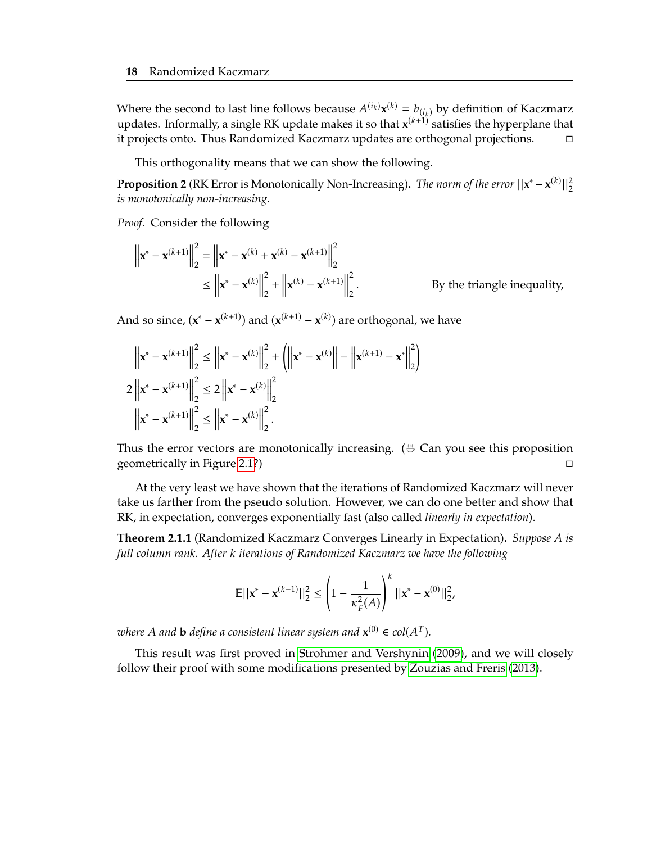Where the second to last line follows because  $A^{(i_k)} \mathbf{x}^{(k)} = b_{(i_k)}$  by definition of Kaczmarz<br>undates. Informally, a single PK undate makes it so that  $\mathbf{x}^{(k+1)}$  satisfies the hyperplane that updates. Informally, a single RK update makes it so that  $x^{(k+1)}$  satisfies the hyperplane that it projects onto. Thus Randomized Kaczmarz updates are orthogonal projections. □

This orthogonality means that we can show the following.

**Proposition 2** (RK Error is Monotonically Non-Increasing). *The norm of the error*  $||\mathbf{x}^* - \mathbf{x}^{(k)}||_2^2$ *is monotonically non-increasing.*

*Proof.* Consider the following

$$
\left\| \mathbf{x}^{*} - \mathbf{x}^{(k+1)} \right\|_{2}^{2} = \left\| \mathbf{x}^{*} - \mathbf{x}^{(k)} + \mathbf{x}^{(k)} - \mathbf{x}^{(k+1)} \right\|_{2}^{2}
$$
  
\n
$$
\leq \left\| \mathbf{x}^{*} - \mathbf{x}^{(k)} \right\|_{2}^{2} + \left\| \mathbf{x}^{(k)} - \mathbf{x}^{(k+1)} \right\|_{2}^{2}.
$$
 By the triangle inequality,

And so since,  $(x^* - x^{(k+1)})$  and  $(x^{(k+1)} - x^{(k)})$  are orthogonal, we have

$$
\left\| \mathbf{x}^{*} - \mathbf{x}^{(k+1)} \right\|_{2}^{2} \leq \left\| \mathbf{x}^{*} - \mathbf{x}^{(k)} \right\|_{2}^{2} + \left( \left\| \mathbf{x}^{*} - \mathbf{x}^{(k)} \right\| - \left\| \mathbf{x}^{(k+1)} - \mathbf{x}^{*} \right\|_{2}^{2} \right)
$$
  
2  $\left\| \mathbf{x}^{*} - \mathbf{x}^{(k+1)} \right\|_{2}^{2} \leq 2 \left\| \mathbf{x}^{*} - \mathbf{x}^{(k)} \right\|_{2}^{2}$   
 $\left\| \mathbf{x}^{*} - \mathbf{x}^{(k+1)} \right\|_{2}^{2} \leq \left\| \mathbf{x}^{*} - \mathbf{x}^{(k)} \right\|_{2}^{2}.$ 

Thus the error vectors are monotonically increasing.  $(\mathcal{L}$  Can you see this proposition geometrically in Figure [2.1?](#page-30-0)) □

At the very least we have shown that the iterations of Randomized Kaczmarz will never take us farther from the pseudo solution. However, we can do one better and show that RK, in expectation, converges exponentially fast (also called *linearly in expectation*).

**Theorem 2.1.1** (Randomized Kaczmarz Converges Linearly in Expectation)**.** *Suppose is full column rank. After iterations of Randomized Kaczmarz we have the following*

$$
\mathbb{E}||\mathbf{x}^* - \mathbf{x}^{(k+1)}||_2^2 \le \left(1 - \frac{1}{\kappa_F^2(A)}\right)^k ||\mathbf{x}^* - \mathbf{x}^{(0)}||_2^2,
$$

where A and **b** define a consistent linear system and  $\mathbf{x}^{(0)} \in \text{col}(A^T)$ .

This result was first proved in [Strohmer and Vershynin](#page-69-5) [\(2009\)](#page-69-5), and we will closely follow their proof with some modifications presented by [Zouzias and Freris](#page-69-0) [\(2013\)](#page-69-0).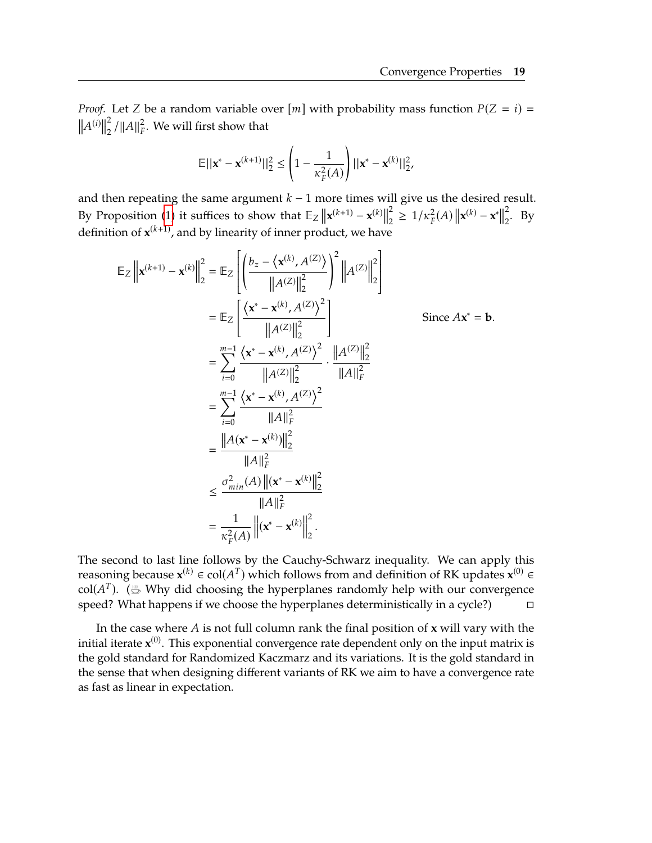*Proof.* Let *Z* be a random variable over  $[m]$  with probability mass function  $P(Z = i)$  =  $||A^{(i)}||$ 2  $\frac{2}{2}$  / || A ||  $\frac{2}{F}$ . We will first show that

$$
\mathbb{E}||\mathbf{x}^* - \mathbf{x}^{(k+1)}||_2^2 \le \left(1 - \frac{1}{\kappa_F^2(A)}\right)||\mathbf{x}^* - \mathbf{x}^{(k)}||_2^2,
$$

and then repeating the same argument  $k - 1$  more times will give us the desired result. By Proposition [\(1\)](#page-31-2) it suffices to show that  $\mathbb{E}_Z \left\| \mathbf{x}^{(k+1)} - \mathbf{x}^{(k)} \right\|$ 2  $\frac{2}{2}$  ≥ 1/ $\kappa_F^2(A)$  ||**x**<sup>(k)</sup> − **x**<sup>\*</sup>|| 2  $\frac{2}{2}$ . By definition of  $x^{(k+1)}$ , and by linearity of inner product, we have

$$
\mathbb{E}_{Z} \left\| \mathbf{x}^{(k+1)} - \mathbf{x}^{(k)} \right\|_{2}^{2} = \mathbb{E}_{Z} \left[ \left( \frac{b_{z} - \langle \mathbf{x}^{(k)}, A^{(Z)} \rangle}{\|A^{(Z)}\|_{2}^{2}} \right)^{2} \left\|A^{(Z)}\right\|_{2}^{2} \right]
$$
\n
$$
= \mathbb{E}_{Z} \left[ \frac{\langle \mathbf{x}^{*} - \mathbf{x}^{(k)}, A^{(Z)} \rangle^{2}}{\|A^{(Z)}\|_{2}^{2}} \right] \qquad \text{Since } A\mathbf{x}^{*} = \mathbf{b}.
$$
\n
$$
= \sum_{i=0}^{m-1} \frac{\langle \mathbf{x}^{*} - \mathbf{x}^{(k)}, A^{(Z)} \rangle^{2}}{\|A^{(Z)}\|_{2}^{2}} \cdot \frac{\|A^{(Z)}\|_{2}^{2}}{\|A\|_{F}^{2}}
$$
\n
$$
= \sum_{i=0}^{m-1} \frac{\langle \mathbf{x}^{*} - \mathbf{x}^{(k)}, A^{(Z)} \rangle^{2}}{\|A\|_{F}^{2}}
$$
\n
$$
= \frac{\|A(\mathbf{x}^{*} - \mathbf{x}^{(k)})\|_{2}^{2}}{\|A\|_{F}^{2}}
$$
\n
$$
\leq \frac{\sigma_{min}^{2}(A) \left\| (\mathbf{x}^{*} - \mathbf{x}^{(k)}) \right\|_{2}^{2}}{\|A\|_{F}^{2}}
$$
\n
$$
= \frac{1}{\kappa_{F}^{2}(A)} \left\| (\mathbf{x}^{*} - \mathbf{x}^{(k)}) \right\|_{2}^{2}.
$$

 The second to last line follows by the Cauchy-Schwarz inequality. We can apply this reasoning because  $\mathbf{x}^{(k)} \in \text{col}(A^T)$  which follows from and definition of RK updates  $\mathbf{x}^{(0)} \in$ <br>col( $A^T$ ) (...) Why did choosing the hyperplanes randomly belp with our convergence col( $A<sup>T</sup>$ ). ( $\stackrel{\text{\tiny{def}}}{\rightarrow}$  Why did choosing the hyperplanes randomly help with our convergence<br>speed? What happens if we choose the hyperplanes deterministically in a gycle?) speed? What happens if we choose the hyperplanes deterministically in a cycle?)  $\Box$ 

In the case where  $A$  is not full column rank the final position of  $x$  will vary with the initial iterate **x** (0) . This exponential convergence rate dependent only on the input matrix is the gold standard for Randomized Kaczmarz and its variations. It is the gold standard in the sense that when designing different variants of RK we aim to have a convergence rate as fast as linear in expectation.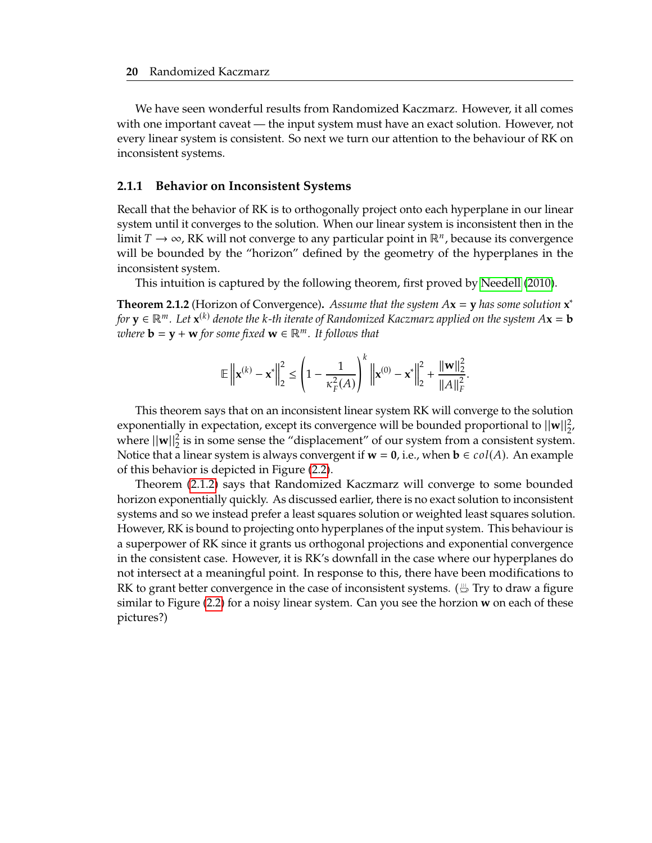We have seen wonderful results from Randomized Kaczmarz. However, it all comes with one important caveat — the input system must have an exact solution. However, not every linear system is consistent. So next we turn our attention to the behaviour of RK on inconsistent systems.

#### <span id="page-34-1"></span>**2.1.1 Behavior on Inconsistent Systems**

Recall that the behavior of RK is to orthogonally project onto each hyperplane in our linear system until it converges to the solution. When our linear system is inconsistent then in the limit  $T \to \infty$ , RK will not converge to any particular point in ℝ<sup>n</sup>, because its convergence will be bounded by the "borizon" defined by the coometry of the byperplanes in the will be bounded by the "horizon" defined by the geometry of the hyperplanes in the inconsistent system.

This intuition is captured by the following theorem, first proved by [Needell](#page-69-6) [\(2010\)](#page-69-6).

<span id="page-34-0"></span>**Theorem 2.1.2** (Horizon of Convergence). *Assume that the system*  $A\mathbf{x} = \mathbf{y}$  *has some solution*  $\mathbf{x}^*$  *to*  $\mathbf{y} \in \mathbb{R}^m$ . Let  $\mathbf{x}^{(k)}$  denote the k-th iterate of Randomized *Kaczmarz* applied on the cyc *for*  $\mathbf{y} \in \mathbb{R}^m$ . Let  $\mathbf{x}^{(k)}$  denote the k-th iterate of Randomized Kaczmarz applied on the system  $A\mathbf{x} = \mathbf{b}$ <br>zuhere  $\mathbf{b} = \mathbf{y} + \mathbf{w}$  for some fixed  $\mathbf{w} \in \mathbb{R}^m$ . It follows that *where*  $\mathbf{b} = \mathbf{y} + \mathbf{w}$  *for some fixed*  $\mathbf{w} \in \mathbb{R}^m$ . It follows that

$$
\mathbb{E}\left\|\mathbf{x}^{(k)} - \mathbf{x}^*\right\|_2^2 \le \left(1 - \frac{1}{\kappa_F^2(A)}\right)^k \left\|\mathbf{x}^{(0)} - \mathbf{x}^*\right\|_2^2 + \frac{\|\mathbf{w}\|_2^2}{\|A\|_F^2}.
$$

This theorem says that on an inconsistent linear system RK will converge to the solution exponentially in expectation, except its convergence will be bounded proportional to  $||w||_2^2$ , where  $\|\mathbf{w}\|_2^2$  is in some sense the "displacement" of our system from a consistent system. Notice that a linear system is always convergent if  $w = 0$ , i.e., when  $b \in col(A)$ . An example of this behavior is depicted in Figure [\(2.2\)](#page-35-1).

Theorem [\(2.1.2\)](#page-34-0) says that Randomized Kaczmarz will converge to some bounded horizon exponentially quickly. As discussed earlier, there is no exact solution to inconsistent systems and so we instead prefer a least squares solution or weighted least squares solution. However, RK is bound to projecting onto hyperplanes of the input system. This behaviour is a superpower of RK since it grants us orthogonal projections and exponential convergence in the consistent case. However, it is RK's downfall in the case where our hyperplanes do not intersect at a meaningful point. In response to this, there have been modifications to RK to grant better convergence in the case of inconsistent systems. ( $\stackrel{\text{\tiny (1)}}{\Rightarrow}$  Try to draw a figure similar to Figure [\(2.2\)](#page-35-1) for a noisy linear system. Can you see the horzion **w** on each of these pictures?)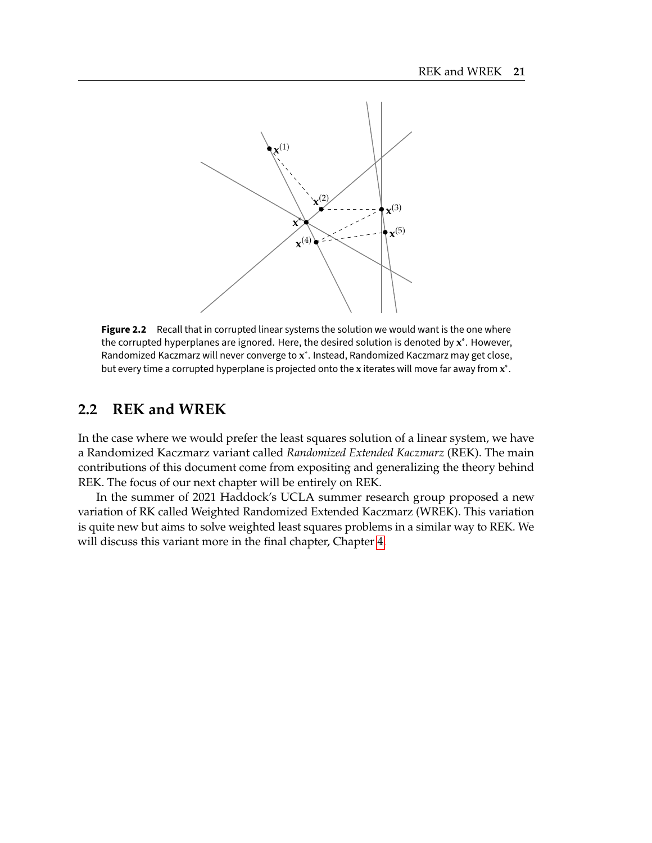<span id="page-35-1"></span>

Figure 2.2 Recall that in corrupted linear systems the solution we would want is the one where the corrupted hyperplanes are ignored. Here, the desired solution is denoted by **x** ∗ . However, Randomized Kaczmarz will never converge to **x** ∗ . Instead, Randomized Kaczmarz may get close, but every time a corrupted hyperplane is projected onto the **x** iterates will move far away from **x** ∗ .

## <span id="page-35-0"></span>**2.2 REK and WREK**

In the case where we would prefer the least squares solution of a linear system, we have a Randomized Kaczmarz variant called *Randomized Extended Kaczmarz* (REK). The main contributions of this document come from expositing and generalizing the theory behind REK. The focus of our next chapter will be entirely on REK.

In the summer of 2021 Haddock's UCLA summer research group proposed a new variation of RK called Weighted Randomized Extended Kaczmarz (WREK). This variation is quite new but aims to solve weighted least squares problems in a similar way to REK. We will discuss this variant more in the final chapter, Chapter [4.](#page-57-0)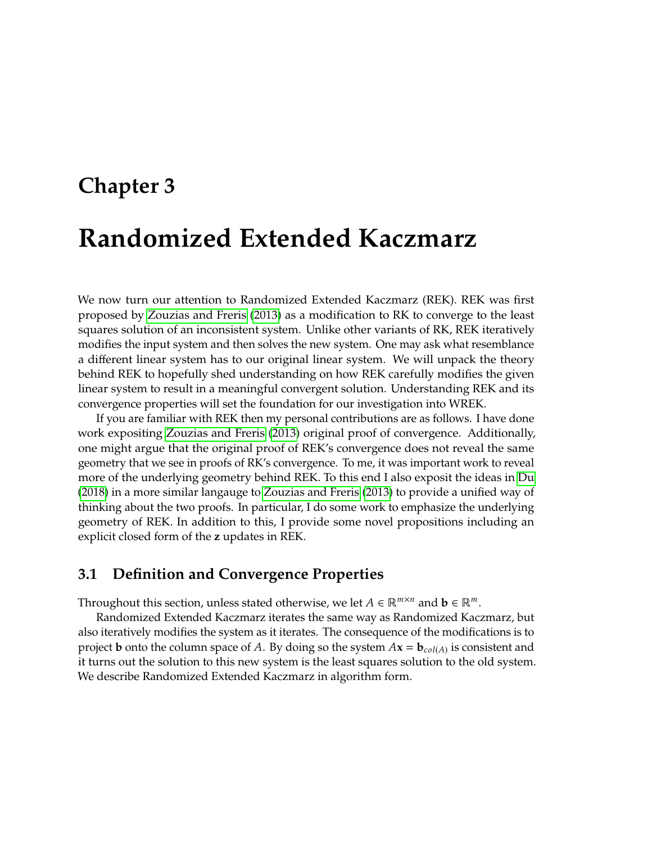# <span id="page-37-0"></span>**Chapter 3**

# **Randomized Extended Kaczmarz**

We now turn our attention to Randomized Extended Kaczmarz (REK). REK was first proposed by [Zouzias and Freris](#page-69-0) [\(2013\)](#page-69-0) as a modification to RK to converge to the least squares solution of an inconsistent system. Unlike other variants of RK, REK iteratively modifies the input system and then solves the new system. One may ask what resemblance a different linear system has to our original linear system. We will unpack the theory behind REK to hopefully shed understanding on how REK carefully modifies the given linear system to result in a meaningful convergent solution. Understanding REK and its convergence properties will set the foundation for our investigation into WREK.

If you are familiar with REK then my personal contributions are as follows. I have done work expositing [Zouzias and Freris](#page-69-0) [\(2013\)](#page-69-0) original proof of convergence. Additionally, one might argue that the original proof of REK's convergence does not reveal the same geometry that we see in proofs of RK's convergence. To me, it was important work to reveal more of the underlying geometry behind REK. To this end I also exposit the ideas in [Du](#page-69-1) [\(2018\)](#page-69-1) in a more similar langauge to [Zouzias and Freris](#page-69-0) [\(2013\)](#page-69-0) to provide a unified way of thinking about the two proofs. In particular, I do some work to emphasize the underlying geometry of REK. In addition to this, I provide some novel propositions including an explicit closed form of the **z** updates in REK.

### <span id="page-37-1"></span>**3.1 Definition and Convergence Properties**

Throughout this section, unless stated otherwise, we let  $A \in \mathbb{R}^{m \times n}$  and  $\mathbf{b} \in \mathbb{R}^m$ .

Randomized Extended Kaczmarz iterates the same way as Randomized Kaczmarz, but also iteratively modifies the system as it iterates. The consequence of the modifications is to project **b** onto the column space of A. By doing so the system  $A\mathbf{x} = \mathbf{b}_{col(A)}$  is consistent and<br>it turns out the solution to this pour system is the least squares solution to the old system it turns out the solution to this new system is the least squares solution to the old system. We describe Randomized Extended Kaczmarz in algorithm form.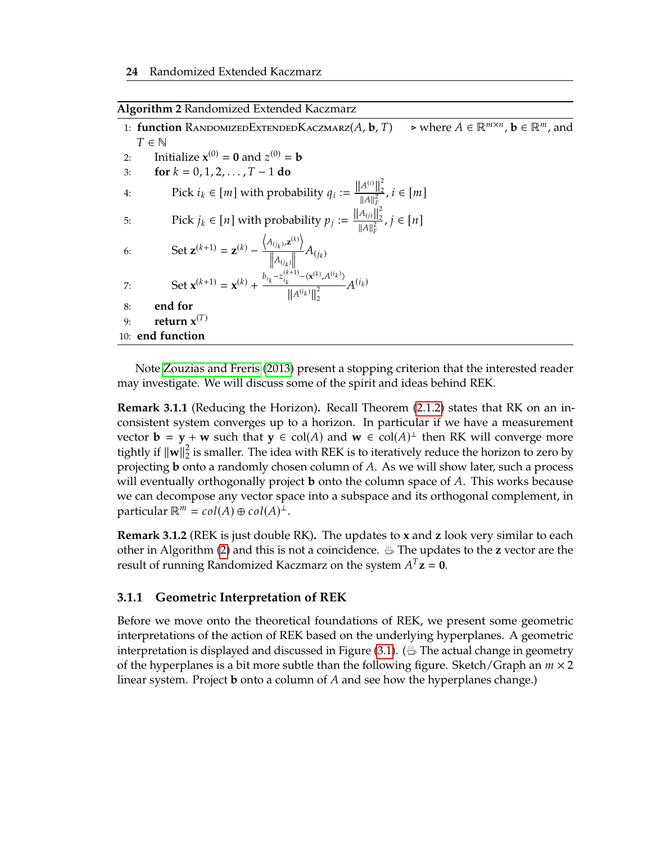<span id="page-38-0"></span>

| Algorithm 2 Randomized Extended Kaczmarz |  |  |  |
|------------------------------------------|--|--|--|

1: **function** RANDOMIZEDEXTENDEDKACZMARZ $(A, \mathbf{b}, T)$  $\triangleright$  where  $A \in \mathbb{R}^{m \times n}$ ,  $\mathbf{b} \in \mathbb{R}^m$ , and  $T \in \mathbb{N}$ 2: Initialize  $x^{(0)} = 0$  and  $z^{(0)} = b$ <br> **2:**  $f \circ r \cdot k = 0, 1, 2, \quad T = 1, d \circ p$ 3: **for**  $k = 0, 1, 2, ..., T - 1$  **do** 4: Pick  $i_k \in [m]$  with probability  $q_i := \frac{\|A^{(i)}\|_2^2}{\|A\|_F^2}$  $\frac{A^{(1)}||_2}{||A||_F^2}, i \in [m]$ 5: Pick  $j_k \in [n]$  with probability  $p_j := \frac{\left\|A_{(j)}\right\|_2^2}{\|A\|_F^2}$  $\frac{A(j) ||_2}{||A||_F^2}$  $\frac{\Pi_2}{P}$ ,  $j \in [n]$ 6: Set  $\mathbf{z}^{(k+1)} = \mathbf{z}^{(k)} - \frac{\left\langle A_{(j_k)} \right\rangle}{\|\mathbf{z}\|}$  $\rightarrow$  $z^{(k)}$  $\parallel$   $A_{\left(i_k\right)}$  $\prod_{k=1}^{n} A(j_k)$ 7: Set  $\mathbf{x}^{(k+1)} = \mathbf{x}^{(k)} + \frac{b_{i_k} - z_{i_k}^{(k+1)}}{\ln 4}$  $-\langle \mathbf{x}^{(k)}, A^{(i)} \rangle$  $)$  $||A^{(i)}||$  $\sqrt{2}$  $A^{(i_k)}$ <br>  $A^{(i_k)}$ 8: **end for** 9: **return**  $\mathbf{x}^{(T)}$ 10: **end function**

Note [Zouzias and Freris](#page-69-0) [\(2013\)](#page-69-0) present a stopping criterion that the interested reader may investigate. We will discuss some of the spirit and ideas behind REK.

**Remark 3.1.1** (Reducing the Horizon)**.** Recall Theorem [\(2.1.2\)](#page-34-0) states that RK on an inconsistent system converges up to a horizon. In particular if we have a measurement vector **b** = **y** + **w** such that **y** ∈ col(A) and **w** ∈ col(A)<sup>⊥</sup> then RK will converge more tightly if  $\|\mathbf{w}\|^2$  is smaller. The idea with REK is to iteratively reduce the herizon to zero by tightly if ∥**w**∥ 2  $_2^2$  is smaller. The idea with REK is to iteratively reduce the horizon to zero by projecting **b** onto a randomly chosen column of A. As we will show later, such a process will eventually orthogonally project **b** onto the column space of  $A$ . This works because we can decompose any vector space into a subspace and its orthogonal complement, in particular  $\mathbb{R}^m = col(A) \oplus col(A)^{\perp}$ .

**Remark 3.1.2** (REK is just double RK)**.** The updates to **x** and **z** look very similar to each other in Algorithm [\(2\)](#page-38-0) and this is not a coincidence. The updates to the **z** vector are the result of running Randomized Kaczmarz on the system  $A^T$ **z** = **0**.

#### **3.1.1 Geometric Interpretation of REK**

Before we move onto the theoretical foundations of REK, we present some geometric interpretations of the action of REK based on the underlying hyperplanes. A geometric interpretation is displayed and discussed in Figure [\(3.1\)](#page-39-0). ( $\frac{m}{n}$  The actual change in geometry of the hyperplanes is a bit more subtle than the following figure. Sketch/Graph an  $m \times 2$ linear system. Project **b** onto a column of  $A$  and see how the hyperplanes change.)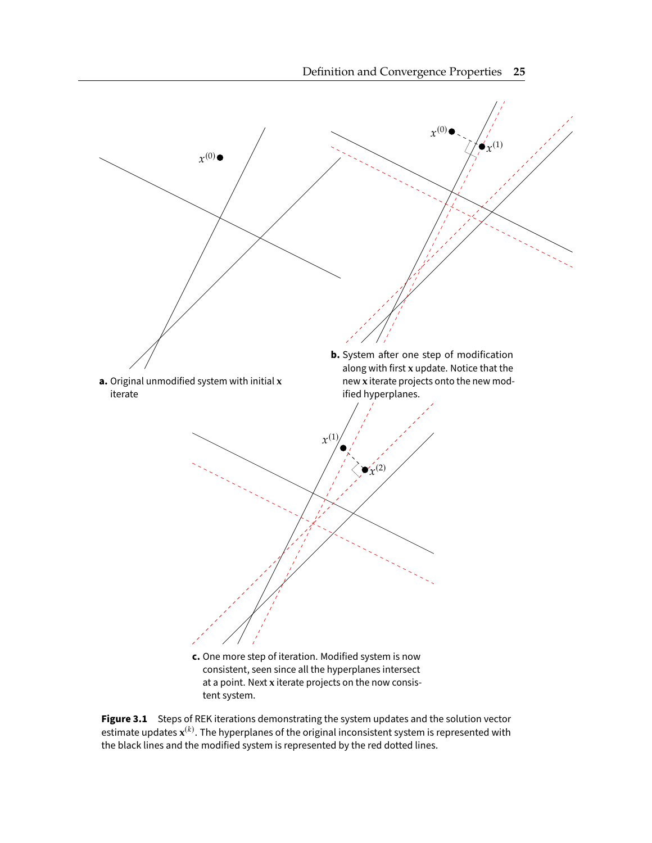<span id="page-39-0"></span>

Figure 3.1 Steps of REK iterations demonstrating the system updates and the solution vector estimate updates  $\mathbf{x}^{(k)}$ . The hyperplanes of the original inconsistent system is represented with the black lines and the modified system is represented by the red dotted lines.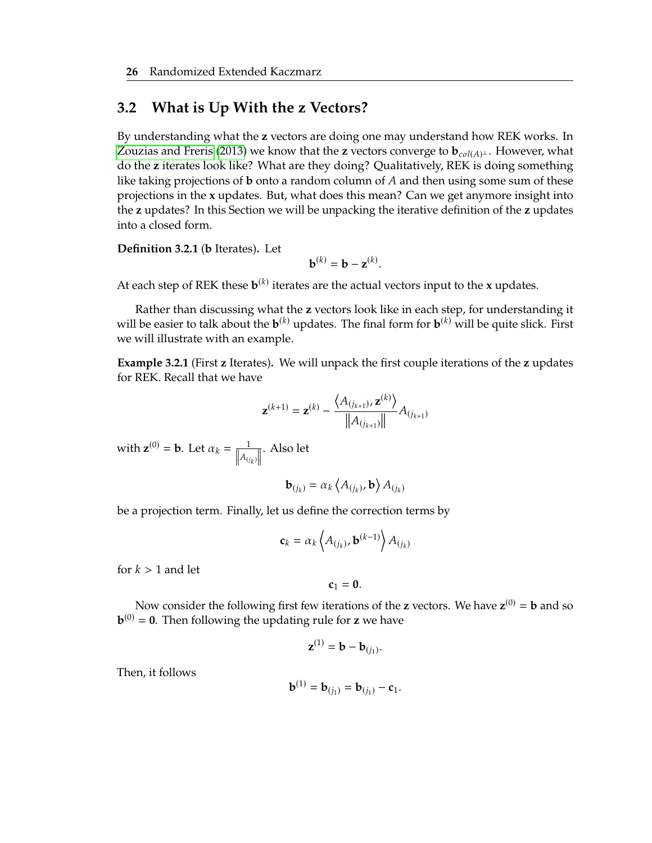## <span id="page-40-0"></span>**3.2 What is Up With the z Vectors?**

By understanding what the **z** vectors are doing one may understand how REK works. In [Zouzias and Freris](#page-69-0) [\(2013\)](#page-69-0) we know that the **z** vectors converge to  $\mathbf{b}_{col(A)^{\perp}}$ . However, what do the *z* iterates look like? What are that doine? Qualitatively,  $\text{BFK}$  is doing comothing do the **z** iterates look like? What are they doing? Qualitatively, REK is doing something like taking projections of **b** onto a random column of  $A$  and then using some sum of these projections in the **x** updates. But, what does this mean? Can we get anymore insight into the **z** updates? In this Section we will be unpacking the iterative definition of the **z** updates into a closed form.

**Definition 3.2.1** (**b** Iterates)**.** Let

$$
\mathbf{b}^{(k)} = \mathbf{b} - \mathbf{z}^{(k)}.
$$

At each step of REK these  $\mathbf{b}^{(k)}$  iterates are the actual vectors input to the **x** updates.

Rather than discussing what the **z** vectors look like in each step, for understanding it will be easier to talk about the  $\mathbf{b}^{(k)}$  updates. The final form for  $\mathbf{b}^{(k)}$  will be quite slick. First we will illustrate with an example.

<span id="page-40-1"></span>**Example 3.2.1** (First **z** Iterates)**.** We will unpack the first couple iterations of the **z** updates for REK. Recall that we have

$$
\mathbf{z}^{(k+1)} = \mathbf{z}^{(k)} - \frac{\langle A_{(j_{k+1})}, \mathbf{z}^{(k)} \rangle}{\|A_{(j_{k+1})}\|} A_{(j_{k+1})}
$$

with  $\mathbf{z}^{(0)} = \mathbf{b}$ . Let  $\alpha_k = \frac{1}{\|A_{(i)}\|}$  $||A_{(j_k)}||$ . Also let

$$
\mathbf{b}_{(j_k)} = \alpha_k \left\langle A_{(j_k)}, \mathbf{b} \right\rangle A_{(j_k)}
$$

be a projection term. Finally, let us define the correction terms by

$$
\mathbf{c}_k = \alpha_k \left\langle A_{(j_k)}, \mathbf{b}^{(k-1)} \right\rangle A_{(j_k)}
$$

for  $k > 1$  and let

$$
c_1=0.
$$

Now consider the following first few iterations of the **z** vectors. We have  $\mathbf{z}^{(0)} = \mathbf{b}$  and so **. Then following the updating rule for <b>z** we have

$$
\mathbf{z}^{(1)} = \mathbf{b} - \mathbf{b}_{(j_1)}.
$$

Then, it follows

$$
\mathbf{b}^{(1)} = \mathbf{b}_{(j_1)} = \mathbf{b}_{(j_1)} - \mathbf{c}_1.
$$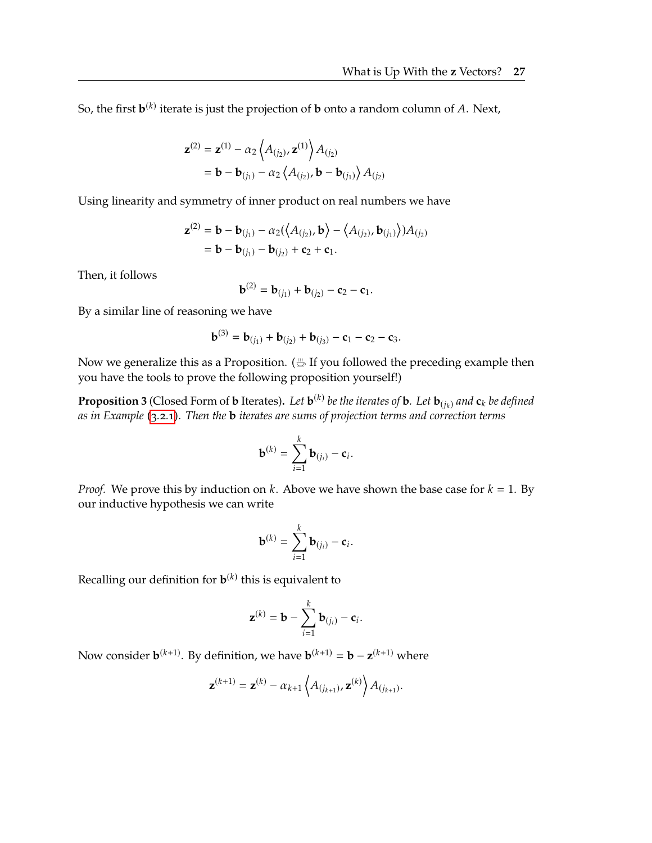So, the first  $\mathbf{b}^{(k)}$  iterate is just the projection of  $\mathbf b$  onto a random column of A. Next,

$$
\mathbf{z}^{(2)} = \mathbf{z}^{(1)} - \alpha_2 \left\langle A_{(j_2)}, \mathbf{z}^{(1)} \right\rangle A_{(j_2)} \n= \mathbf{b} - \mathbf{b}_{(j_1)} - \alpha_2 \left\langle A_{(j_2)}, \mathbf{b} - \mathbf{b}_{(j_1)} \right\rangle A_{(j_2)}
$$

Using linearity and symmetry of inner product on real numbers we have

$$
\mathbf{z}^{(2)} = \mathbf{b} - \mathbf{b}_{(j_1)} - \alpha_2(\langle A_{(j_2)}, \mathbf{b}\rangle - \langle A_{(j_2)}, \mathbf{b}_{(j_1)}\rangle)A_{(j_2)}
$$
  
=  $\mathbf{b} - \mathbf{b}_{(j_1)} - \mathbf{b}_{(j_2)} + \mathbf{c}_2 + \mathbf{c}_1.$ 

Then, it follows

$$
\mathbf{b}^{(2)} = \mathbf{b}_{(j_1)} + \mathbf{b}_{(j_2)} - \mathbf{c}_2 - \mathbf{c}_1.
$$

By a similar line of reasoning we have

$$
\mathbf{b}^{(3)} = \mathbf{b}_{(j_1)} + \mathbf{b}_{(j_2)} + \mathbf{b}_{(j_3)} - \mathbf{c}_1 - \mathbf{c}_2 - \mathbf{c}_3.
$$

Now we generalize this as a Proposition.  $(\stackrel{...}{\rightharpoonup}$  If you followed the preceding example then you have the tools to prove the following proposition yourself!)

**Proposition 3** (Closed Form of **b** Iterates). Let  $\mathbf{b}^{(k)}$  be the iterates of **b***.* Let  $\mathbf{b}_{(j_k)}$  and  $\mathbf{c}_k$  be defined as in Example (0.0.1). Then the **b** iterates are sume of projection terms and correction *as in Example [\(3.2.1\)](#page-40-1). Then the* **b** *iterates are sums of projection terms and correction terms*

$$
\mathbf{b}^{(k)} = \sum_{i=1}^k \mathbf{b}_{(j_i)} - \mathbf{c}_i.
$$

*Proof.* We prove this by induction on  $k$ . Above we have shown the base case for  $k = 1$ . By our inductive hypothesis we can write

$$
\mathbf{b}^{(k)} = \sum_{i=1}^k \mathbf{b}_{(j_i)} - \mathbf{c}_i.
$$

Recalling our definition for  $\mathbf{b}^{(k)}$  this is equivalent to

$$
\mathbf{z}^{(k)} = \mathbf{b} - \sum_{i=1}^k \mathbf{b}_{(j_i)} - \mathbf{c}_i.
$$

Now consider  $\mathbf{b}^{(k+1)}$ . By definition, we have  $\mathbf{b}^{(k+1)} = \mathbf{b} - \mathbf{z}^{(k+1)}$  where

$$
\mathbf{z}^{(k+1)} = \mathbf{z}^{(k)} - \alpha_{k+1} \left\langle A_{(j_{k+1})}, \mathbf{z}^{(k)} \right\rangle A_{(j_{k+1})}.
$$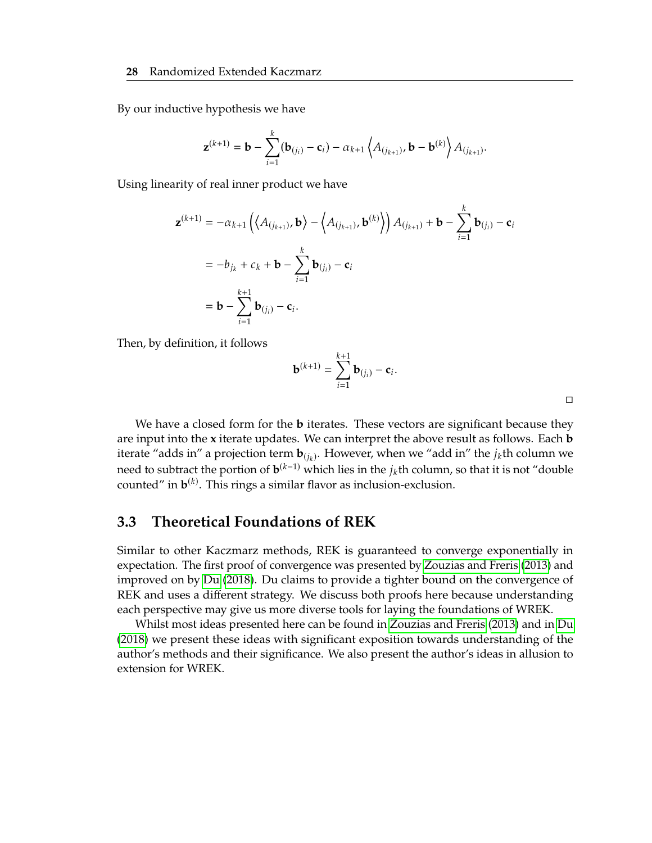By our inductive hypothesis we have

$$
\mathbf{z}^{(k+1)} = \mathbf{b} - \sum_{i=1}^{k} (\mathbf{b}_{(j_i)} - \mathbf{c}_i) - \alpha_{k+1} \left\langle A_{(j_{k+1})}, \mathbf{b} - \mathbf{b}^{(k)} \right\rangle A_{(j_{k+1})}.
$$

Using linearity of real inner product we have

$$
\mathbf{z}^{(k+1)} = -\alpha_{k+1} \left( \langle A_{(j_{k+1})}, \mathbf{b} \rangle - \langle A_{(j_{k+1})}, \mathbf{b}^{(k)} \rangle \right) A_{(j_{k+1})} + \mathbf{b} - \sum_{i=1}^{k} \mathbf{b}_{(j_i)} - \mathbf{c}_i
$$
  
=  $-b_{j_k} + c_k + \mathbf{b} - \sum_{i=1}^{k} \mathbf{b}_{(j_i)} - \mathbf{c}_i$   
=  $\mathbf{b} - \sum_{i=1}^{k+1} \mathbf{b}_{(j_i)} - \mathbf{c}_i$ .

Then, by definition, it follows

$$
\mathbf{b}^{(k+1)} = \sum_{i=1}^{k+1} \mathbf{b}_{(j_i)} - \mathbf{c}_i.
$$

□

We have a closed form for the **b** iterates. These vectors are significant because they are input into the **x** iterate updates. We can interpret the above result as follows. Each **b** iterate "adds in" a projection term  $\mathbf{b}_{(j_k)}$ . However, when we "add in" the  $j_k$ th column we need to subtract the portion of  $\mathbf{b}^{(k-1)}$  which lies in the  $j_k$ th column, so that it is not "double<br>counted" in  $\mathbf{b}^{(k)}$ . This rings a similar flavor as inclusion exclusion counted" in  $\mathbf{b}^{(k)}$ . This rings a similar flavor as inclusion-exclusion.

### <span id="page-42-0"></span>**3.3 Theoretical Foundations of REK**

Similar to other Kaczmarz methods, REK is guaranteed to converge exponentially in expectation. The first proof of convergence was presented by [Zouzias and Freris](#page-69-0) [\(2013\)](#page-69-0) and improved on by [Du](#page-69-1) [\(2018\)](#page-69-1). Du claims to provide a tighter bound on the convergence of REK and uses a different strategy. We discuss both proofs here because understanding each perspective may give us more diverse tools for laying the foundations of WREK.

Whilst most ideas presented here can be found in [Zouzias and Freris](#page-69-0) [\(2013\)](#page-69-0) and in [Du](#page-69-1) [\(2018\)](#page-69-1) we present these ideas with significant exposition towards understanding of the author's methods and their significance. We also present the author's ideas in allusion to extension for WREK.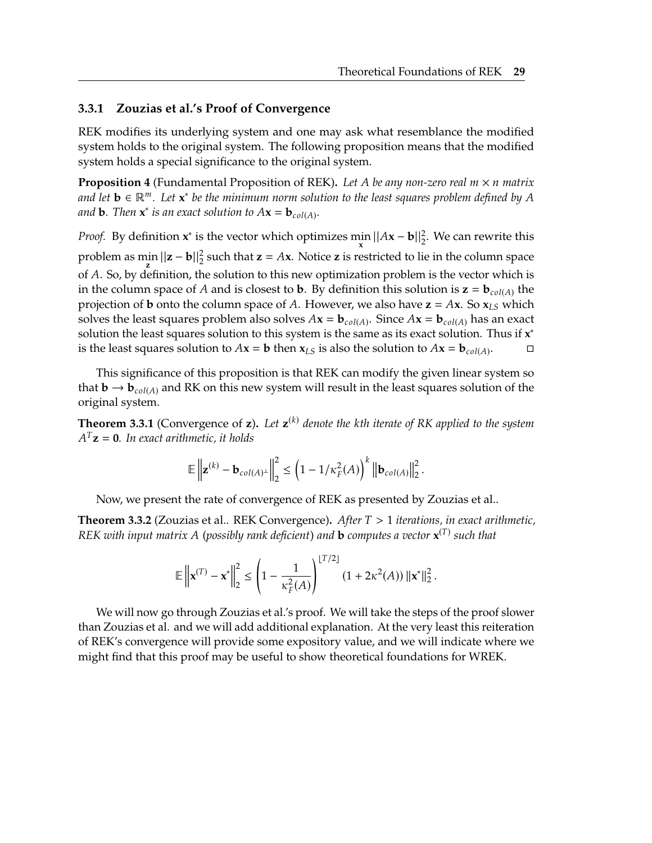#### **3.3.1 Zouzias et al.'s Proof of Convergence**

REK modifies its underlying system and one may ask what resemblance the modified system holds to the original system. The following proposition means that the modified system holds a special significance to the original system.

<span id="page-43-2"></span>**Proposition 4** (Fundamental Proposition of REK). Let A be any non-zero real  $m \times n$  matrix and let **b** ∈ ℝ<sup>*m*</sup>. Let **x**<sup>\*</sup> be the minimum norm solution to the least squares problem defined by A and **b**. Then **x**<sup>\*</sup> is an exact solution to  $4x - h$ and **b**. Then  $\mathbf{x}^*$  is an exact solution to  $A\mathbf{x} = \mathbf{b}_{col(A)}$ .

*Proof.* By definition  $x^*$  is the vector which optimizes min  $\frac{\sin ||Ax - b||_2^2}{\sin x}$ . We can rewrite this problem as  $\min_{\mathbf{z}} ||\mathbf{z} - \mathbf{b}||_2^2$  such that  $\mathbf{z} = A\mathbf{x}$ . Notice  $\mathbf{z}$  is restricted to lie in the column space of A. So, by definition, the solution to this new optimization problem is the vector which is<br>
in the solumn space of A and is closest to b. By definition this solution is  $\mathbf{z} = \mathbf{b}$ , see the in the column space of *A* and is closest to **b**. By definition this solution is  $\mathbf{z} = \mathbf{b}_{col(A)}$  the projection of **b** onto the column space of A. However, we also have  $z = Ax$ . So  $x_{LS}$  which solves the least squares problem also solves  $A$ **x** = **b**<sub>col(A)</sub>. Since  $A$ **x** = **b**<sub>col(A)</sub> has an exact solution the least squares solution to this system is the same as its exact solution. Thus if **x**<sup>\*</sup> solution the least squares solution to this system is the same as its exact solution. Thus if **x** ∗ is the least squares solution to  $A\mathbf{x} = \mathbf{b}$  then  $\mathbf{x}_{LS}$  is also the solution to  $A\mathbf{x} = \mathbf{b}_{coll(A)}$ . . □

This significance of this proposition is that REK can modify the given linear system so that  $\mathbf{b} \to \mathbf{b}_{col(A)}$  and RK on this new system will result in the least squares solution of the original system.

<span id="page-43-0"></span>**Theorem 3.3.1** (Convergence of **z**). Let  $\mathbf{z}^{(k)}$  denote the kth iterate of RK applied to the system  $A^{T}\mathbf{z} = \mathbf{0}$ . In exact exitentic, it holds  $A<sup>T</sup>$ **z** = **0***. In exact arithmetic, it holds* 

$$
\mathbb{E}\left\| \mathbf{z}^{(k)} - \mathbf{b}_{col(A)^{\perp}} \right\|_{2}^{2} \leq \left(1 - 1/\kappa_{F}^{2}(A)\right)^{k} \left\| \mathbf{b}_{col(A)} \right\|_{2}^{2}.
$$

Now, we present the rate of convergence of REK as presented by Zouzias et al..

<span id="page-43-1"></span>**Theorem 3.3.2** (Zouzias et al.. REK Convergence)**.** *After* <sup>&</sup>gt; <sup>1</sup> *iterations, in exact arithmetic, REK with input matrix (possibly rank deficient) and* **<sup>b</sup>** *computes a vector* **<sup>x</sup>** () *such that*

$$
\mathbb{E}\left\|\mathbf{x}^{(T)} - \mathbf{x}^*\right\|_2^2 \le \left(1 - \frac{1}{\kappa_F^2(A)}\right)^{\lfloor T/2 \rfloor} (1 + 2\kappa^2(A)) \left\|\mathbf{x}^*\right\|_2^2
$$

We will now go through Zouzias et al.'s proof. We will take the steps of the proof slower than Zouzias et al. and we will add additional explanation. At the very least this reiteration of REK's convergence will provide some expository value, and we will indicate where we might find that this proof may be useful to show theoretical foundations for WREK.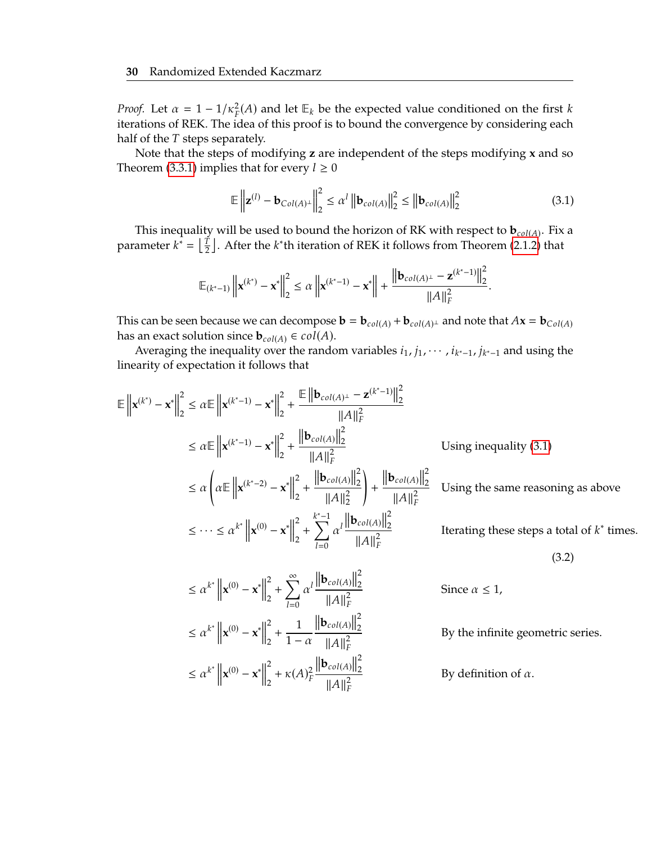*Proof.* Let  $\alpha = 1 - 1/\kappa_F^2(A)$  and let  $\mathbb{E}_k$  be the expected value conditioned on the first k<br>iterations of PEK. The idea of this proof is to bound the separate parametering each iterations of REK. The idea of this proof is to bound the convergence by considering each half of the  $T$  steps separately.

Note that the steps of modifying **z** are independent of the steps modifying **x** and so Theorem [\(3.3.1\)](#page-43-0) implies that for every  $l \geq 0$ 

<span id="page-44-0"></span>
$$
\mathbb{E}\left\|\mathbf{z}^{(l)} - \mathbf{b}_{Col(A)^{\perp}}\right\|_{2}^{2} \leq \alpha^{l} \left\|\mathbf{b}_{col(A)}\right\|_{2}^{2} \leq \left\|\mathbf{b}_{col(A)}\right\|_{2}^{2} \tag{3.1}
$$

This inequality will be used to bound the horizon of RK with respect to  $\mathbf{b}_{col(A)}$ . Fix a<br>constant  $k^* = \begin{bmatrix} T & 0 \end{bmatrix}$  of the light intension of REV is follows from Theorem (2.1.2) that parameter  $k^* = \left\lfloor \frac{r}{2} \right\rfloor$ . After the  $k^*$ th iteration of REK it follows from Theorem [\(2.1.2\)](#page-34-0) that

<span id="page-44-1"></span>
$$
\mathbb{E}_{(k^*-1)} \left\| \mathbf{x}^{(k^*)} - \mathbf{x}^* \right\|_2^2 \le \alpha \left\| \mathbf{x}^{(k^*-1)} - \mathbf{x}^* \right\| + \frac{\left\| \mathbf{b}_{col(A)^{\perp}} - \mathbf{z}^{(k^*-1)} \right\|_2^2}{\|A\|_F^2}
$$

This can be seen because we can decompose  $\mathbf{b} = \mathbf{b}_{col(A)} + \mathbf{b}_{col(A)}$  and note that  $A\mathbf{x} = \mathbf{b}_{Col(A)}$ has an exact solution since  $\mathbf{b}_{col(A)} \in col(A)$ .

Averaging the inequality over the random variables  $i_1$ ,  $j_1$ ,  $\dots$ ,  $i_{k^*-1}$ ,  $j_{k^*-1}$  and using the linearity of expectation it follows that

$$
\mathbb{E} \left\| \mathbf{x}^{(k^*)} - \mathbf{x}^* \right\|_2^2 \le \alpha \mathbb{E} \left\| \mathbf{x}^{(k^*-1)} - \mathbf{x}^* \right\|_2^2 + \frac{\mathbb{E} \left\| \mathbf{b}_{col(A)^{\perp}} - \mathbf{z}^{(k^*-1)} \right\|_2^2}{\|A\|_F^2}
$$
  
\n
$$
\le \alpha \mathbb{E} \left\| \mathbf{x}^{(k^*-1)} - \mathbf{x}^* \right\|_2^2 + \frac{\left\| \mathbf{b}_{col(A)} \right\|_2^2}{\|A\|_F^2}
$$
 Using inequality (3.1)  
\n
$$
\le \alpha \left( \alpha \mathbb{E} \left\| \mathbf{x}^{(k^*-2)} - \mathbf{x}^* \right\|_2^2 + \frac{\left\| \mathbf{b}_{col(A)} \right\|_2^2}{\|A\|_2^2} \right) + \frac{\left\| \mathbf{b}_{col(A)} \right\|_2^2}{\|A\|_F^2}
$$
 Using the same reasoning as above  
\n
$$
\le \dots \le \alpha^{k^*} \left\| \mathbf{x}^{(0)} - \mathbf{x}^* \right\|_2^2 + \sum_{l=0}^{k^*-1} \alpha^l \frac{\left\| \mathbf{b}_{col(A)} \right\|_2^2}{\|A\|_F^2}
$$
 Iterating these steps a total of  $k^*$  times.  
\n(3.2)  
\n
$$
\le \alpha^{k^*} \left\| \mathbf{x}^{(0)} - \mathbf{x}^* \right\|_2^2 + \sum_{l=0}^{\infty} \alpha^l \frac{\left\| \mathbf{b}_{col(A)} \right\|_2^2}{\|A\|_F^2}
$$
 Since  $\alpha \le 1$ ,  
\n
$$
\le \alpha^{k^*} \left\| \mathbf{x}^{(0)} - \mathbf{x}^* \right\|_2^2 + \frac{1}{1 - \alpha} \frac{\left\| \mathbf{b}_{col(A)} \right\|_2^2}{\|A\|_F^2}
$$
 By definition of  $\alpha$ .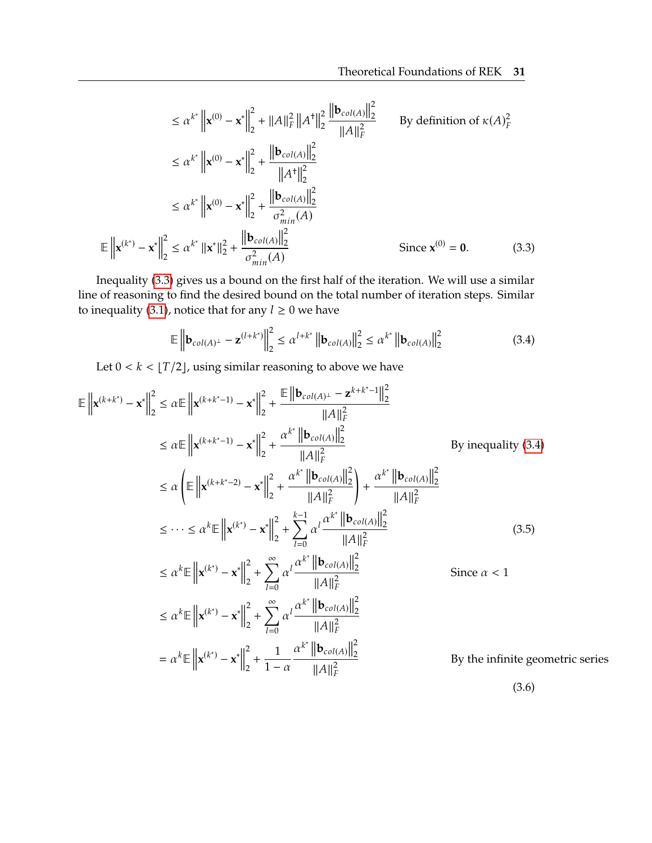$$
\leq \alpha^{k^*} \left\| \mathbf{x}^{(0)} - \mathbf{x}^* \right\|_2^2 + \|A\|_F^2 \|A^*\|_2^2 \frac{\left\| \mathbf{b}_{col(A)} \right\|_2^2}{\|A\|_F^2} \qquad \text{By definition of } \kappa(A)_F^2
$$
\n
$$
\leq \alpha^{k^*} \left\| \mathbf{x}^{(0)} - \mathbf{x}^* \right\|_2^2 + \frac{\left\| \mathbf{b}_{col(A)} \right\|_2^2}{\|A^*\|_2^2}
$$
\n
$$
\leq \alpha^{k^*} \left\| \mathbf{x}^{(0)} - \mathbf{x}^* \right\|_2^2 + \frac{\left\| \mathbf{b}_{col(A)} \right\|_2^2}{\sigma_{min}^2(A)}
$$
\n
$$
\mathbb{E} \left\| \mathbf{x}^{(k^*)} - \mathbf{x}^* \right\|_2^2 \leq \alpha^{k^*} \left\| \mathbf{x}^* \right\|_2^2 + \frac{\left\| \mathbf{b}_{col(A)} \right\|_2^2}{\sigma_{min}^2(A)} \qquad \text{Since } \mathbf{x}^{(0)} = \mathbf{0}. \tag{3.3}
$$

Inequality [\(3.3\)](#page-45-0) gives us a bound on the first half of the iteration. We will use a similar line of reasoning to find the desired bound on the total number of iteration steps. Similar to inequality [\(3.1\)](#page-44-0), notice that for any  $l \geq 0$  we have

<span id="page-45-2"></span><span id="page-45-1"></span><span id="page-45-0"></span>
$$
\mathbb{E}\left\|\mathbf{b}_{col(A)^{\perp}} - \mathbf{z}^{(l+k^{*})}\right\|_{2}^{2} \leq \alpha^{l+k^{*}}\left\|\mathbf{b}_{col(A)}\right\|_{2}^{2} \leq \alpha^{k^{*}}\left\|\mathbf{b}_{col(A)}\right\|_{2}^{2}
$$
(3.4)

Let  $0 < k < \lfloor T/2 \rfloor$ , using similar reasoning to above we have

$$
\mathbb{E} \left\| \mathbf{x}^{(k+k^{*})} - \mathbf{x}^{*} \right\|_{2}^{2} \le \alpha \mathbb{E} \left\| \mathbf{x}^{(k+k^{*}-1)} - \mathbf{x}^{*} \right\|_{2}^{2} + \frac{\mathbb{E} \left\| \mathbf{b}_{col(A)^{\perp}} - \mathbf{z}^{k+k^{*}-1} \right\|_{2}^{2}}{\|A\|_{F}^{2}} \le \alpha \mathbb{E} \left\| \mathbf{x}^{(k+k^{*}-1)} - \mathbf{x}^{*} \right\|_{2}^{2} + \frac{\alpha^{k^{*}} \left\| \mathbf{b}_{col(A)} \right\|_{2}^{2}}{\|A\|_{F}^{2}} \qquad \text{By inequality (3.4)}
$$
\n
$$
\le \alpha \left( \mathbb{E} \left\| \mathbf{x}^{(k+k^{*}-2)} - \mathbf{x}^{*} \right\|_{2}^{2} + \frac{\alpha^{k^{*}} \left\| \mathbf{b}_{col(A)} \right\|_{2}^{2}}{\|A\|_{F}^{2}} \right) + \frac{\alpha^{k^{*}} \left\| \mathbf{b}_{col(A)} \right\|_{2}^{2}}{\|A\|_{F}^{2}} \le \dots \le \alpha^{k} \mathbb{E} \left\| \mathbf{x}^{(k^{*})} - \mathbf{x}^{*} \right\|_{2}^{2} + \sum_{l=0}^{\infty} \alpha^{l} \frac{\alpha^{k^{*}} \left\| \mathbf{b}_{col(A)} \right\|_{2}^{2}}{\|A\|_{F}^{2}} \qquad (3.5)
$$
\n
$$
\le \alpha^{k} \mathbb{E} \left\| \mathbf{x}^{(k^{*})} - \mathbf{x}^{*} \right\|_{2}^{2} + \sum_{l=0}^{\infty} \alpha^{l} \frac{\alpha^{k^{*}} \left\| \mathbf{b}_{col(A)} \right\|_{2}^{2}}{\|A\|_{F}^{2}} \qquad \text{Since } \alpha < 1
$$
\n
$$
\le \alpha^{k} \mathbb{E} \left\| \mathbf{x}^{(k^{*})} - \mathbf{x}^{*} \right\|_{2}^{2} + \sum_{l=0}^{\infty} \alpha^{l} \frac{\alpha^{k^{*}} \left\| \mathbf{b}_{col(A)} \right\|_{2
$$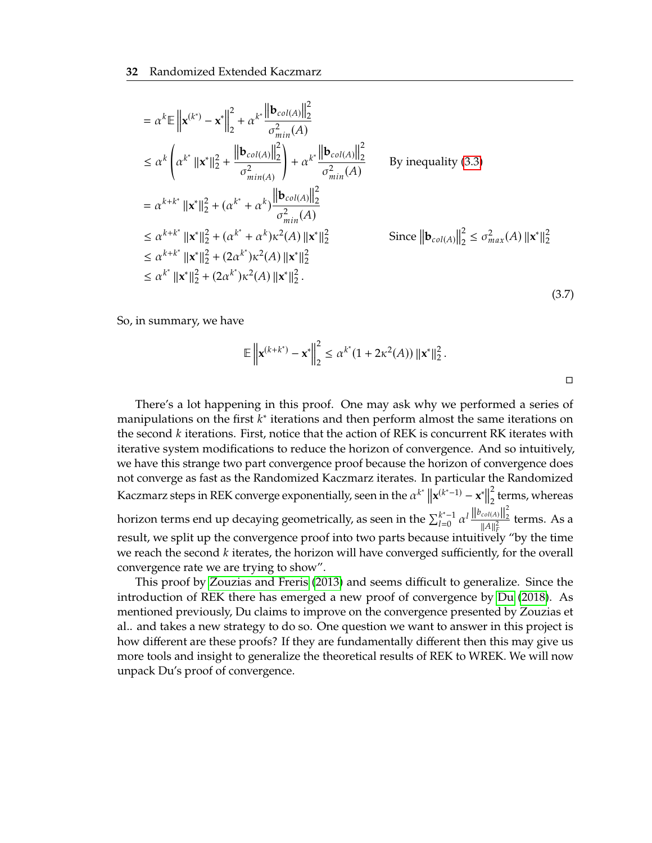$$
= \alpha^{k} \mathbb{E} \left\| \mathbf{x}^{(k^{*})} - \mathbf{x}^{*} \right\|_{2}^{2} + \alpha^{k^{*}} \frac{\left\| \mathbf{b}_{col(A)} \right\|_{2}^{2}}{\sigma_{min}^{2}(A)}
$$
  
\n
$$
\leq \alpha^{k} \left( \alpha^{k^{*}} \left\| \mathbf{x}^{*} \right\|_{2}^{2} + \frac{\left\| \mathbf{b}_{col(A)} \right\|_{2}^{2}}{\sigma_{min(A)}^{2}} \right) + \alpha^{k^{*}} \frac{\left\| \mathbf{b}_{col(A)} \right\|_{2}^{2}}{\sigma_{min}^{2}(A)}
$$
 By inequality (3.3)  
\n
$$
= \alpha^{k+k^{*}} \left\| \mathbf{x}^{*} \right\|_{2}^{2} + (\alpha^{k^{*}} + \alpha^{k}) \frac{\left\| \mathbf{b}_{col(A)} \right\|_{2}^{2}}{\sigma_{min}^{2}(A)}
$$
 By inequality (3.3)  
\n
$$
\leq \alpha^{k+k^{*}} \left\| \mathbf{x}^{*} \right\|_{2}^{2} + (\alpha^{k^{*}} + \alpha^{k}) \kappa^{2}(A) \left\| \mathbf{x}^{*} \right\|_{2}^{2}
$$
 Since  $\left\| \mathbf{b}_{col(A)} \right\|_{2}^{2} \leq \sigma_{max}^{2}(A) \left\| \mathbf{x}^{*} \right\|_{2}^{2}$   
\n
$$
\leq \alpha^{k+k^{*}} \left\| \mathbf{x}^{*} \right\|_{2}^{2} + (2\alpha^{k^{*}}) \kappa^{2}(A) \left\| \mathbf{x}^{*} \right\|_{2}^{2}
$$
 Since  $\left\| \mathbf{b}_{col(A)} \right\|_{2}^{2} \leq \sigma_{max}^{2}(A) \left\| \mathbf{x}^{*} \right\|_{2}^{2}$   
\n
$$
\leq \alpha^{k^{*}} \left\| \mathbf{x}^{*} \right\|_{2}^{2} + (2\alpha^{k^{*}}) \kappa^{2}(A) \left\| \mathbf{x}^{*} \right\|_{2}^{2}.
$$

So, in summary, we have

$$
\mathbb{E}\left\|\mathbf{x}^{(k+k^*)}-\mathbf{x}^*\right\|_2^2 \leq \alpha^{k^*}(1+2\kappa^2(A))\left\|\mathbf{x}^*\right\|_2^2.
$$

(3.7)

There's a lot happening in this proof. One may ask why we performed a series of manipulations on the first  $k^*$  iterations and then perform almost the same iterations on the second  $k$  iterations. First notice that the action of  $PEV$  is concurrent  $PEV$  iterates with the second  $k$  iterations. First, notice that the action of REK is concurrent RK iterates with iterative system modifications to reduce the horizon of convergence. And so intuitively, we have this strange two part convergence proof because the horizon of convergence does not converge as fast as the Randomized Kaczmarz iterates. In particular the Randomized Kaczmarz steps in REK converge exponentially, seen in the  $\alpha^k$  $\|\mathbf{x}^{(k^*-1)} - \mathbf{x}^*\|$ 2  $\frac{2}{2}$  terms, whereas horizon terms end up decaying geometrically, as seen in the  $\sum_{l=0}^{k^*-1}$  $\int_{l=0}^{k^*-1} \alpha^l \frac{\left\|b_{col(A)}\right\|_2^2}{\|A\|_2^2}$  $\frac{col(A)||_2}{||A||_F^2}$  terms. As a result, we split up the convergence proof into two parts because intuitively "by the time we reach the second  $k$  iterates, the horizon will have converged sufficiently, for the overall convergence rate we are trying to show".

This proof by [Zouzias and Freris](#page-69-0) [\(2013\)](#page-69-0) and seems difficult to generalize. Since the introduction of REK there has emerged a new proof of convergence by [Du](#page-69-1) [\(2018\)](#page-69-1). As mentioned previously, Du claims to improve on the convergence presented by Zouzias et al.. and takes a new strategy to do so. One question we want to answer in this project is how different are these proofs? If they are fundamentally different then this may give us more tools and insight to generalize the theoretical results of REK to WREK. We will now unpack Du's proof of convergence.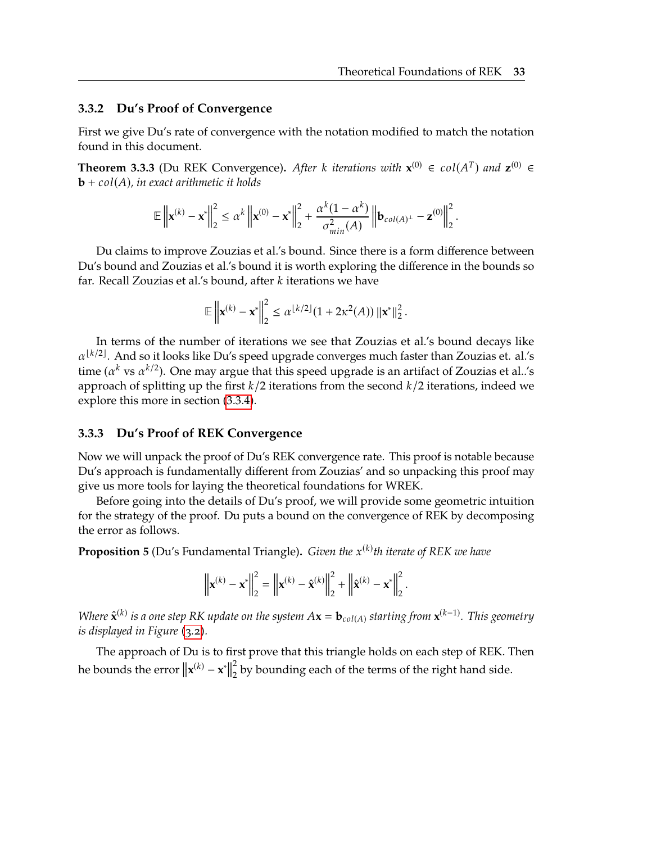#### **3.3.2 Du's Proof of Convergence**

First we give Du's rate of convergence with the notation modified to match the notation found in this document.

<span id="page-47-1"></span>**Theorem 3.3.3** (Du REK Convergence). After *k* iterations with  $\mathbf{x}^{(0)} \in \text{col}(A^T)$  and  $\mathbf{z}^{(0)} \in \mathbf{h} + \text{col}(A)$  in exact arithmetic it holds **, in exact arithmetic it holds** 

$$
\mathbb{E}\left\| \mathbf{x}^{(k)} - \mathbf{x}^* \right\|_2^2 \leq \alpha^k \left\| \mathbf{x}^{(0)} - \mathbf{x}^* \right\|_2^2 + \frac{\alpha^k (1 - \alpha^k)}{\sigma_{min}^2(A)} \left\| \mathbf{b}_{col(A)^{\perp}} - \mathbf{z}^{(0)} \right\|_2^2.
$$

Du claims to improve Zouzias et al.'s bound. Since there is a form difference between Du's bound and Zouzias et al.'s bound it is worth exploring the difference in the bounds so far. Recall Zouzias et al.'s bound, after  $k$  iterations we have

$$
\mathbb{E}\left\|\mathbf{x}^{(k)} - \mathbf{x}^*\right\|_2^2 \leq \alpha^{\lfloor k/2 \rfloor} (1 + 2\kappa^2(A)) \left\|\mathbf{x}^*\right\|_2^2.
$$

In terms of the number of iterations we see that Zouzias et al.'s bound decays like  $\alpha^{\lfloor k/2 \rfloor}$ . And so it looks like Du's speed upgrade converges much faster than Zouzias et. al.'s time ( $\alpha^k$  vs  $\alpha^{k/2}$ ). One may argue that this speed upgrade is an artifact of Zouzias et al..'s approach of splitting up the first  $k/2$  iterations from the second  $k/2$  iterations, indeed we explore this more in section [\(3.3.4\)](#page-52-0).

#### **3.3.3 Du's Proof of REK Convergence**

Now we will unpack the proof of Du's REK convergence rate. This proof is notable because Du's approach is fundamentally different from Zouzias' and so unpacking this proof may give us more tools for laying the theoretical foundations for WREK.

Before going into the details of Du's proof, we will provide some geometric intuition for the strategy of the proof. Du puts a bound on the convergence of REK by decomposing the error as follows.

<span id="page-47-0"></span>**Proposition 5** (Du's Fundamental Triangle). *Given the*  $x^{(k)}$ th iterate of REK we have

$$
\left\| \mathbf{x}^{(k)} - \mathbf{x}^* \right\|_2^2 = \left\| \mathbf{x}^{(k)} - \hat{\mathbf{x}}^{(k)} \right\|_2^2 + \left\| \hat{\mathbf{x}}^{(k)} - \mathbf{x}^* \right\|_2^2.
$$

*Where*  $\hat{\mathbf{x}}^{(k)}$  is a one step RK update on the system  $A\mathbf{x} = \mathbf{b}_{col(A)}$  starting from  $\mathbf{x}^{(k-1)}$ . This geometry is displayed in Figure (2.2) *is displayed in Figure [\(3.2\)](#page-48-0).*

The approach of Du is to first prove that this triangle holds on each step of REK. Then he bounds the error  $\|\mathbf{x}^{(k)} - \mathbf{x}^*\|$ 2  $\frac{2}{2}$  by bounding each of the terms of the right hand side.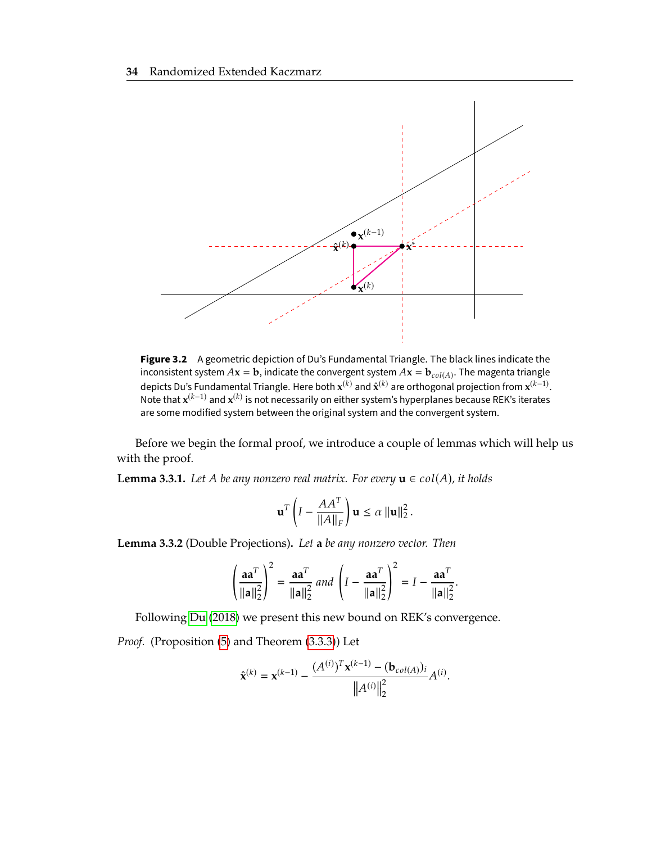<span id="page-48-0"></span>

**Figure 3.2** A geometric depiction of Du's Fundamental Triangle. The black lines indicate the inconsistent system  $Ax = b$ , indicate the convergent system  $Ax = b_{col(A)}$ . The magenta triangle<br>depicts Bu's Eundemental Triangle, Here both  $y(k)$  and  $\hat{y}(k)$  are exthesented projection from  $y(k-1)$ depicts Du's Fundamental Triangle. Here both  $\mathbf{x}^{(k)}$  and  $\hat{\mathbf{x}}^{(k)}$  are orthogonal projection from  $\mathbf{x}^{(k-1)}$ . Note that  $x^{(k-1)}$  and  $x^{(k)}$  is not necessarily on either system's hyperplanes because REK's iterates are some modified system between the original system and the convergent system.

Before we begin the formal proof, we introduce a couple of lemmas which will help us with the proof.

<span id="page-48-2"></span>**Lemma 3.3.1.** *Let A be any nonzero real matrix. For every*  $\mathbf{u} \in \text{col}(A)$ *, it holds* 

$$
\mathbf{u}^T \left( I - \frac{A A^T}{\|A\|_F} \right) \mathbf{u} \le \alpha \|\mathbf{u}\|_2^2.
$$

<span id="page-48-1"></span>**Lemma 3.3.2** (Double Projections)**.** *Let* **a** *be any nonzero vector. Then*

$$
\left(\frac{aa^T}{\|a\|_2^2}\right)^2 = \frac{aa^T}{\|a\|_2^2} \text{ and } \left(I - \frac{aa^T}{\|a\|_2^2}\right)^2 = I - \frac{aa^T}{\|a\|_2^2}
$$

Following [Du](#page-69-1) [\(2018\)](#page-69-1) we present this new bound on REK's convergence.

*Proof.* (Proposition [\(5\)](#page-47-0) and Theorem [\(3.3.3\)](#page-47-1)) Let

$$
\hat{\mathbf{x}}^{(k)} = \mathbf{x}^{(k-1)} - \frac{(A^{(i)})^T \mathbf{x}^{(k-1)} - (\mathbf{b}_{col(A)})_i}{\|A^{(i)}\|_2^2} A^{(i)}.
$$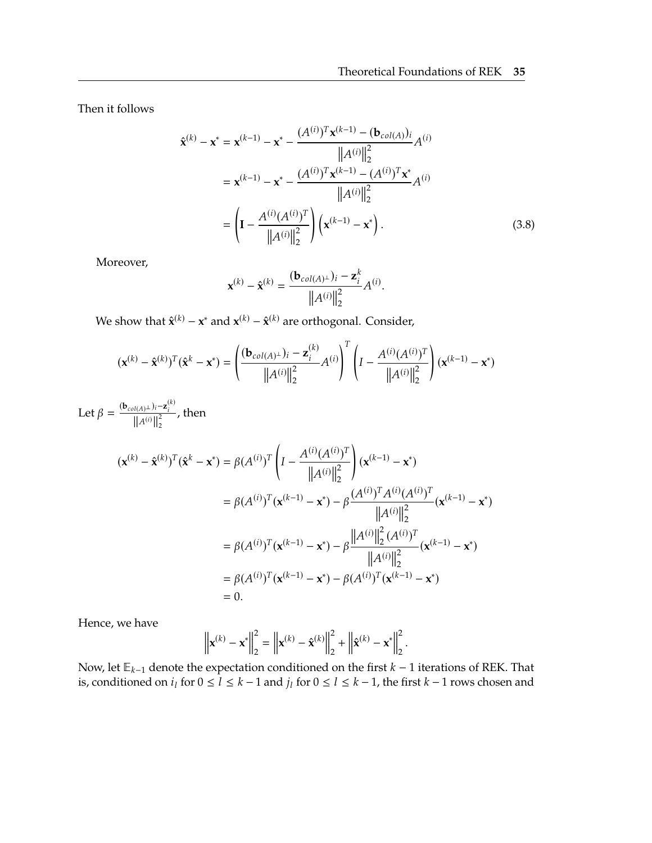Then it follows

$$
\hat{\mathbf{x}}^{(k)} - \mathbf{x}^* = \mathbf{x}^{(k-1)} - \mathbf{x}^* - \frac{(A^{(i)})^T \mathbf{x}^{(k-1)} - (\mathbf{b}_{col(A)})_i}{\|A^{(i)}\|_2^2} A^{(i)}
$$
  
=  $\mathbf{x}^{(k-1)} - \mathbf{x}^* - \frac{(A^{(i)})^T \mathbf{x}^{(k-1)} - (A^{(i)})^T \mathbf{x}^*}{\|A^{(i)}\|_2^2} A^{(i)}$   
=  $\left(\mathbf{I} - \frac{A^{(i)} (A^{(i)})^T}{\|A^{(i)}\|_2^2}\right) \left(\mathbf{x}^{(k-1)} - \mathbf{x}^*\right).$  (3.8)

Moreover,

<span id="page-49-0"></span>
$$
\mathbf{x}^{(k)} - \hat{\mathbf{x}}^{(k)} = \frac{(\mathbf{b}_{col(A)^{\perp}})_i - \mathbf{z}_i^k}{\|A^{(i)}\|_2^2} A^{(i)}.
$$

We show that  $\hat{\mathbf{x}}^{(k)} - \mathbf{x}^*$  and  $\mathbf{x}^{(k)} - \hat{\mathbf{x}}^{(k)}$  are orthogonal. Consider,

$$
(\mathbf{x}^{(k)} - \hat{\mathbf{x}}^{(k)})^T (\hat{\mathbf{x}}^k - \mathbf{x}^*) = \left(\frac{(\mathbf{b}_{col(A)^{\perp}})_i - \mathbf{z}_i^{(k)}}{\|A^{(i)}\|_2^2} A^{(i)}\right)^T \left(I - \frac{A^{(i)}(A^{(i)})^T}{\|A^{(i)}\|_2^2}\right) (\mathbf{x}^{(k-1)} - \mathbf{x}^*)
$$

Let  $\beta = \frac{(\mathbf{b}_{col(A)} \perp)_i - \mathbf{z}_i^{(k)}}{\|A^{(i)}\|_2^2}$ 2 , then

$$
(\mathbf{x}^{(k)} - \hat{\mathbf{x}}^{(k)})^T (\hat{\mathbf{x}}^k - \mathbf{x}^*) = \beta (A^{(i)})^T \left( I - \frac{A^{(i)} (A^{(i)})^T}{\|A^{(i)}\|_2^2} \right) (\mathbf{x}^{(k-1)} - \mathbf{x}^*)
$$
  
\n
$$
= \beta (A^{(i)})^T (\mathbf{x}^{(k-1)} - \mathbf{x}^*) - \beta \frac{(A^{(i)})^T A^{(i)} (A^{(i)})^T}{\|A^{(i)}\|_2^2} (\mathbf{x}^{(k-1)} - \mathbf{x}^*)
$$
  
\n
$$
= \beta (A^{(i)})^T (\mathbf{x}^{(k-1)} - \mathbf{x}^*) - \beta \frac{\|A^{(i)}\|_2^2 (A^{(i)})^T}{\|A^{(i)}\|_2^2} (\mathbf{x}^{(k-1)} - \mathbf{x}^*)
$$
  
\n
$$
= \beta (A^{(i)})^T (\mathbf{x}^{(k-1)} - \mathbf{x}^*) - \beta (A^{(i)})^T (\mathbf{x}^{(k-1)} - \mathbf{x}^*)
$$
  
\n
$$
= 0.
$$

Hence, we have

$$
\left\| \mathbf{x}^{(k)} - \mathbf{x}^* \right\|_2^2 = \left\| \mathbf{x}^{(k)} - \hat{\mathbf{x}}^{(k)} \right\|_2^2 + \left\| \hat{\mathbf{x}}^{(k)} - \mathbf{x}^* \right\|_2^2.
$$

Now, let  $\mathbb{E}_{k-1}$  denote the expectation conditioned on the first  $k-1$  iterations of REK. That is, conditioned on  $i_l$  for  $0 \le l \le k-1$  and  $j_l$  for  $0 \le l \le k-1$ , the first  $k-1$  rows chosen and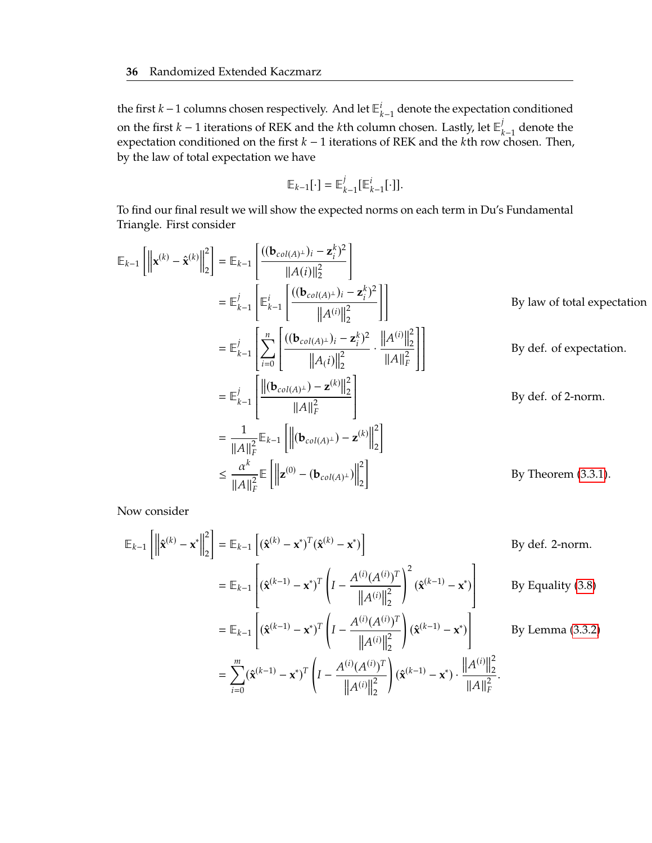the first *k* − 1 columns chosen respectively. And let  $\mathbb{E}_{k-1}^i$  denote the expectation conditioned on the first *k* − 1 iterations of REK and the *k*th column chosen. Lastly, let  $\mathbb{E}_{k-1}^j$  denote the expectation conditioned on the first *k* = 1 iterations of REK and the *k*th row chosen. Then on the first  $\kappa - 1$  iterations of NEN and the  $\kappa$ th column chosen. Easily, let  $\mathbb{E}_{k-1}$  denote the expectation conditioned on the first  $k-1$  iterations of REK and the  $k$ th row chosen. Then, by the law of total expectation we have

$$
\mathbb{E}_{k-1}[\cdot] = \mathbb{E}_{k-1}^j[\mathbb{E}_{k-1}^i[\cdot]].
$$

To find our final result we will show the expected norms on each term in Du's Fundamental Triangle. First consider

$$
\mathbb{E}_{k-1}\left[\left\|\mathbf{x}^{(k)} - \hat{\mathbf{x}}^{(k)}\right\|_{2}^{2}\right] = \mathbb{E}_{k-1}\left[\frac{((\mathbf{b}_{col(A)^{\perp}})_{i} - \mathbf{z}_{i}^{k})^{2}}{\|A(i)\|_{2}^{2}}\right]
$$
\n
$$
= \mathbb{E}_{k-1}^{j}\left[\frac{\mathbb{E}_{k-1}^{i}\left[\left(\frac{(\mathbf{b}_{col(A)^{\perp}})_{i} - \mathbf{z}_{i}^{k}}{\|A^{(i)}\|_{2}^{2}}\right)\right]}{\|A(i)\|_{2}^{2}}\right]
$$
\nBy law of total expectation\n
$$
= \mathbb{E}_{k-1}^{j}\left[\sum_{i=0}^{n}\left[\frac{((\mathbf{b}_{col(A)^{\perp}})_{i} - \mathbf{z}_{i}^{k})^{2}}{\|A(i)\|_{2}^{2}} \cdot \frac{\|A^{(i)}\|_{2}^{2}}{\|A\|_{F}^{2}}\right]\right]
$$
\nBy def. of expectation.\n
$$
= \mathbb{E}_{k-1}^{j}\left[\frac{\left\|\left(\mathbf{b}_{col(A)^{\perp}}\right) - \mathbf{z}^{(k)}\right\|_{2}^{2}}{\|A\|_{F}^{2}}\right]
$$
\nBy def. of 2-norm.\n
$$
= \frac{1}{\|A\|_{F}^{2}}\mathbb{E}_{k-1}\left[\left\|\left(\mathbf{b}_{col(A)^{\perp}}\right) - \mathbf{z}^{(k)}\right\|_{2}^{2}\right]
$$
\nBy Theorem (3.3.1).

Now consider

$$
\mathbb{E}_{k-1} \left[ \left\| \hat{\mathbf{x}}^{(k)} - \mathbf{x}^* \right\|_2^2 \right] = \mathbb{E}_{k-1} \left[ (\hat{\mathbf{x}}^{(k)} - \mathbf{x}^*)^T (\hat{\mathbf{x}}^{(k)} - \mathbf{x}^*) \right]
$$
\n
$$
= \mathbb{E}_{k-1} \left[ (\hat{\mathbf{x}}^{(k-1)} - \mathbf{x}^*)^T \left( I - \frac{A^{(i)} (A^{(i)})^T}{\|A^{(i)}\|_2^2} \right)^2 (\hat{\mathbf{x}}^{(k-1)} - \mathbf{x}^*) \right]
$$
\nBy Equality (3.8)\n
$$
= \mathbb{E}_{k-1} \left[ (\hat{\mathbf{x}}^{(k-1)} - \mathbf{x}^*)^T \left( I - \frac{A^{(i)} (A^{(i)})^T}{\|A^{(i)}\|_2^2} \right) (\hat{\mathbf{x}}^{(k-1)} - \mathbf{x}^*) \right]
$$
\nBy Lemma (3.3.2)\n
$$
= \sum_{i=0}^m (\hat{\mathbf{x}}^{(k-1)} - \mathbf{x}^*)^T \left( I - \frac{A^{(i)} (A^{(i)})^T}{\|A^{(i)}\|_2^2} \right) (\hat{\mathbf{x}}^{(k-1)} - \mathbf{x}^*) \cdot \frac{\|A^{(i)}\|_2^2}{\|A\|_F^2}.
$$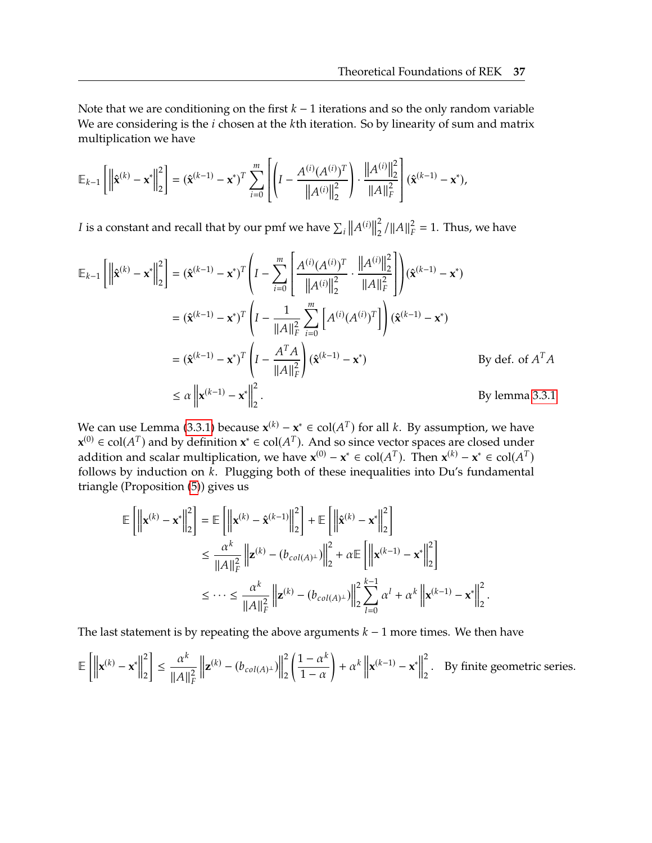Note that we are conditioning on the first  $k - 1$  iterations and so the only random variable We are considering is the  $i$  chosen at the  $k$ th iteration. So by linearity of sum and matrix multiplication we have

$$
\mathbb{E}_{k-1}\left[\left\|\hat{\mathbf{x}}^{(k)} - \mathbf{x}^*\right\|_2^2\right] = (\hat{\mathbf{x}}^{(k-1)} - \mathbf{x}^*)^T \sum_{i=0}^m \left[\left(I - \frac{A^{(i)}(A^{(i)})^T}{\|A^{(i)}\|_2^2}\right) \cdot \frac{\|A^{(i)}\|_2^2}{\|A\|_F^2}\right] (\hat{\mathbf{x}}^{(k-1)} - \mathbf{x}^*),
$$

I is a constant and recall that by our pmf we have  $\sum_i$  $||A^{(i)}||$ 2  $\frac{2}{2} / ||A||_F^2 = 1$ . Thus, we have

$$
\mathbb{E}_{k-1} \left[ \left\| \hat{\mathbf{x}}^{(k)} - \mathbf{x}^* \right\|_2^2 \right] = (\hat{\mathbf{x}}^{(k-1)} - \mathbf{x}^*)^T \left( I - \sum_{i=0}^m \left[ \frac{A^{(i)} (A^{(i)})^T}{\|A^{(i)}\|_2^2} \cdot \frac{\|A^{(i)}\|_2^2}{\|A\|_F^2} \right] \right) (\hat{\mathbf{x}}^{(k-1)} - \mathbf{x}^*)
$$
  
\n
$$
= (\hat{\mathbf{x}}^{(k-1)} - \mathbf{x}^*)^T \left( I - \frac{1}{\|A\|_F^2} \sum_{i=0}^m \left[ A^{(i)} (A^{(i)})^T \right] \right) (\hat{\mathbf{x}}^{(k-1)} - \mathbf{x}^*)
$$
  
\n
$$
= (\hat{\mathbf{x}}^{(k-1)} - \mathbf{x}^*)^T \left( I - \frac{A^T A}{\|A\|_F^2} \right) (\hat{\mathbf{x}}^{(k-1)} - \mathbf{x}^*)
$$
  
\nBy def. of  $A^T A$   
\n
$$
\le \alpha \left\| \mathbf{x}^{(k-1)} - \mathbf{x}^* \right\|_2^2.
$$
  
\nBy lemma 3.3.1

We can use Lemma [\(3.3.1\)](#page-48-2) because  $\mathbf{x}^{(k)} - \mathbf{x}^* \in \text{col}(A^T)$  for all k. By assumption, we have  $\mathbf{x}^{(0)} \in \text{col}(A^T)$  and by definition  $\mathbf{x}^* \in \text{col}(A^T)$ . And so since yester spaces are closed under **x**<sup>(0)</sup> ∈ col( $A<sup>T</sup>$ ) and by definition **x**<sup>\*</sup> ∈ col( $A<sup>T</sup>$ ). And so since vector spaces are closed under addition and scalar multiplication, we have **x**<sup>(0)</sup>  $\mathbf{x}^* \in \text{col}(A^T)$ . Then  $\mathbf{x}^{(k)} \times \text{col}(A^T)$ addition and scalar multiplication, we have  $\mathbf{x}^{(0)} - \mathbf{x}^* \in \text{col}(A^T)$ . Then  $\mathbf{x}^{(k)} - \mathbf{x}^* \in \text{col}(A^T)$ follows by induction on  $\vec{k}$ . Plugging both of these inequalities into Du's fundamental triangle (Proposition [\(5\)](#page-47-0)) gives us

$$
\mathbb{E}\left[\left\|\mathbf{x}^{(k)} - \mathbf{x}^*\right\|_2^2\right] = \mathbb{E}\left[\left\|\mathbf{x}^{(k)} - \hat{\mathbf{x}}^{(k-1)}\right\|_2^2\right] + \mathbb{E}\left[\left\|\hat{\mathbf{x}}^{(k)} - \mathbf{x}^*\right\|_2^2\right]
$$
  
\n
$$
\leq \frac{\alpha^k}{\|A\|_F^2} \left\|\mathbf{z}^{(k)} - (b_{col(A)^{\perp}})\right\|_2^2 + \alpha \mathbb{E}\left[\left\|\mathbf{x}^{(k-1)} - \mathbf{x}^*\right\|_2^2\right]
$$
  
\n
$$
\leq \cdots \leq \frac{\alpha^k}{\|A\|_F^2} \left\|\mathbf{z}^{(k)} - (b_{col(A)^{\perp}})\right\|_2^2 \sum_{l=0}^{k-1} \alpha^l + \alpha^k \left\|\mathbf{x}^{(k-1)} - \mathbf{x}^*\right\|_2^2
$$

The last statement is by repeating the above arguments  $k - 1$  more times. We then have

$$
\mathbb{E}\left[\left\|\mathbf{x}^{(k)} - \mathbf{x}^*\right\|_2^2\right] \le \frac{\alpha^k}{\|A\|_F^2} \left\|\mathbf{z}^{(k)} - (b_{col(A)^{\perp}})\right\|_2^2 \left(\frac{1-\alpha^k}{1-\alpha}\right) + \alpha^k \left\|\mathbf{x}^{(k-1)} - \mathbf{x}^*\right\|_2^2.
$$
 By finite geometric series.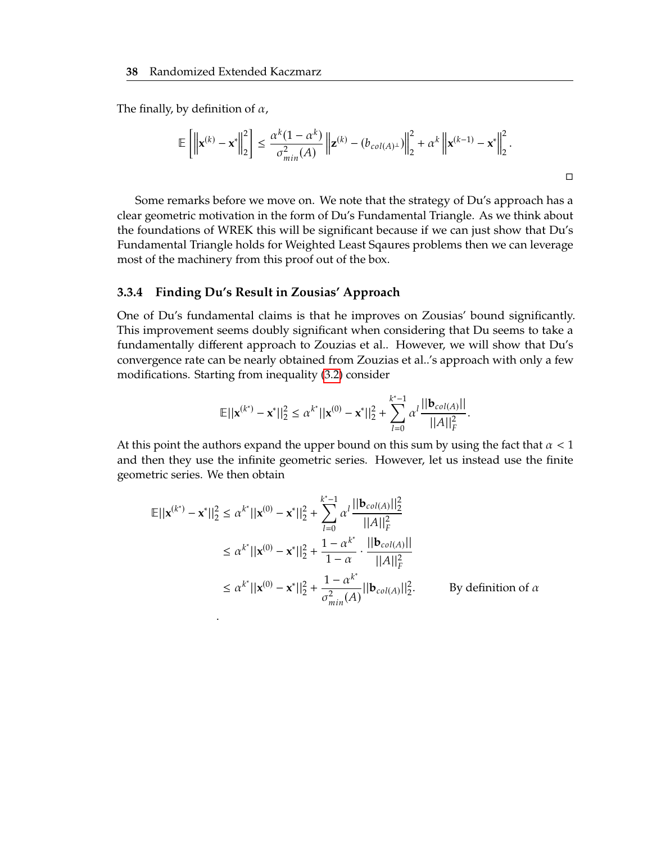The finally, by definition of  $\alpha$ ,

$$
\mathbb{E}\left[\left\|\mathbf{x}^{(k)}-\mathbf{x}^*\right\|_2^2\right] \leq \frac{\alpha^k(1-\alpha^k)}{\sigma_{min}^2(A)}\left\|\mathbf{z}^{(k)}-(b_{col(A)^{\perp}})\right\|_2^2+\alpha^k\left\|\mathbf{x}^{(k-1)}-\mathbf{x}^*\right\|_2^2.
$$

Some remarks before we move on. We note that the strategy of Du's approach has a clear geometric motivation in the form of Du's Fundamental Triangle. As we think about the foundations of WREK this will be significant because if we can just show that Du's Fundamental Triangle holds for Weighted Least Sqaures problems then we can leverage most of the machinery from this proof out of the box.

#### <span id="page-52-0"></span>**3.3.4 Finding Du's Result in Zousias' Approach**

One of Du's fundamental claims is that he improves on Zousias' bound significantly. This improvement seems doubly significant when considering that Du seems to take a fundamentally different approach to Zouzias et al.. However, we will show that Du's convergence rate can be nearly obtained from Zouzias et al..'s approach with only a few modifications. Starting from inequality [\(3.2\)](#page-44-1) consider

$$
\mathbb{E}||\mathbf{x}^{(k^*)}-\mathbf{x}^*||_2^2 \leq \alpha^{k^*}||\mathbf{x}^{(0)}-\mathbf{x}^*||_2^2 + \sum_{l=0}^{k^*-1} \alpha^l \frac{||\mathbf{b}_{col(A)}||}{||A||_F^2}.
$$

At this point the authors expand the upper bound on this sum by using the fact that  $\alpha < 1$ and then they use the infinite geometric series. However, let us instead use the finite geometric series. We then obtain

$$
\mathbb{E}||\mathbf{x}^{(k^*)} - \mathbf{x}^*||_2^2 \le \alpha^{k^*}||\mathbf{x}^{(0)} - \mathbf{x}^*||_2^2 + \sum_{l=0}^{k^*-1} \alpha^l \frac{||\mathbf{b}_{col(A)}||_2^2}{||A||_F^2}
$$
  
\n
$$
\le \alpha^{k^*}||\mathbf{x}^{(0)} - \mathbf{x}^*||_2^2 + \frac{1 - \alpha^{k^*}}{1 - \alpha} \cdot \frac{||\mathbf{b}_{col(A)}||_2}{||A||_F^2}
$$
  
\n
$$
\le \alpha^{k^*}||\mathbf{x}^{(0)} - \mathbf{x}^*||_2^2 + \frac{1 - \alpha^{k^*}}{\sigma_{min}^2(A)}||\mathbf{b}_{col(A)}||_2^2.
$$
 By definition of  $\alpha$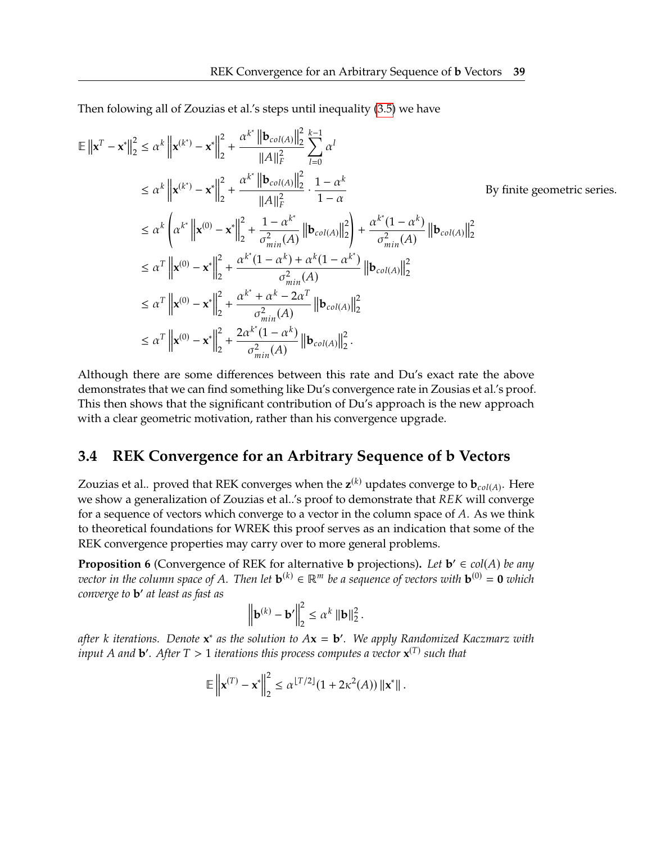Then folowing all of Zouzias et al.'s steps until inequality [\(3.5\)](#page-45-2) we have

$$
\mathbb{E} \left\| \mathbf{x}^{T} - \mathbf{x}^{*} \right\|_{2}^{2} \leq \alpha^{k} \left\| \mathbf{x}^{(k^{*})} - \mathbf{x}^{*} \right\|_{2}^{2} + \frac{\alpha^{k^{*}} \left\| \mathbf{b}_{col(A)} \right\|_{2}^{2}}{\|A\|_{F}^{2}} \sum_{l=0}^{k-1} \alpha^{l}
$$
\n
$$
\leq \alpha^{k} \left\| \mathbf{x}^{(k^{*})} - \mathbf{x}^{*} \right\|_{2}^{2} + \frac{\alpha^{k^{*}} \left\| \mathbf{b}_{col(A)} \right\|_{2}^{2}}{\|A\|_{F}^{2}} \cdot \frac{1 - \alpha^{k}}{1 - \alpha}
$$
\nBy finite geometric series.\n
$$
\leq \alpha^{k} \left( \alpha^{k^{*}} \left\| \mathbf{x}^{(0)} - \mathbf{x}^{*} \right\|_{2}^{2} + \frac{1 - \alpha^{k^{*}}}{\sigma_{min}^{2}(A)} \left\| \mathbf{b}_{col(A)} \right\|_{2}^{2} \right) + \frac{\alpha^{k^{*}} (1 - \alpha^{k})}{\sigma_{min}^{2}(A)} \left\| \mathbf{b}_{col(A)} \right\|_{2}^{2}
$$
\n
$$
\leq \alpha^{T} \left\| \mathbf{x}^{(0)} - \mathbf{x}^{*} \right\|_{2}^{2} + \frac{\alpha^{k^{*}} (1 - \alpha^{k}) + \alpha^{k} (1 - \alpha^{k^{*}})}{\sigma_{min}^{2}(A)} \left\| \mathbf{b}_{col(A)} \right\|_{2}^{2}
$$
\n
$$
\leq \alpha^{T} \left\| \mathbf{x}^{(0)} - \mathbf{x}^{*} \right\|_{2}^{2} + \frac{\alpha^{k^{*}} + \alpha^{k} - 2\alpha^{T}}{\sigma_{min}^{2}(A)} \left\| \mathbf{b}_{col(A)} \right\|_{2}^{2}
$$
\n
$$
\leq \alpha^{T} \left\| \mathbf{x}^{(0)} - \mathbf{x}^{*} \right\|_{2}^{2} + \frac{2\alpha^{k^{*}} (1 - \alpha^{k})}{\sigma_{min}^{2}(A)} \left\| \mathbf{b}_{col(A)} \right\|_{2}^{2}.
$$

Although there are some differences between this rate and Du's exact rate the above demonstrates that we can find something like Du's convergence rate in Zousias et al.'s proof. This then shows that the significant contribution of Du's approach is the new approach with a clear geometric motivation, rather than his convergence upgrade.

### <span id="page-53-0"></span>**3.4 REK Convergence for an Arbitrary Sequence of b Vectors**

Zouzias et al.. proved that REK converges when the  $z^{(k)}$  updates converge to  $\mathbf{b}_{col(A)}$ . Here we show a generalization of Zouzias et al..'s proof to demonstrate that  $REK$  will converge for a sequence of vectors which converge to a vector in the column space of  $A$ . As we think to theoretical foundations for WREK this proof serves as an indication that some of the REK convergence properties may carry over to more general problems.

<span id="page-53-1"></span>**Proposition 6** (Convergence of REK for alternative **b** projections). Let  $\mathbf{b}' \in \text{col}(A)$  be any *postaging in the column space of A. Then let*  $\mathbf{b}^{(k)} \in \mathbb{D}^m$  be a sequence of vectors with  $\mathbf{b}^{(0)} = \mathbf{0}$  wh *vector in the column space of A*. Then let  $\mathbf{b}^{(k)} \in \mathbb{R}^m$  be a sequence of vectors with  $\mathbf{b}^{(0)} = \mathbf{0}$  which *converge to* **b** ′ *at least as fast as*

$$
\left\Vert \mathbf{b}^{(k)}-\mathbf{b}'\right\Vert _{2}^{2}\leq\alpha^{k}\left\Vert \mathbf{b}\right\Vert _{2}^{2}
$$

*after k* iterations. Denote  $\mathbf{x}^*$  as the solution to  $A\mathbf{x} = \mathbf{b}'$ . We apply Randomized Kaczmarz with  $\lim_{\Delta t \to 0} A \mathbf{f}$  and  $\mathbf{b}'$  after  $T > 1$  iterations this process computes a vector  $\mathbf{x}^{(T)}$  such that *input A* and **b**<sup>*'*</sup>. After  $T > 1$  *iterations this process computes a vector*  $\mathbf{x}^{(T)}$  *such that* 

$$
\mathbb{E}\left\|\mathbf{x}^{(T)}-\mathbf{x}^*\right\|_2^2 \leq \alpha^{\lfloor T/2 \rfloor}(1+2\kappa^2(A))\left\|\mathbf{x}^*\right\|.
$$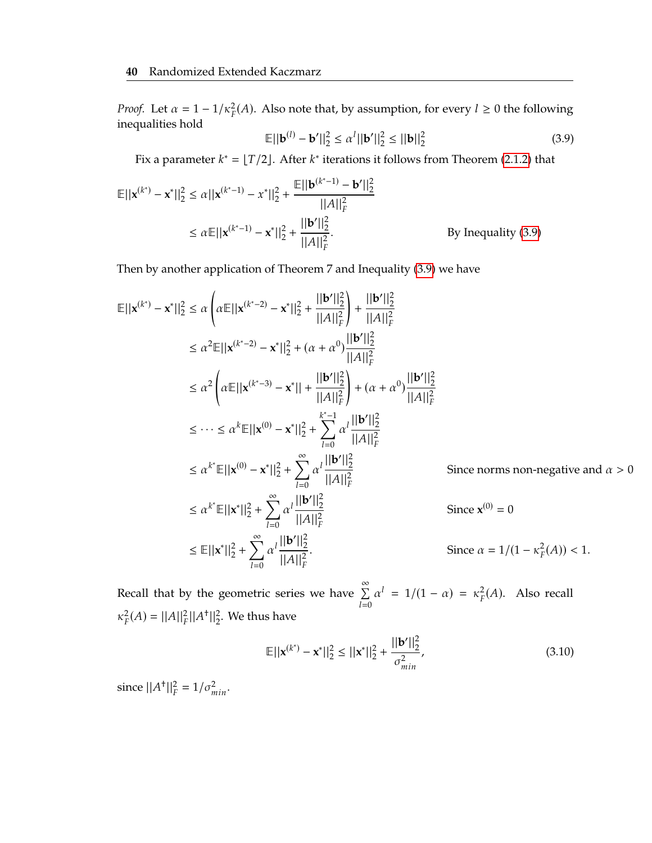*Proof.* Let  $\alpha = 1 - 1/\kappa_p^2$  $_{F}^{2}(A)$ . Also note that, by assumption, for every  $l \geq 0$  the following inequalities hold

<span id="page-54-0"></span>
$$
\mathbb{E}||\mathbf{b}^{(l)} - \mathbf{b}'||_2^2 \le \alpha^l ||\mathbf{b}'||_2^2 \le ||\mathbf{b}||_2^2
$$
 (3.9)

Fix a parameter  $k^* = \lfloor T/2 \rfloor$ . After  $k^*$  iterations it follows from Theorem [\(2.1.2\)](#page-34-0) that

$$
\mathbb{E}||\mathbf{x}^{(k^*)} - \mathbf{x}^*||_2^2 \le \alpha ||\mathbf{x}^{(k^*-1)} - \mathbf{x}^*||_2^2 + \frac{\mathbb{E}||\mathbf{b}^{(k^*-1)} - \mathbf{b}'||_2^2}{||A||_F^2}
$$
  
\n
$$
\le \alpha \mathbb{E}||\mathbf{x}^{(k^*-1)} - \mathbf{x}^*||_2^2 + \frac{||\mathbf{b}'||_2^2}{||A||_F^2}.
$$
 By Inequality (3.9)

Then by another application of Theorem 7 and Inequality [\(3.9\)](#page-54-0) we have

$$
\mathbb{E}||\mathbf{x}^{(k^*)} - \mathbf{x}^*||_2^2 \le \alpha \left(\alpha \mathbb{E}||\mathbf{x}^{(k^*-2)} - \mathbf{x}^*||_2^2 + \frac{||\mathbf{b}'||_2^2}{||A||_F^2}\right) + \frac{||\mathbf{b}'||_2^2}{||A||_F^2}
$$
  
\n
$$
\le \alpha^2 \mathbb{E}||\mathbf{x}^{(k^*-2)} - \mathbf{x}^*||_2^2 + (\alpha + \alpha^0) \frac{||\mathbf{b}'||_2^2}{||A||_F^2}
$$
  
\n
$$
\le \alpha^2 \left(\alpha \mathbb{E}||\mathbf{x}^{(k^*-3)} - \mathbf{x}^*|| + \frac{||\mathbf{b}'||_2^2}{||A||_F^2}\right) + (\alpha + \alpha^0) \frac{||\mathbf{b}'||_2^2}{||A||_F^2}
$$
  
\n
$$
\le \cdots \le \alpha^k \mathbb{E}||\mathbf{x}^{(0)} - \mathbf{x}^*||_2^2 + \sum_{l=0}^{k^*-1} \alpha^l \frac{||\mathbf{b}'||_2^2}{||A||_F^2}
$$
  
\n
$$
\le \alpha^{k^*} \mathbb{E}||\mathbf{x}^{(0)} - \mathbf{x}^*||_2^2 + \sum_{l=0}^{\infty} \alpha^l \frac{||\mathbf{b}'||_2^2}{||A||_F^2}
$$
  
\nSince norms, non-negative and  $\alpha > 0$   
\n
$$
\le \alpha^{k^*} \mathbb{E}||\mathbf{x}^*||_2^2 + \sum_{l=0}^{\infty} \alpha^l \frac{||\mathbf{b}'||_2^2}{||A||_F^2}
$$
  
\nSince  $\mathbf{x}^{(0)} = 0$   
\n
$$
\le \mathbb{E}||\mathbf{x}^*||_2^2 + \sum_{l=0}^{\infty} \alpha^l \frac{||\mathbf{b}'||_2^2}{||A||_F^2}.
$$
  
\nSince  $\alpha = 1/(1 - \kappa_F^2(A)) < 1$ .

Recall that by the geometric series we have  $\sum^{\infty}$  $l=0$  $\alpha^l = 1/(1 - \alpha) = \kappa_F^2$  $_{F}^{2}(A)$ . Also recall  $\kappa_{\rm F}^2$  $\mathcal{L}_F^2(A) = ||A||_F^2 ||A^{\dagger}||_2^2$ . We thus have

<span id="page-54-1"></span>
$$
\mathbb{E}||\mathbf{x}^{(k^*)} - \mathbf{x}^*||_2^2 \le ||\mathbf{x}^*||_2^2 + \frac{||\mathbf{b}'||_2^2}{\sigma_{min}^2},
$$
\n(3.10)

since  $||A^+||_F^2 = 1/\sigma_{min}^2$ .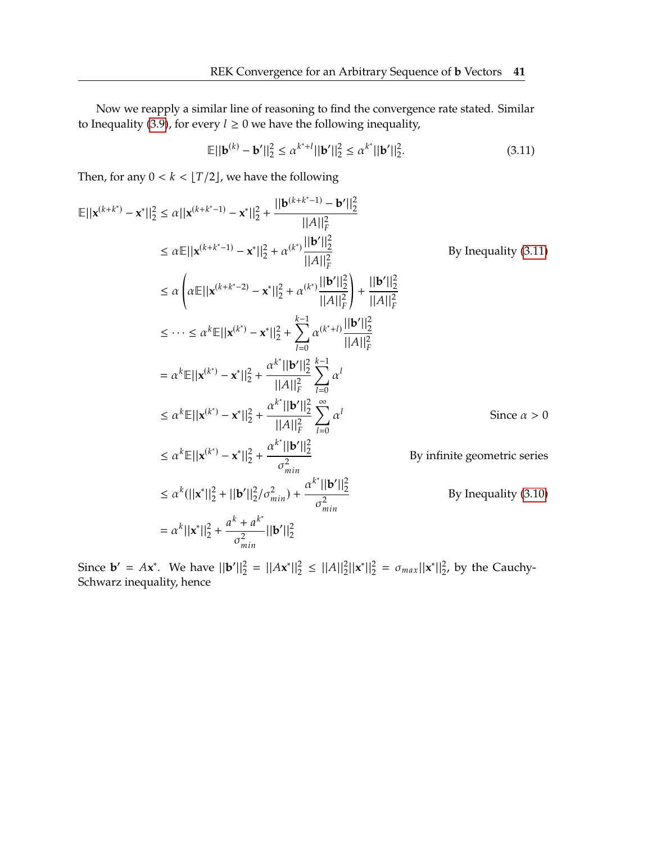Now we reapply a similar line of reasoning to find the convergence rate stated. Similar to Inequality [\(3.9\)](#page-54-0), for every  $l \ge 0$  we have the following inequality,

<span id="page-55-0"></span>
$$
\mathbb{E}||\mathbf{b}^{(k)} - \mathbf{b}'||_2^2 \le \alpha^{k^*+l}||\mathbf{b}'||_2^2 \le \alpha^{k^*}||\mathbf{b}'||_2^2.
$$
 (3.11)

Then, for any  $0 < k < \lfloor T/2 \rfloor$ , we have the following

$$
\mathbb{E}||\mathbf{x}^{(k+k^{*})} - \mathbf{x}^{*}||_{2}^{2} \leq \alpha ||\mathbf{x}^{(k+k^{*}-1)} - \mathbf{x}^{*}||_{2}^{2} + \frac{||\mathbf{b}^{(k+k^{*}-1)} - \mathbf{b}'||_{2}^{2}}{||A||_{F}^{2}}
$$
\n
$$
\leq \alpha \mathbb{E}||\mathbf{x}^{(k+k^{*}-1)} - \mathbf{x}^{*}||_{2}^{2} + \alpha^{(k^{*})}\frac{||\mathbf{b}'||_{2}^{2}}{||A||_{F}^{2}}
$$
\n
$$
\leq \alpha \left(\alpha \mathbb{E}||\mathbf{x}^{(k+k^{*}-2)} - \mathbf{x}^{*}||_{2}^{2} + \alpha^{(k^{*})}\frac{||\mathbf{b}'||_{2}^{2}}{||A||_{F}^{2}}\right) + \frac{||\mathbf{b}'||_{2}^{2}}{||A||_{F}^{2}}
$$
\n
$$
\leq \cdots \leq \alpha^{k} \mathbb{E}||\mathbf{x}^{(k^{*})} - \mathbf{x}^{*}||_{2}^{2} + \sum_{l=0}^{k-1} \alpha^{(k^{*}+l)}\frac{||\mathbf{b}'||_{2}^{2}}{||A||_{F}^{2}}
$$
\n
$$
= \alpha^{k} \mathbb{E}||\mathbf{x}^{(k^{*})} - \mathbf{x}^{*}||_{2}^{2} + \frac{\alpha^{k^{*}}||\mathbf{b}'||_{2}^{2}}{||A||_{F}^{2}} \sum_{l=0}^{k-1} \alpha^{l}
$$
\n
$$
\leq \alpha^{k} \mathbb{E}||\mathbf{x}^{(k^{*})} - \mathbf{x}^{*}||_{2}^{2} + \frac{\alpha^{k^{*}}||\mathbf{b}'||_{2}^{2}}{||A||_{F}^{2}} \sum_{l=0}^{\infty} \alpha^{l}
$$
\n
$$
\leq \alpha^{k} \mathbb{E}||\mathbf{x}^{(k^{*})} - \mathbf{x}^{*}||_{2}^{2} + \frac{\alpha^{k^{*}}||\mathbf{b}'||_{2}^{2}}{|\mathbf{a}|_{F}^{2}} \sum_{l=0}^{\infty} \alpha^{l}
$$
\n
$$
\leq \alpha^{k} \mathbb{E
$$

Since **b**' = A**x**<sup>\*</sup>. We have  $||\mathbf{b}'||_2^2 = ||A\mathbf{x}^*||_2^2 \le ||A||_2^2 ||\mathbf{x}^*||_2^2 = \sigma_{max} ||\mathbf{x}^*||_2^2$ , by the Cauchy-<br>Sebytary inequality hence Schwarz inequality, hence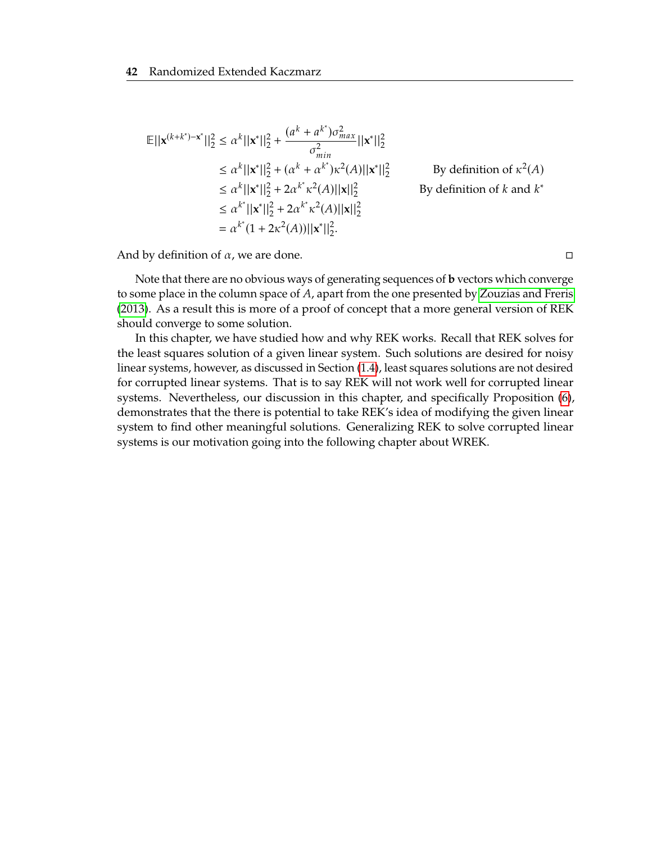$$
\mathbb{E}||\mathbf{x}^{(k+k^*)-\mathbf{x}^*}||_2^2 \le \alpha^k ||\mathbf{x}^*||_2^2 + \frac{(a^k + a^{k^*})\sigma_{max}^2}{\sigma_{min}^2} ||\mathbf{x}^*||_2^2
$$
  
\n
$$
\le \alpha^k ||\mathbf{x}^*||_2^2 + (\alpha^k + \alpha^k^*)\kappa^2(A)||\mathbf{x}^*||_2^2
$$
 By definition of  $\kappa^2(A)$   
\n
$$
\le \alpha^k ||\mathbf{x}^*||_2^2 + 2\alpha^{k^*}\kappa^2(A)||\mathbf{x}||_2^2
$$
 By definition of  $k$  and  $k^*$   
\n
$$
\le \alpha^{k^*} ||\mathbf{x}^*||_2^2 + 2\alpha^{k^*}\kappa^2(A)||\mathbf{x}||_2^2
$$
  
\n
$$
= \alpha^{k^*}(1 + 2\kappa^2(A))||\mathbf{x}^*||_2^2.
$$

And by definition of  $\alpha$ , we are done. □

Note that there are no obvious ways of generating sequences of **b** vectors which converge to some place in the column space of  $A$ , apart from the one presented by [Zouzias and Freris](#page-69-0) [\(2013\)](#page-69-0). As a result this is more of a proof of concept that a more general version of REK should converge to some solution.

In this chapter, we have studied how and why REK works. Recall that REK solves for the least squares solution of a given linear system. Such solutions are desired for noisy linear systems, however, as discussed in Section [\(1.4\)](#page-24-0), least squares solutions are not desired for corrupted linear systems. That is to say REK will not work well for corrupted linear systems. Nevertheless, our discussion in this chapter, and specifically Proposition [\(6\)](#page-53-1), demonstrates that the there is potential to take REK's idea of modifying the given linear system to find other meaningful solutions. Generalizing REK to solve corrupted linear systems is our motivation going into the following chapter about WREK.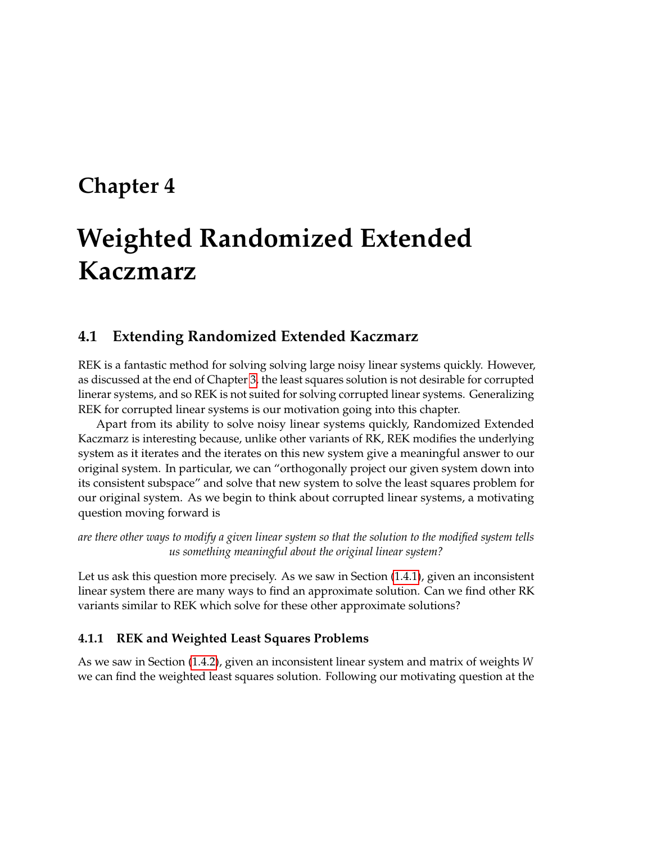# <span id="page-57-0"></span>**Chapter 4**

# **Weighted Randomized Extended Kaczmarz**

## <span id="page-57-1"></span>**4.1 Extending Randomized Extended Kaczmarz**

REK is a fantastic method for solving solving large noisy linear systems quickly. However, as discussed at the end of Chapter [3,](#page-37-0) the least squares solution is not desirable for corrupted linerar systems, and so REK is not suited for solving corrupted linear systems. Generalizing REK for corrupted linear systems is our motivation going into this chapter.

Apart from its ability to solve noisy linear systems quickly, Randomized Extended Kaczmarz is interesting because, unlike other variants of RK, REK modifies the underlying system as it iterates and the iterates on this new system give a meaningful answer to our original system. In particular, we can "orthogonally project our given system down into its consistent subspace" and solve that new system to solve the least squares problem for our original system. As we begin to think about corrupted linear systems, a motivating question moving forward is

*are there other ways to modify a given linear system so that the solution to the modified system tells us something meaningful about the original linear system?*

Let us ask this question more precisely. As we saw in Section [\(1.4.1\)](#page-24-2), given an inconsistent linear system there are many ways to find an approximate solution. Can we find other RK variants similar to REK which solve for these other approximate solutions?

#### **4.1.1 REK and Weighted Least Squares Problems**

As we saw in Section [\(1.4.2\)](#page-25-1), given an inconsistent linear system and matrix of weights we can find the weighted least squares solution. Following our motivating question at the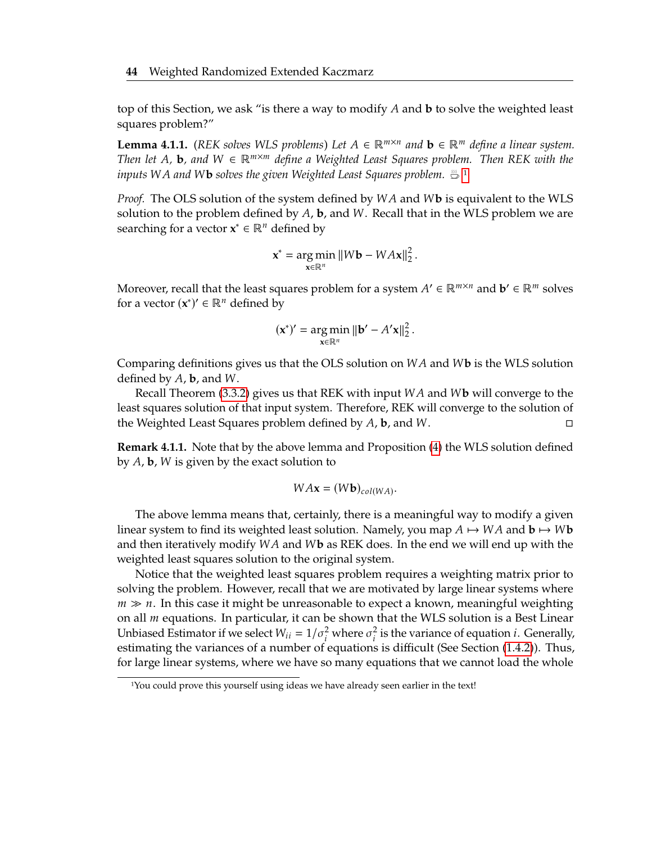top of this Section, we ask "is there a way to modify A and **b** to solve the weighted least squares problem?"

**Lemma 4.1.1.** *(REK solves WLS problems) Let*  $A \in \mathbb{R}^{m \times n}$  and  $\mathbf{b} \in \mathbb{R}^m$  define a linear system.<br>Then let  $A$  **b** and  $M \in \mathbb{R}^{m \times m}$  define a Weighted Least Squares problem. Then REK with the *Then let A*, **b**, and  $W \in \mathbb{R}^{m \times m}$  define a Weighted Least Squares problem. Then REK with the *inputs* WA and W**b** solves the given Weighted Least Squares problem.  $\frac{m}{n}$  <sup>[1](#page-58-0)</sup>

*Proof.* The OLS solution of the system defined by *WA* and *Wb* is equivalent to the WLS solution to the problem defined by  $A$ , **b**, and  $W$ . Recall that in the WLS problem we are searching for a vector  $x^* \in \mathbb{R}^n$  defined by

$$
\mathbf{x}^* = \underset{\mathbf{x} \in \mathbb{R}^n}{\arg \min} ||W\mathbf{b} - W A \mathbf{x}||_2^2.
$$

Moreover, recall that the least squares problem for a system  $A' \in \mathbb{R}^{m \times n}$  and  $\mathbf{b}' \in \mathbb{R}^m$  solves for a vector  $(x^*)' \in \mathbb{R}^n$  defined by for a vector  $(x^*)' \in \mathbb{R}^n$  defined by

$$
(\mathbf{x}^*)' = \underset{\mathbf{x} \in \mathbb{R}^n}{\arg \min} \|\mathbf{b}' - A'\mathbf{x}\|_2^2.
$$

Comparing definitions gives us that the OLS solution on  $WA$  and  $W$ **b** is the WLS solution defined by  $A$ , **b**, and  $W$ .

Recall Theorem  $(3.3.2)$  gives us that REK with input  $WA$  and  $W$ **b** will converge to the least squares solution of that input system. Therefore, REK will converge to the solution of the Weighted Least Squares problem defined by  $A$ , **b**, and  $W$ .  $\square$ 

**Remark 4.1.1.** Note that by the above lemma and Proposition [\(4\)](#page-43-2) the WLS solution defined by  $A$ ,  $b$ ,  $W$  is given by the exact solution to

$$
W A \mathbf{x} = (W \mathbf{b})_{col(W A)}.
$$

The above lemma means that, certainly, there is a meaningful way to modify a given linear system to find its weighted least solution. Namely, you map  $A \mapsto WA$  and  $\mathbf{b} \mapsto W\mathbf{b}$ and then iteratively modify  $WA$  and  $W$ **b** as REK does. In the end we will end up with the weighted least squares solution to the original system.

Notice that the weighted least squares problem requires a weighting matrix prior to solving the problem. However, recall that we are motivated by large linear systems where  $m \gg n$ . In this case it might be unreasonable to expect a known, meaningful weighting on all  $m$  equations. In particular, it can be shown that the WLS solution is a Best Linear Unbiased Estimator if we select  $W_{ii} = 1/\sigma_i^2$  where  $\sigma_i^2$  is the variance of equation *i*. Generally, estimating the variances of a number of equations is difficult (See Section (1.4.2)). Thus estimating the variances of a number of equations is difficult (See Section [\(1.4.2\)](#page-25-1)). Thus, for large linear systems, where we have so many equations that we cannot load the whole

<span id="page-58-0"></span><sup>1</sup>You could prove this yourself using ideas we have already seen earlier in the text!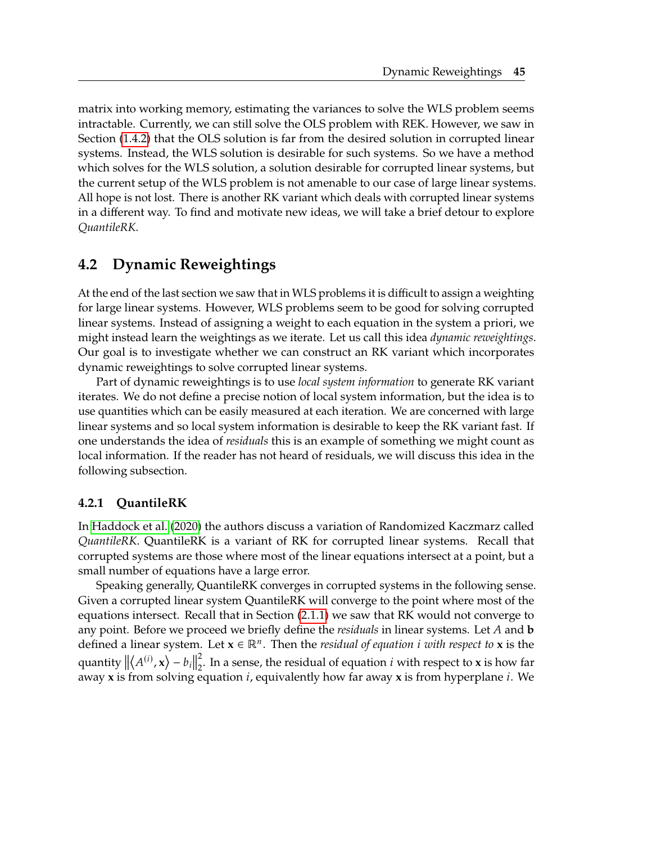matrix into working memory, estimating the variances to solve the WLS problem seems intractable. Currently, we can still solve the OLS problem with REK. However, we saw in Section [\(1.4.2\)](#page-25-1) that the OLS solution is far from the desired solution in corrupted linear systems. Instead, the WLS solution is desirable for such systems. So we have a method which solves for the WLS solution, a solution desirable for corrupted linear systems, but the current setup of the WLS problem is not amenable to our case of large linear systems. All hope is not lost. There is another RK variant which deals with corrupted linear systems in a different way. To find and motivate new ideas, we will take a brief detour to explore *QuantileRK*.

## <span id="page-59-0"></span>**4.2 Dynamic Reweightings**

At the end of the last section we saw that in WLS problems it is difficult to assign a weighting for large linear systems. However, WLS problems seem to be good for solving corrupted linear systems. Instead of assigning a weight to each equation in the system a priori, we might instead learn the weightings as we iterate. Let us call this idea *dynamic reweightings*. Our goal is to investigate whether we can construct an RK variant which incorporates dynamic reweightings to solve corrupted linear systems.

Part of dynamic reweightings is to use *local system information* to generate RK variant iterates. We do not define a precise notion of local system information, but the idea is to use quantities which can be easily measured at each iteration. We are concerned with large linear systems and so local system information is desirable to keep the RK variant fast. If one understands the idea of *residuals* this is an example of something we might count as local information. If the reader has not heard of residuals, we will discuss this idea in the following subsection.

#### **4.2.1 QuantileRK**

In [Haddock et al.](#page-69-2) [\(2020\)](#page-69-2) the authors discuss a variation of Randomized Kaczmarz called *QuantileRK*. QuantileRK is a variant of RK for corrupted linear systems. Recall that corrupted systems are those where most of the linear equations intersect at a point, but a small number of equations have a large error.

Speaking generally, QuantileRK converges in corrupted systems in the following sense. Given a corrupted linear system QuantileRK will converge to the point where most of the equations intersect. Recall that in Section [\(2.1.1\)](#page-34-1) we saw that RK would not converge to any point. Before we proceed we briefly define the *residuals* in linear systems. Let  $A$  and **b** defined a linear system. Let  $\mathbf{x} \in \mathbb{R}^n$ . Then the *residual of equation i* with respect to **x** is the quantity  $\|\langle A^{(i)}, \mathbf{x} \rangle - b_i\|$ away **x** is from solving equation  $i$ , equivalently how far away **x** is from hyperplane  $i$ . We 2  $\frac{2}{2}$ . In a sense, the residual of equation *i* with respect to **x** is how far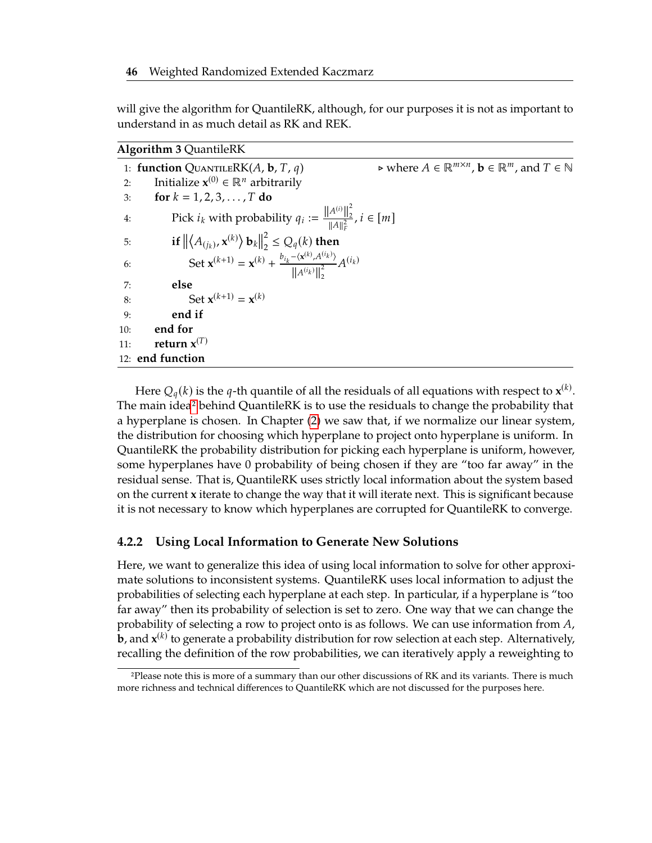will give the algorithm for QuantileRK, although, for our purposes it is not as important to understand in as much detail as RK and REK.

<span id="page-60-0"></span>

| <b>Algorithm 3 QuantileRK</b> |  |
|-------------------------------|--|

| 1: function QUANTILERK $(A, \mathbf{b}, T, q)$                                                                                                                                                                                                                             | $\triangleright$ where $A \in \mathbb{R}^{m \times n}$ , $\mathbf{b} \in \mathbb{R}^m$ , and $T \in \mathbb{N}$ |
|----------------------------------------------------------------------------------------------------------------------------------------------------------------------------------------------------------------------------------------------------------------------------|-----------------------------------------------------------------------------------------------------------------|
| Initialize $\mathbf{x}^{(0)} \in \mathbb{R}^n$ arbitrarily<br>2:                                                                                                                                                                                                           |                                                                                                                 |
| for $k = 1, 2, 3, , T$ do<br>3:                                                                                                                                                                                                                                            |                                                                                                                 |
| Pick $i_k$ with probability $q_i := \frac{\ A^{(i)}\ _2^2}{\ A\ _F^2}, i \in [m]$<br>4:                                                                                                                                                                                    |                                                                                                                 |
| 5:                                                                                                                                                                                                                                                                         |                                                                                                                 |
| if $\left\  \left\langle A_{(j_k)}, \mathbf{x}^{(k)} \right\rangle \mathbf{b}_k \right\ _2^2 \leq Q_q(k)$ then<br>Set $\mathbf{x}^{(k+1)} = \mathbf{x}^{(k)} + \frac{b_{i_k} - \left\langle \mathbf{x}^{(k)}, A^{(i_k)} \right\rangle}{\ A^{(i_k)}\ _2^2} A^{(i_k)}$<br>6: |                                                                                                                 |
| else<br>7:                                                                                                                                                                                                                                                                 |                                                                                                                 |
| Set ${\bf x}^{(k+1)}={\bf x}^{(k)}$<br>8:                                                                                                                                                                                                                                  |                                                                                                                 |
| end if<br>9:                                                                                                                                                                                                                                                               |                                                                                                                 |
| end for<br>10:                                                                                                                                                                                                                                                             |                                                                                                                 |
| return $x^{(T)}$<br>11:                                                                                                                                                                                                                                                    |                                                                                                                 |
| 12: end function                                                                                                                                                                                                                                                           |                                                                                                                 |

Here  $Q_q(k)$  is the q-th quantile of all the residuals of all equations with respect to  $\mathbf{x}^{(k)}$ .<br>
I main ideal behind QuantileRK is to use the residuals to change the probability that The main idea[2](#page-60-1) behind QuantileRK is to use the residuals to change the probability that a hyperplane is chosen. In Chapter [\(2\)](#page-29-0) we saw that, if we normalize our linear system, the distribution for choosing which hyperplane to project onto hyperplane is uniform. In QuantileRK the probability distribution for picking each hyperplane is uniform, however, some hyperplanes have 0 probability of being chosen if they are "too far away" in the residual sense. That is, QuantileRK uses strictly local information about the system based on the current **x** iterate to change the way that it will iterate next. This is significant because it is not necessary to know which hyperplanes are corrupted for QuantileRK to converge.

#### **4.2.2 Using Local Information to Generate New Solutions**

Here, we want to generalize this idea of using local information to solve for other approximate solutions to inconsistent systems. QuantileRK uses local information to adjust the probabilities of selecting each hyperplane at each step. In particular, if a hyperplane is "too far away" then its probability of selection is set to zero. One way that we can change the probability of selecting a row to project onto is as follows. We can use information from  $A$ , **b**, and  $\mathbf{x}^{(k)}$  to generate a probability distribution for row selection at each step. Alternatively, recalling the definition of the row probabilities, we can iteratively apply a reweighting to

<span id="page-60-1"></span><sup>2</sup>Please note this is more of a summary than our other discussions of RK and its variants. There is much more richness and technical differences to QuantileRK which are not discussed for the purposes here.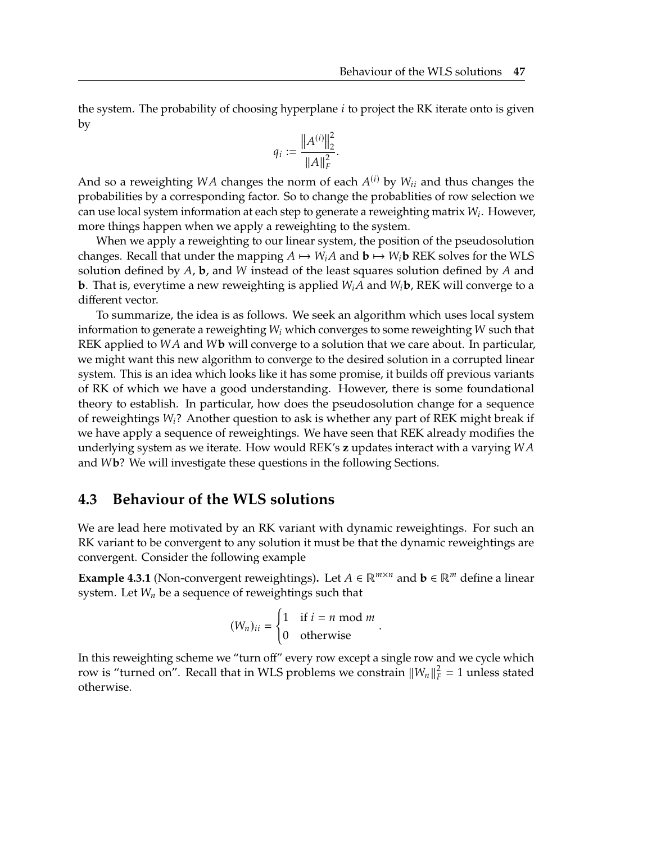the system. The probability of choosing hyperplane  $i$  to project the RK iterate onto is given by

$$
q_i := \frac{\left\| A^{(i)} \right\|_2^2}{\left\| A \right\|_F^2}
$$

And so a reweighting WA changes the norm of each  $A^{(i)}$  by  $W_{ii}$  and thus changes the norm of each  $A^{(i)}$  by  $W_{ii}$  and thus changes the norm of each  $A^{(i)}$  by  $W_{ii}$  and thus changes the probabilities by a corresponding factor. So to change the probablities of row selection we can use local system information at each step to generate a reweighting matrix  $W_i$ . However, more things happen when we apply a reweighting to the system more things happen when we apply a reweighting to the system.

When we apply a reweighting to our linear system, the position of the pseudosolution changes. Recall that under the mapping  $A \mapsto W_iA$  and  $b \mapsto W_i$  REK solves for the WLS solution defined by  $A$ , **b**, and  $W$  instead of the least squares solution defined by  $A$  and **b**. That is, everytime a new reweighting is applied  $W_iA$  and  $W_i$ **b**, REK will converge to a different vector.

To summarize, the idea is as follows. We seek an algorithm which uses local system information to generate a reweighting  $W_i$  which converges to some reweighting  $W$  such that REK applied to WA and Wb will converge to a solution that we care about. In particular, we might want this new algorithm to converge to the desired solution in a corrupted linear system. This is an idea which looks like it has some promise, it builds off previous variants of RK of which we have a good understanding. However, there is some foundational theory to establish. In particular, how does the pseudosolution change for a sequence of reweightings  $W_i$ ? Another question to ask is whether any part of REK might break if we have apply a sequence of reweightings. We have seen that REK already modifies the underlying system as we iterate. How would REK's **<sup>z</sup>** updates interact with a varying and **b**? We will investigate these questions in the following Sections.

### <span id="page-61-0"></span>**4.3 Behaviour of the WLS solutions**

We are lead here motivated by an RK variant with dynamic reweightings. For such an RK variant to be convergent to any solution it must be that the dynamic reweightings are convergent. Consider the following example

**Example 4.3.1** (Non-convergent reweightings). Let  $A \in \mathbb{R}^{m \times n}$  and  $\mathbf{b} \in \mathbb{R}^m$  define a linear system. Let  $W_n$  be a sequence of reweightings such that

$$
(W_n)_{ii} = \begin{cases} 1 & \text{if } i = n \text{ mod } m \\ 0 & \text{otherwise} \end{cases}
$$

In this reweighting scheme we "turn off" every row except a single row and we cycle which row is "turned on". Recall that in WLS problems we constrain  $||W_n||_F^2 = 1$  unless stated otherwise otherwise.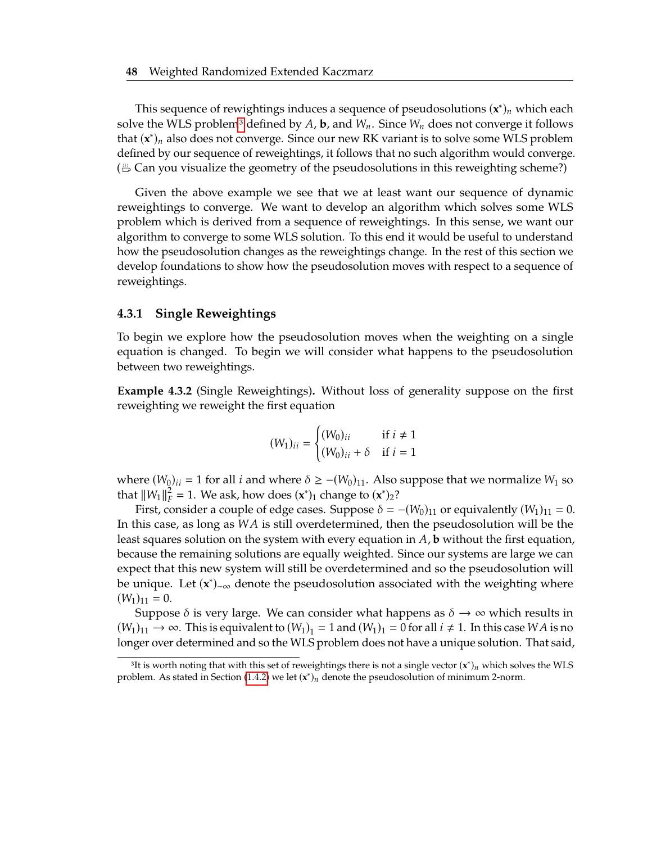This sequence of rewightings induces a sequence of pseudosolutions  $(\mathbf{x}^*)_n$  which each real than  $W_n$  for  $\mathbf{x}$  and  $W_n$  for  $\mathbf{x}$  and  $W_n$  for  $\mathbf{x}$  and  $\mathbf{x}$  are  $\mathbf{x}$  and  $\mathbf{x}$  are  $\mathbf{x}$  and  $\mathbf{x}$  ar solve the WLS problem<sup>[3](#page-62-0)</sup> defined by A, b, and  $W_n$ . Since  $W_n$  does not converge it follows that  $(\mathbf{x}^*)_n$  also does not converge. Since our new RK variant is to solve some WLS problem defined by our sequence of reweightings, it follows that no such algorithm would converge. ( $\frac{m}{n}$  Can you visualize the geometry of the pseudosolutions in this reweighting scheme?)

Given the above example we see that we at least want our sequence of dynamic reweightings to converge. We want to develop an algorithm which solves some WLS problem which is derived from a sequence of reweightings. In this sense, we want our algorithm to converge to some WLS solution. To this end it would be useful to understand how the pseudosolution changes as the reweightings change. In the rest of this section we develop foundations to show how the pseudosolution moves with respect to a sequence of reweightings.

#### **4.3.1 Single Reweightings**

To begin we explore how the pseudosolution moves when the weighting on a single equation is changed. To begin we will consider what happens to the pseudosolution between two reweightings.

<span id="page-62-1"></span>**Example 4.3.2** (Single Reweightings)**.** Without loss of generality suppose on the first reweighting we reweight the first equation

$$
(W_1)_{ii} = \begin{cases} (W_0)_{ii} & \text{if } i \neq 1\\ (W_0)_{ii} + \delta & \text{if } i = 1 \end{cases}
$$

where  $(W_0)_{ii} = 1$  for all *i* and where  $\delta \ge -(W_0)_{11}$ . Also suppose that we normalize  $W_1$  so that  $||W_1||_F^2 = 1$ . We ask, how does  $(\mathbf{x}^*)_1$  change to  $(\mathbf{x}^*)_2$ ?<br>First, consider a sound of odge cases. Suppose  $\delta = \epsilon$ 

First, consider a couple of edge cases. Suppose  $\delta = -(W_0)_{11}$  or equivalently  $(W_1)_{11} = 0$ . In this case, as long as  $WA$  is still overdetermined, then the pseudosolution will be the least squares solution on the system with every equation in  $A$ , **b** without the first equation, because the remaining solutions are equally weighted. Since our systems are large we can expect that this new system will still be overdetermined and so the pseudosolution will be unique. Let (x<sup>\*</sup>)<sub>-∞</sub> denote the pseudosolution associated with the weighting where  $(W_1)_{11} = 0.$ 

Suppose  $\delta$  is very large. We can consider what happens as  $\delta \to \infty$  which results in  $(W_1)_{11} \rightarrow \infty$ . This is equivalent to  $(W_1)_1 = 1$  and  $(W_1)_1 = 0$  for all  $i \neq 1$ . In this case *WA* is no longer over determined and so the WLS problem does not have a unique solution. That said,

<span id="page-62-0"></span><sup>&</sup>lt;sup>3</sup>It is worth noting that with this set of reweightings there is not a single vector  $(\mathbf{x}^*)_n$  which solves the WLS blom. As stated in Section (1.4.2) we let  $(\mathbf{x}^*)$ , denote the proudesolution of minimum 2 norm. problem. As stated in Section [\(1.4.2\)](#page-25-1) we let  $(x^*)_n$  denote the pseudosolution of minimum 2-norm.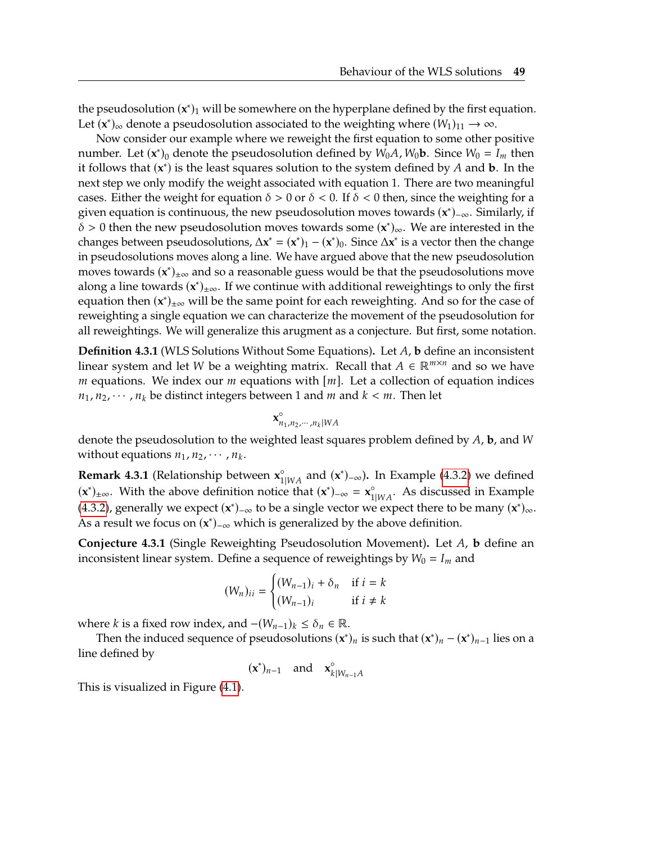the pseudosolution  $(x^*)_1$  will be somewhere on the hyperplane defined by the first equation. Let  $(\mathbf{x}^*)_{\infty}$  denote a pseudosolution associated to the weighting where  $(W_1)_{11} \rightarrow \infty$ .

Now consider our example where we reweight the first equation to some other positive number. Let  $(\mathbf{x}^*)_0$  denote the pseudosolution defined by  $W_0A$ ,  $W_0\mathbf{b}$ . Since  $W_0 = I_m$  then<br>it follows that  $(\mathbf{x}^*)$  is the least squares solution to the system defined by A and **b**. In the it follows that  $(\mathbf{x}^*)$  is the least squares solution to the system defined by  $A$  and  $\mathbf{b}$ . In the next stop we only modify the weight associated with equation 1. There are two meaningful next step we only modify the weight associated with equation 1. There are two meaningful cases. Either the weight for equation  $\delta > 0$  or  $\delta < 0$ . If  $\delta < 0$  then, since the weighting for a given equation is continuous, the new pseudosolution moves towards (x<sup>\*</sup>)<sub>-∞</sub>. Similarly, if  $\delta > 0$  then the new pseudosolution moves towards some  $(x^*)_{\infty}$ . We are interested in the changes between pseudosolutions,  $\Delta x^* = (x^*)_1 - (x^*)_0$ . Since  $\Delta x^*$  is a vector then the change in pseudosolutions moves along a line. We have argued above that the new pseudosolution moves towards  $(x^*)_{\pm\infty}$  and so a reasonable guess would be that the pseudosolutions move along a line towards (x<sup>\*</sup>)<sub>±∞</sub>. If we continue with additional reweightings to only the first equation then (x<sup>\*</sup>)<sub>±∞</sub> will be the same point for each reweighting. And so for the case of reweighting a single equation we can characterize the movement of the pseudosolution for all reweightings. We will generalize this arugment as a conjecture. But first, some notation.

**Definition 4.3.1** (WLS Solutions Without Some Equations). Let A, b define an inconsistent linear system and let W be a weighting matrix. Recall that  $A \in \mathbb{R}^{m \times n}$  and so we have m equations. We index our m equations with  $[m]$ . Let a collection of equation indices  $n_1, n_2, \dots, n_k$  be distinct integers between 1 and *m* and  $k < m$ . Then let

$$
\mathbf{x}_{n_1,n_2,\cdots,n_k|WA}^{\circ}
$$

denote the pseudosolution to the weighted least squares problem defined by  $A$ , **b**, and W without equations  $n_1$ ,  $n_2$ ,  $\cdots$ ,  $n_k$ .

**Remark 4.3.1** (Relationship between  $\mathbf{x}_{1|WA}^{\circ}$  and  $(\mathbf{x}^*)_{-\infty}$ ). In Example [\(4.3.2\)](#page-62-1) we defined  $(\mathbf{x}^*)$  and  $(\mathbf{x}^*)$  and  $(\mathbf{x}^*)$  are  $\mathbf{x}^{\circ}$  and  $(\mathbf{x}^*)$  are  $\mathbf{x}^{\circ}$  as discussed in Example  $({\bf x}^*)_{\pm\infty}$ . With the above definition notice that  $({\bf x}^*)_{-\infty} = {\bf x}_{1|WA}^{\circ}$ . As discussed in Example [\(4.3.2\)](#page-62-1), generally we expect  $(\mathbf{x}^*)_{-\infty}$  to be a single vector we expect there to be many  $(\mathbf{x}^*)_{\infty}$ . As a result we focus on  $(x^*)$ <sub>-∞</sub> which is generalized by the above definition.

<span id="page-63-0"></span>**Conjecture 4.3.1** (Single Reweighting Pseudosolution Movement). Let A, b define an inconsistent linear system. Define a sequence of reweightings by  $W_0 = I_m$  and

$$
(W_n)_{ii} = \begin{cases} (W_{n-1})_i + \delta_n & \text{if } i = k \\ (W_{n-1})_i & \text{if } i \neq k \end{cases}
$$

where *k* is a fixed row index, and  $-(W_{n-1})_k \le \delta_n \in \mathbb{R}$ .

Then the induced sequence of pseudosolutions  $(\mathbf{x}^*)_n$  is such that  $(\mathbf{x}^*)_n - (\mathbf{x}^*)_{n-1}$  lies on a line defined by

 $(\mathbf{x}^*)_{n-1}$  and  $\mathbf{x}_k^{\circ}$  $k|W_{n-1}A$ 

This is visualized in Figure [\(4.1\)](#page-64-0).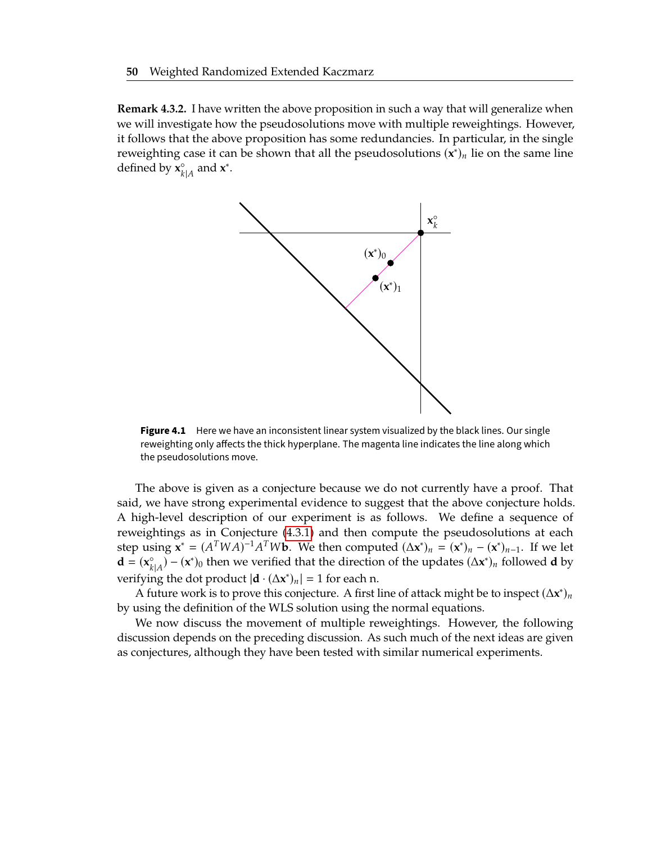<span id="page-64-0"></span>**Remark 4.3.2.** I have written the above proposition in such a way that will generalize when we will investigate how the pseudosolutions move with multiple reweightings. However, it follows that the above proposition has some redundancies. In particular, in the single reweighting case it can be shown that all the pseudosolutions  $(\mathbf{x}^*)_n$  lie on the same line defined by  $\mathbf{x}_{k}^{\circ}$  $_{k|A}^{\circ}$  and **x**<sup>\*</sup>.



**Figure 4.1** Here we have an inconsistent linear system visualized by the black lines. Our single reweighting only affects the thick hyperplane. The magenta line indicates the line along which the pseudosolutions move.

The above is given as a conjecture because we do not currently have a proof. That said, we have strong experimental evidence to suggest that the above conjecture holds. A high-level description of our experiment is as follows. We define a sequence of reweightings as in Conjecture [\(4.3.1\)](#page-63-0) and then compute the pseudosolutions at each step using  $\mathbf{x}^* = (A^TWA)^{-1}A^TW\mathbf{b}$ . We then computed  $(\Delta \mathbf{x}^*)_n = (\mathbf{x}^*)_n - (\mathbf{x}^*)_n - 1$ . If we let **d** =  $(x_{k|A}^{\circ}) - (x^*)_0$  then we ve  $\begin{pmatrix} \n\mathbf{x} \\
\mathbf{k} \\
\mathbf{r}\n\end{pmatrix}$  – (**x**<sup>\*</sup>)<sub>0</sub> then we verified that the direction of the updates  $(\Delta \mathbf{x}^*)_n$  followed **d** by verifying the dot product  $|\mathbf{d} \cdot (\Delta \mathbf{x}^*)_n| = 1$  for each n.

A future work is to prove this conjecture. A first line of attack might be to inspect  $(\Delta x^*)$ by using the definition of the WLS solution using the normal equations.

We now discuss the movement of multiple reweightings. However, the following discussion depends on the preceding discussion. As such much of the next ideas are given as conjectures, although they have been tested with similar numerical experiments.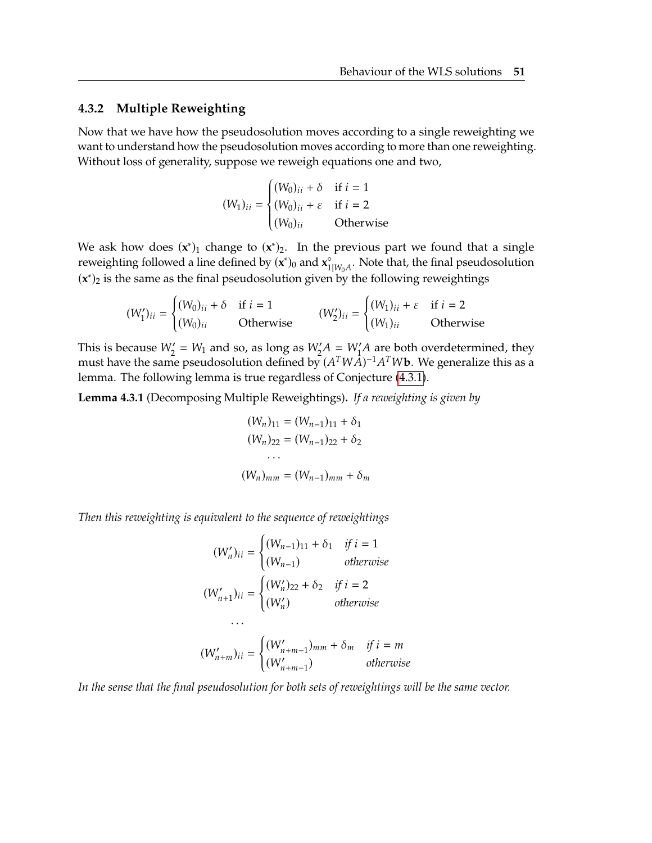#### **4.3.2 Multiple Reweighting**

Now that we have how the pseudosolution moves according to a single reweighting we want to understand how the pseudosolution moves according to more than one reweighting. Without loss of generality, suppose we reweigh equations one and two,

$$
(W_1)_{ii} = \begin{cases} (W_0)_{ii} + \delta & \text{if } i = 1\\ (W_0)_{ii} + \varepsilon & \text{if } i = 2\\ (W_0)_{ii} & \text{Otherwise} \end{cases}
$$

We ask how does  $(x^*)_1$  change to  $(x^*)_2$ . In the previous part we found that a single reweighting followed a line defined by  $(x^*)_0$  and  $x_1^{\circ}$  $n_{1|W_0A}^{\circ}$ . Note that, the final pseudosolution  $(x^*)_2$  is the same as the final pseudosolution given by the following reweightings

$$
(W'_1)_{ii} = \begin{cases} (W_0)_{ii} + \delta & \text{if } i = 1\\ (W_0)_{ii} & \text{Otherwise} \end{cases} \qquad (W'_2)_{ii} = \begin{cases} (W_1)_{ii} + \varepsilon & \text{if } i = 2\\ (W_1)_{ii} & \text{Otherwise} \end{cases}
$$

This is because  $W_2' = W_1$  and so, as long as  $W_2'A = W_1'A$  are both overdetermined, they must have the same pseudosolution defined by  $(A^T W A)^{-1} A^T W$  We concretize this as a must have the same pseudosolution defined by  $(A^TWA)^{-1}A^TW$ **b**. We generalize this as a lomma. The following lomma is true recordless of Conjecture (4.3.1) lemma. The following lemma is true regardless of Conjecture [\(4.3.1\)](#page-63-0).

<span id="page-65-0"></span>**Lemma 4.3.1** (Decomposing Multiple Reweightings)**.** *If a reweighting is given by*

$$
(W_n)_{11} = (W_{n-1})_{11} + \delta_1
$$
  
\n
$$
(W_n)_{22} = (W_{n-1})_{22} + \delta_2
$$
  
\n...  
\n
$$
(W_n)_{mm} = (W_{n-1})_{mm} + \delta_m
$$

*Then this reweighting is equivalent to the sequence of reweightings*

$$
(W'_n)_{ii} = \begin{cases} (W_{n-1})_{11} + \delta_1 & \text{if } i = 1\\ (W_{n-1}) & \text{otherwise} \end{cases}
$$

$$
(W'_{n+1})_{ii} = \begin{cases} (W'_n)_{22} + \delta_2 & \text{if } i = 2\\ (W'_n) & \text{otherwise} \end{cases}
$$

$$
\cdots
$$

$$
(W'_{n+m})_{ii} = \begin{cases} (W'_{n+m-1})_{mm} + \delta_m & \text{if } i = m\\ (W'_{n+m-1}) & \text{otherwise} \end{cases}
$$

*In the sense that the final pseudosolution for both sets of reweightings will be the same vector.*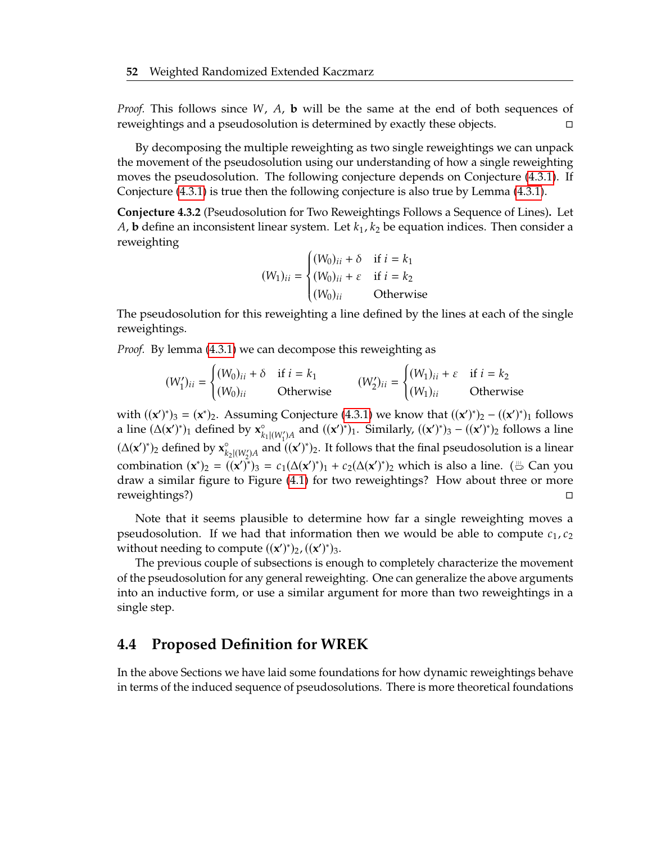*Proof.* This follows since *W*, *A*, **b** will be the same at the end of both sequences of reweightings and a pseudosolution is determined by exactly these objects. reweightings and a pseudosolution is determined by exactly these objects.

By decomposing the multiple reweighting as two single reweightings we can unpack the movement of the pseudosolution using our understanding of how a single reweighting moves the pseudosolution. The following conjecture depends on Conjecture [\(4.3.1\)](#page-63-0). If Conjecture [\(4.3.1\)](#page-63-0) is true then the following conjecture is also true by Lemma [\(4.3.1\)](#page-65-0).

**Conjecture 4.3.2** (Pseudosolution for Two Reweightings Follows a Sequence of Lines)**.** Let A, **b** define an inconsistent linear system. Let  $k_1$ ,  $k_2$  be equation indices. Then consider a reweighting

$$
(W_1)_{ii} = \begin{cases} (W_0)_{ii} + \delta & \text{if } i = k_1 \\ (W_0)_{ii} + \varepsilon & \text{if } i = k_2 \\ (W_0)_{ii} & \text{Otherwise} \end{cases}
$$

 The pseudosolution for this reweighting a line defined by the lines at each of the single reweightings.

*Proof.* By lemma [\(4.3.1\)](#page-65-0) we can decompose this reweighting as

$$
(W'_1)_{ii} = \begin{cases} (W_0)_{ii} + \delta & \text{if } i = k_1 \\ (W_0)_{ii} & \text{Otherwise} \end{cases} \qquad (W'_2)_{ii} = \begin{cases} (W_1)_{ii} + \varepsilon & \text{if } i = k_2 \\ (W_1)_{ii} & \text{Otherwise} \end{cases}
$$

with  $((x')^*)_3 = (x^*)_2$ . Assuming Conjecture [\(4.3.1\)](#page-63-0) we know that  $((x')^*)_2 - ((x')^*)_1$  follows a line  $(\Delta(\mathbf{x}')^*)_1$  defined by  $\mathbf{x}^{\circ}_{k_1|(W'_1)A}$  and  $((\mathbf{x}')^*)_1$ . Similarly,  $((\mathbf{x}')^*)_3 - ((\mathbf{x}')^*)_2$  follows a line  $(\Delta(\mathbf{x}')^*)_2$  defined by  $\mathbf{x}^{\circ}_{k_2\mid (W'_2)A}$  and  $((\mathbf{x}')^*)_2$ . It follows that the final pseudosolution is a linear combination  $(\mathbf{x}^*)_2 = ((\mathbf{x}')^*)_3 = c_1(\Delta(\mathbf{x}')^*)_1 + c_2(\Delta(\mathbf{x}')^*)_2$  which is also a line. ( $\stackrel{\text{\tiny{def}}}{\Rightarrow}$  Can you draw a similar figure to Figure [\(4.1\)](#page-64-0) for two reweightings? How about three or more reweightings?) □

Note that it seems plausible to determine how far a single reweighting moves a pseudosolution. If we had that information then we would be able to compute  $c_1, c_2$ without needing to compute  $((x')^*)_2$ ,  $((x')^*)_3$ .<br>The previous couple of subsections is one

The previous couple of subsections is enough to completely characterize the movement of the pseudosolution for any general reweighting. One can generalize the above arguments into an inductive form, or use a similar argument for more than two reweightings in a single step.

#### <span id="page-66-0"></span>**4.4 Proposed Definition for WREK**

In the above Sections we have laid some foundations for how dynamic reweightings behave in terms of the induced sequence of pseudosolutions. There is more theoretical foundations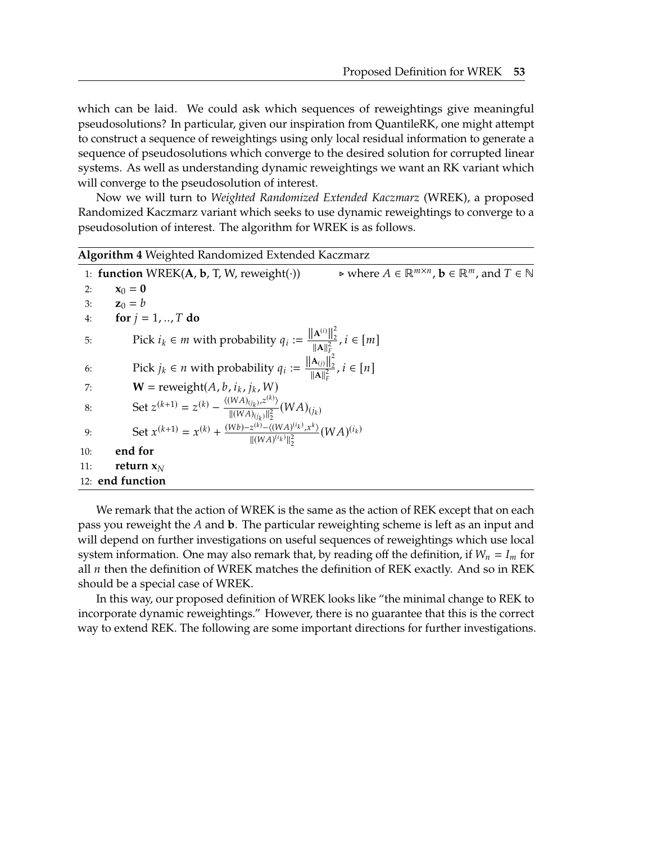which can be laid. We could ask which sequences of reweightings give meaningful pseudosolutions? In particular, given our inspiration from QuantileRK, one might attempt to construct a sequence of reweightings using only local residual information to generate a sequence of pseudosolutions which converge to the desired solution for corrupted linear systems. As well as understanding dynamic reweightings we want an RK variant which will converge to the pseudosolution of interest.

Now we will turn to *Weighted Randomized Extended Kaczmarz* (WREK), a proposed Randomized Kaczmarz variant which seeks to use dynamic reweightings to converge to a pseudosolution of interest. The algorithm for WREK is as follows.

<span id="page-67-0"></span>**Algorithm 4** Weighted Randomized Extended Kaczmarz 1: **function** WREK(**A**, **b**, T, W, reweight(·))  $\chi_0 = 0$  $\triangleright$  where  $A \in \mathbb{R}^{m \times n}$ ,  $\mathbf{b} \in \mathbb{R}^m$ , and  $T \in \mathbb{N}$  $x_0 = 0$ 3: **z**<sub>0</sub> = *b*<br>4: **for** *i* = for  $j = 1, ..., T$  do 5: Pick *i<sub>k</sub>* ∈ *m* with probability  $q_i := \frac{\|\mathbf{A}^{(i)}\|_2^2}{\|\mathbf{A}\|_F^2}$  $\frac{\mathbf{A}^{(i)}||_2}{\|\mathbf{A}\|_F^2}, i \in [m]$ 6: Pick  $j_k \in n$  with probability  $q_i := \frac{\left\| \mathbf{A}_{(i)} \right\|_2^2}{\| \mathbf{A} \|^2_F}$  $\frac{\mathbf{A}_{(j)}||_2}{\|\mathbf{A}\|_F^2}, i \in [n]$ 7: **W** = reweight(*A*, *b*, *i<sub>k</sub>*, *j<sub>k</sub>*, *W*)<br>8: Set  $z^{(k+1)} = z^{(k)} - \frac{\langle (WA)(j_k), z^{(k)} \rangle}{2}$ 8: Set  $z^{(k+1)} = z^{(k)} - \frac{\langle (WA)_{(j_k)}}{\| (WA)_{(j_k)}}$  $\frac{1}{2}$ ,  $z^{(k)}$  $\frac{W(A)(i_k), z^{(k)}}{\|(WA)(i_k)\|_2^2} (WA)(i_k)$ 9: Set  $x^{(k+1)} = x^{(k)} + \frac{(Wb) - z^{(k)} - \langle (WA)^{(i_k)} \rangle}{\|(WA)^{(i_k)}\|_2^2}$  $\langle x^k \rangle$  $\parallel$ (WA)<sup>(i</sup>k  $\frac{A)^{(i_k)}$ , $x^k$   $}(WA)^{(i_k)}$ 10: **end for** 11: **return <sup>x</sup>** 12: **end function**

We remark that the action of WREK is the same as the action of REK except that on each pass you reweight the A and **b**. The particular reweighting scheme is left as an input and will depend on further investigations on useful sequences of reweightings which use local system information. One may also remark that, by reading off the definition, if  $W_n = I_m$  for all  $n$  then the definition of WREK matches the definition of REK exactly. And so in REK should be a special case of WREK.

In this way, our proposed definition of WREK looks like "the minimal change to REK to incorporate dynamic reweightings." However, there is no guarantee that this is the correct way to extend REK. The following are some important directions for further investigations.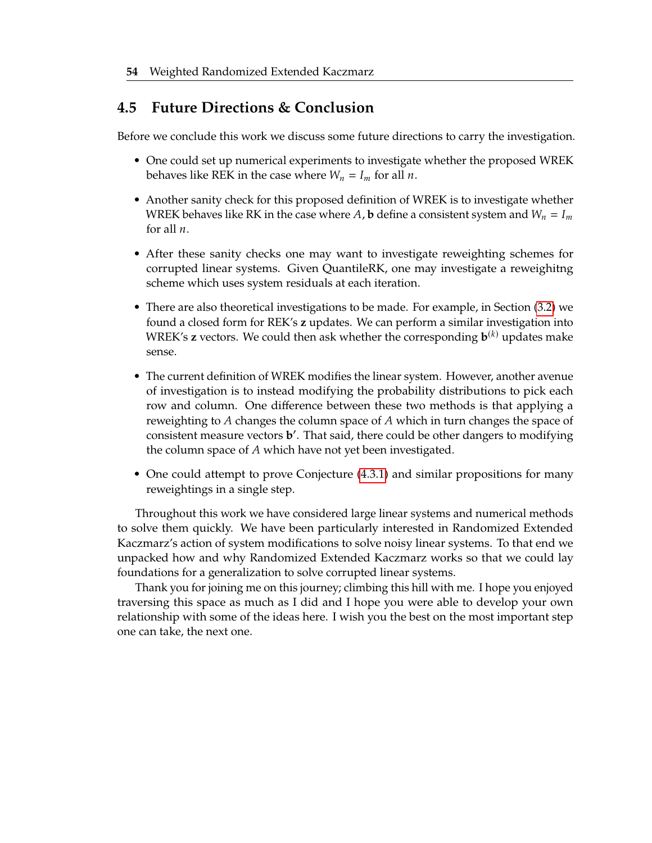### <span id="page-68-0"></span>**4.5 Future Directions & Conclusion**

Before we conclude this work we discuss some future directions to carry the investigation.

- One could set up numerical experiments to investigate whether the proposed WREK behaves like REK in the case where  $W_n = I_m$  for all *n*.
- Another sanity check for this proposed definition of WREK is to investigate whether WREK behaves like RK in the case where A, **b** define a consistent system and  $W_n = I_m$ for all  $n$ .
- After these sanity checks one may want to investigate reweighting schemes for corrupted linear systems. Given QuantileRK, one may investigate a reweighitng scheme which uses system residuals at each iteration.
- There are also theoretical investigations to be made. For example, in Section [\(3.2\)](#page-40-0) we found a closed form for REK's **z** updates. We can perform a similar investigation into WREK's **z** vectors. We could then ask whether the corresponding  $\mathbf{b}^{(k)}$  updates make sense.
- The current definition of WREK modifies the linear system. However, another avenue of investigation is to instead modifying the probability distributions to pick each row and column. One difference between these two methods is that applying a reweighting to  $A$  changes the column space of  $A$  which in turn changes the space of consistent measure vectors **b** ′ . That said, there could be other dangers to modifying the column space of A which have not yet been investigated.
- One could attempt to prove Conjecture [\(4.3.1\)](#page-63-0) and similar propositions for many reweightings in a single step.

Throughout this work we have considered large linear systems and numerical methods to solve them quickly. We have been particularly interested in Randomized Extended Kaczmarz's action of system modifications to solve noisy linear systems. To that end we unpacked how and why Randomized Extended Kaczmarz works so that we could lay foundations for a generalization to solve corrupted linear systems.

Thank you for joining me on this journey; climbing this hill with me. I hope you enjoyed traversing this space as much as I did and I hope you were able to develop your own relationship with some of the ideas here. I wish you the best on the most important step one can take, the next one.